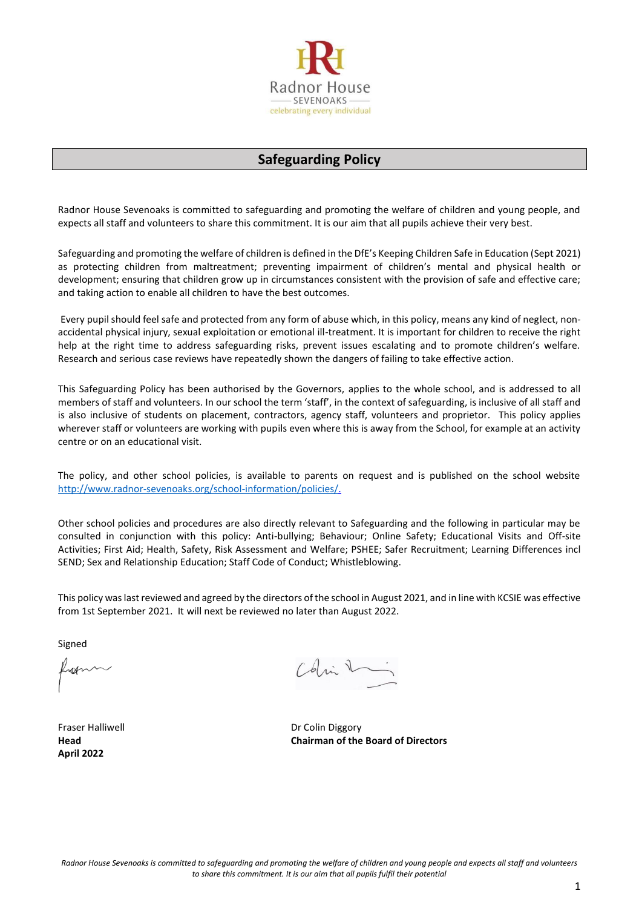

# **Safeguarding Policy**

Radnor House Sevenoaks is committed to safeguarding and promoting the welfare of children and young people, and expects all staff and volunteers to share this commitment. It is our aim that all pupils achieve their very best.

Safeguarding and promoting the welfare of children is defined in the DfE's Keeping Children Safe in Education (Sept 2021) as protecting children from maltreatment; preventing impairment of children's mental and physical health or development; ensuring that children grow up in circumstances consistent with the provision of safe and effective care; and taking action to enable all children to have the best outcomes.

Every pupil should feel safe and protected from any form of abuse which, in this policy, means any kind of neglect, nonaccidental physical injury, sexual exploitation or emotional ill-treatment. It is important for children to receive the right help at the right time to address safeguarding risks, prevent issues escalating and to promote children's welfare. Research and serious case reviews have repeatedly shown the dangers of failing to take effective action.

This Safeguarding Policy has been authorised by the Governors, applies to the whole school, and is addressed to all members of staff and volunteers. In our school the term 'staff', in the context of safeguarding, is inclusive of all staff and is also inclusive of students on placement, contractors, agency staff, volunteers and proprietor. This policy applies wherever staff or volunteers are working with pupils even where this is away from the School, for example at an activity centre or on an educational visit.

The policy, and other school policies, is available to parents on request and is published on the school website [http://www.radnor-sevenoaks.org/school-information/policies/.](https://www.gov.uk/find-local-council)

Other school policies and procedures are also directly relevant to Safeguarding and the following in particular may be consulted in conjunction with this policy: Anti-bullying; Behaviour; Online Safety; Educational Visits and Off-site Activities; First Aid; Health, Safety, Risk Assessment and Welfare; PSHEE; Safer Recruitment; Learning Differences incl SEND; Sex and Relationship Education; Staff Code of Conduct; Whistleblowing.

This policy was last reviewed and agreed by the directors of the school in August 2021, and in line with KCSIE was effective from 1st September 2021. It will next be reviewed no later than August 2022.

Signed

rof

Fraser Halliwell **Example 2018** Dr Colin Diggory **April 2022**

Colin R

**Head Chairman of the Board of Directors**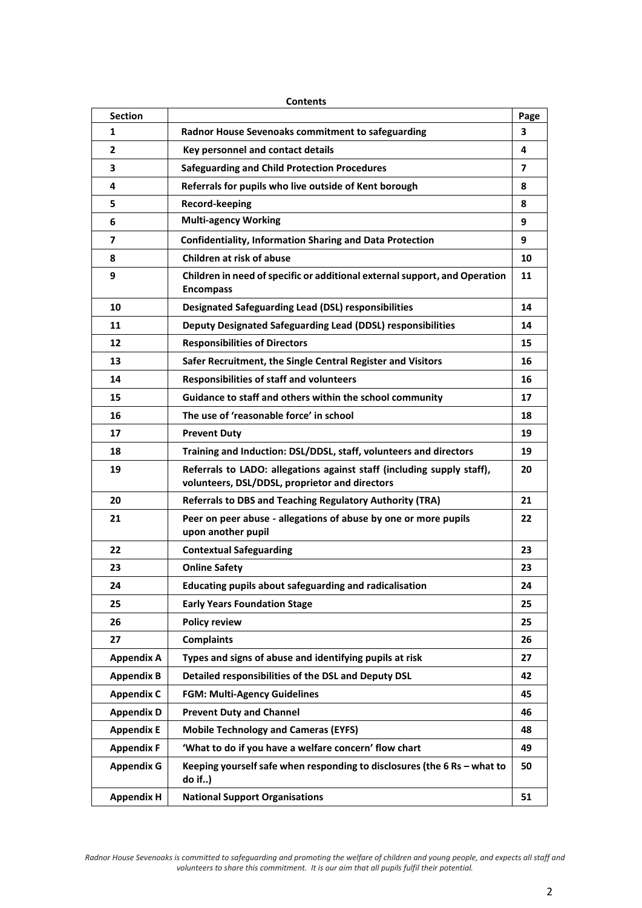|                   | <b>Contents</b>                                                                                                          |      |  |  |  |
|-------------------|--------------------------------------------------------------------------------------------------------------------------|------|--|--|--|
| <b>Section</b>    |                                                                                                                          | Page |  |  |  |
| 1                 | Radnor House Sevenoaks commitment to safeguarding                                                                        | 3    |  |  |  |
| 2                 | Key personnel and contact details                                                                                        | 4    |  |  |  |
| з                 | <b>Safeguarding and Child Protection Procedures</b>                                                                      | 7    |  |  |  |
| 4                 | Referrals for pupils who live outside of Kent borough                                                                    | 8    |  |  |  |
| 5                 | Record-keeping                                                                                                           | 8    |  |  |  |
| 6                 | <b>Multi-agency Working</b>                                                                                              | 9    |  |  |  |
| 7                 | <b>Confidentiality, Information Sharing and Data Protection</b>                                                          | 9    |  |  |  |
| 8                 | Children at risk of abuse                                                                                                | 10   |  |  |  |
| 9                 | Children in need of specific or additional external support, and Operation<br><b>Encompass</b>                           | 11   |  |  |  |
| 10                | <b>Designated Safeguarding Lead (DSL) responsibilities</b>                                                               | 14   |  |  |  |
| 11                | Deputy Designated Safeguarding Lead (DDSL) responsibilities                                                              | 14   |  |  |  |
| 12                | <b>Responsibilities of Directors</b>                                                                                     | 15   |  |  |  |
| 13                | Safer Recruitment, the Single Central Register and Visitors                                                              | 16   |  |  |  |
| 14                | <b>Responsibilities of staff and volunteers</b>                                                                          | 16   |  |  |  |
| 15                | Guidance to staff and others within the school community                                                                 | 17   |  |  |  |
| 16                | The use of 'reasonable force' in school                                                                                  | 18   |  |  |  |
| 17                | <b>Prevent Duty</b>                                                                                                      | 19   |  |  |  |
| 18                | Training and Induction: DSL/DDSL, staff, volunteers and directors                                                        | 19   |  |  |  |
| 19                | Referrals to LADO: allegations against staff (including supply staff),<br>volunteers, DSL/DDSL, proprietor and directors | 20   |  |  |  |
| 20                | <b>Referrals to DBS and Teaching Regulatory Authority (TRA)</b>                                                          | 21   |  |  |  |
| 21                | Peer on peer abuse - allegations of abuse by one or more pupils<br>upon another pupil                                    | 22   |  |  |  |
| 22                | <b>Contextual Safeguarding</b>                                                                                           | 23   |  |  |  |
| 23                | <b>Online Safety</b>                                                                                                     | 23   |  |  |  |
| 24                | Educating pupils about safeguarding and radicalisation                                                                   | 24   |  |  |  |
| 25                | <b>Early Years Foundation Stage</b>                                                                                      | 25   |  |  |  |
| 26                | <b>Policy review</b>                                                                                                     | 25   |  |  |  |
| 27                | <b>Complaints</b>                                                                                                        | 26   |  |  |  |
| <b>Appendix A</b> | Types and signs of abuse and identifying pupils at risk                                                                  | 27   |  |  |  |
| <b>Appendix B</b> | Detailed responsibilities of the DSL and Deputy DSL                                                                      | 42   |  |  |  |
| <b>Appendix C</b> | <b>FGM: Multi-Agency Guidelines</b>                                                                                      | 45   |  |  |  |
| <b>Appendix D</b> | <b>Prevent Duty and Channel</b>                                                                                          | 46   |  |  |  |
| <b>Appendix E</b> | <b>Mobile Technology and Cameras (EYFS)</b>                                                                              | 48   |  |  |  |
| <b>Appendix F</b> | 'What to do if you have a welfare concern' flow chart                                                                    | 49   |  |  |  |
| <b>Appendix G</b> | Keeping yourself safe when responding to disclosures (the 6 Rs - what to<br>do if)                                       | 50   |  |  |  |
| <b>Appendix H</b> | <b>National Support Organisations</b>                                                                                    | 51   |  |  |  |

*Radnor House Sevenoaks is committed to safeguarding and promoting the welfare of children and young people, and expects all staff and volunteers to share this commitment. It is our aim that all pupils fulfil their potential.*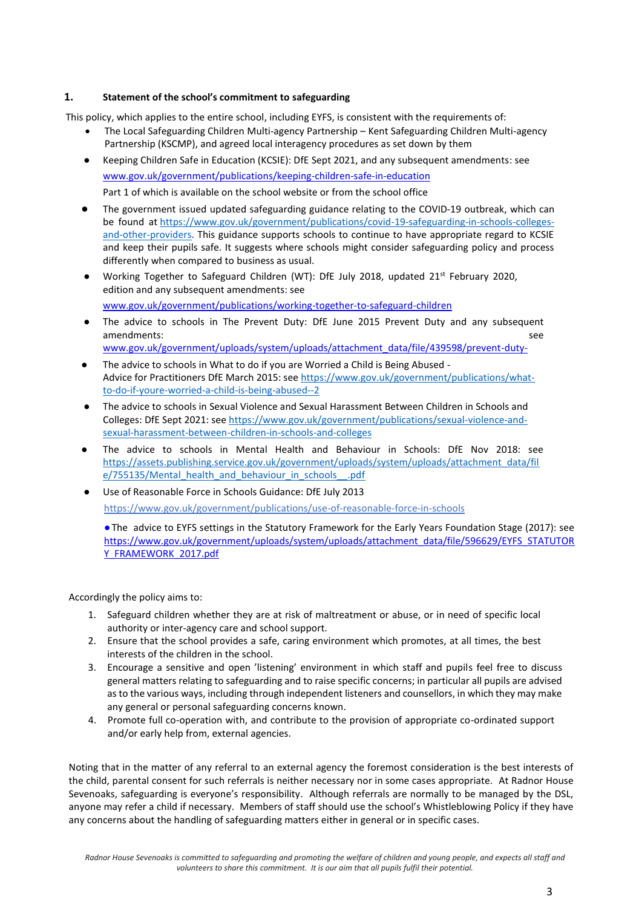## **1. Statement of the school's commitment to safeguarding**

This policy, which applies to the entire school, including EYFS, is consistent with the requirements of:

- The Local Safeguarding Children Multi-agency Partnership Kent Safeguarding Children Multi-agency Partnership (KSCMP), and agreed local interagency procedures as set down by them
- Keeping Children Safe in Education (KCSIE): DfE Sept 2021, and any subsequent amendments: see [www.gov.uk/government/publications/keeping-children-safe-in-education](http://www.familylives.org.uk/) Part 1 of which is available on the school website or from the school office
- The government issued updated safeguarding guidance relating to the COVID-19 outbreak, which can be found at [https://www.gov.uk/government/publications/covid-19-safeguarding-in-schools-colleges](https://www.gov.uk/government/publications/sexual-violence-and-sexual-harassment-between-children-in-schools-and-colleges)[and-other-providers.](https://www.gov.uk/government/publications/sexual-violence-and-sexual-harassment-between-children-in-schools-and-colleges) This guidance supports schools to continue to have appropriate regard to KCSIE and keep their pupils safe. It suggests where schools might consider safeguarding policy and process differently when compared to business as usual.
- Working Together to Safeguard Children (WT): DfE July 2018, updated 21<sup>st</sup> February 2020, edition and any subsequent amendments: see [www.gov.uk/government/publications/working-together-to-safeguard-children](https://www.gov.uk/government/publications/sexual-violence-and-sexual-harassment-between-children-in-schools-and-colleges)
- The advice to schools in The Prevent Duty: DfE June 2015 Prevent Duty and any subsequent amendments: see see and the set of the set of the set of the set of the set of the set of the set of the set of the set of the set of the set of the set of the set of the set of the set of the set of the set of the set of
	- [www.gov.uk/government/uploads/system/uploads/attachment\\_data/file/439598/prevent-duty-](https://www.gov.uk/government/publications/serious-violence-strategy)
- The advice to schools in What to do if you are Worried a Child is Being Abused Advice for Practitioners DfE March 2015: see [https://www.gov.uk/government/publications/what](https://www.gov.uk/government/publications/what-to-do-if-youre-worried-a-child-is-being-abused--2)[to-do-if-youre-worried-a-child-is-being-abused--2](https://www.gov.uk/government/publications/what-to-do-if-youre-worried-a-child-is-being-abused--2)
- The advice to schools in Sexual Violence and Sexual Harassment Between Children in Schools and Colleges: DfE Sept 2021: se[e https://www.gov.uk/government/publications/sexual-violence-and](https://www.gov.uk/government/publications/sexual-violence-and-sexual-harassment-between-children-in-schools-and-colleges)[sexual-harassment-between-children-in-schools-and-colleges](https://www.gov.uk/government/publications/sexual-violence-and-sexual-harassment-between-children-in-schools-and-colleges)
- The advice to schools in Mental Health and Behaviour in Schools: DfE Nov 2018: see [https://assets.publishing.service.gov.uk/government/uploads/system/uploads/attachment\\_data/fil](https://assets.publishing.service.gov.uk/government/uploads/system/uploads/attachment_data/file/755135/Mental_health_and_behaviour_in_schools__.pdf) [e/755135/Mental\\_health\\_and\\_behaviour\\_in\\_schools\\_\\_.pdf](https://assets.publishing.service.gov.uk/government/uploads/system/uploads/attachment_data/file/755135/Mental_health_and_behaviour_in_schools__.pdf)
- Use of Reasonable Force in Schools Guidance: DfE July 2013 [https://www.gov.uk/government/publications/use-of-reasonable-force-in-schools](https://www.pshe-association.org.uk/curriculum-and-resources/resources/rise-above-schools-teaching-resources)

●The advice to EYFS settings in the Statutory Framework for the Early Years Foundation Stage (2017): see [https://www.gov.uk/government/uploads/system/uploads/attachment\\_data/file/596629/EYFS\\_STATUTOR](https://www.gov.uk/government/publications/violence-against-women-and-girls-national-statement-of-expectations) [Y\\_FRAMEWORK\\_2017.pdf](https://www.gov.uk/government/publications/violence-against-women-and-girls-national-statement-of-expectations)

Accordingly the policy aims to:

- 1. Safeguard children whether they are at risk of maltreatment or abuse, or in need of specific local authority or inter-agency care and school support.
- 2. Ensure that the school provides a safe, caring environment which promotes, at all times, the best interests of the children in the school.
- 3. Encourage a sensitive and open 'listening' environment in which staff and pupils feel free to discuss general matters relating to safeguarding and to raise specific concerns; in particular all pupils are advised as to the various ways, including through independent listeners and counsellors, in which they may make any general or personal safeguarding concerns known.
- 4. Promote full co-operation with, and contribute to the provision of appropriate co-ordinated support and/or early help from, external agencies.

Noting that in the matter of any referral to an external agency the foremost consideration is the best interests of the child, parental consent for such referrals is neither necessary nor in some cases appropriate. At Radnor House Sevenoaks, safeguarding is everyone's responsibility. Although referrals are normally to be managed by the DSL, anyone may refer a child if necessary. Members of staff should use the school's Whistleblowing Policy if they have any concerns about the handling of safeguarding matters either in general or in specific cases.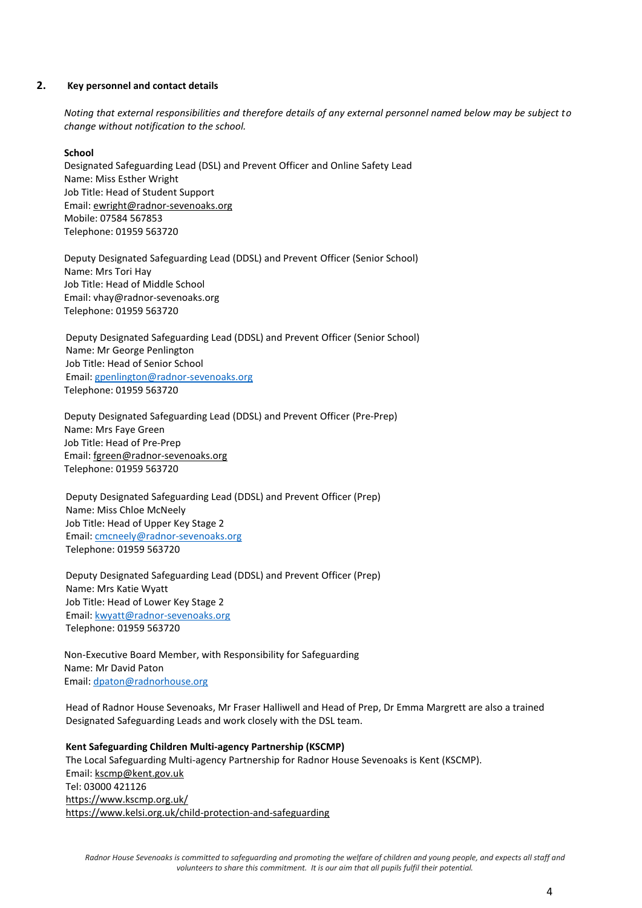#### **2. Key personnel and contact details**

*Noting that external responsibilities and therefore details of any external personnel named below may be subject to change without notification to the school.*

## **School**

Designated Safeguarding Lead (DSL) and Prevent Officer and Online Safety Lead Name: Miss Esther Wright Job Title: Head of Student Support Email[: ewright@radnor-sevenoaks.org](https://www.nspcc.org.uk/preventing-abuse/child-abuse-and-neglect/domestic-abuse/signs-symptoms-effects/) Mobile: 07584 567853 Telephone: 01959 563720

Deputy Designated Safeguarding Lead (DDSL) and Prevent Officer (Senior School) Name: Mrs Tori Hay Job Title: Head of Middle School Email: vhay@radnor-sevenoaks.org Telephone: 01959 563720

Deputy Designated Safeguarding Lead (DDSL) and Prevent Officer (Senior School) Name: Mr George Penlington Job Title: Head of Senior School Email: [gpenlington@radnor-sevenoaks.org](mailto:gpenlington@radnor-sevenoaks.org) Telephone: 01959 563720

Deputy Designated Safeguarding Lead (DDSL) and Prevent Officer (Pre-Prep) Name: Mrs Faye Green Job Title: Head of Pre-Prep Email[: fgreen@radnor-sevenoaks.org](https://www.gov.uk/guidance/homelessness-code-of-guidance-for-local-authorities) Telephone: 01959 563720

Deputy Designated Safeguarding Lead (DDSL) and Prevent Officer (Prep) Name: Miss Chloe McNeely Job Title: Head of Upper Key Stage 2 Email: [cmcneely@radnor-sevenoaks.org](mailto:cmcneely@radnor-sevenoaks.org) Telephone: 01959 563720

Deputy Designated Safeguarding Lead (DDSL) and Prevent Officer (Prep) Name: Mrs Katie Wyatt Job Title: Head of Lower Key Stage 2 Email: [kwyatt@radnor-sevenoaks.org](mailto:kwyatt@radnor-sevenoaks.org) Telephone: 01959 563720

Non-Executive Board Member, with Responsibility for Safeguarding Name: Mr David Paton Email: [dpaton@radnorhouse.org](mailto:dpaton@radnorhouse.org)

Head of Radnor House Sevenoaks, Mr Fraser Halliwell and Head of Prep, Dr Emma Margrett are also a trained Designated Safeguarding Leads and work closely with the DSL team.

**Kent Safeguarding Children Multi-agency Partnership (KSCMP)** The Local Safeguarding Multi-agency Partnership for Radnor House Sevenoaks is Kent (KSCMP). Email: [kscmp@kent.gov.uk](https://www.kooth.com/) Tel: 03000 421126 [https://www.kscmp.org.uk/](https://www.gov.uk/government/publications/multi-agency-statutory-guidance-on-female-genital-mutilation) [https://www.kelsi.org.uk/child-protection-and-safeguarding](https://www.npcc.police.uk/documents/Children%20and%20Young%20people/When%20to%20call%20the%20police%20guidance%20for%20schools%20and%20colleges.pdf)

*Radnor House Sevenoaks is committed to safeguarding and promoting the welfare of children and young people, and expects all staff and volunteers to share this commitment. It is our aim that all pupils fulfil their potential.*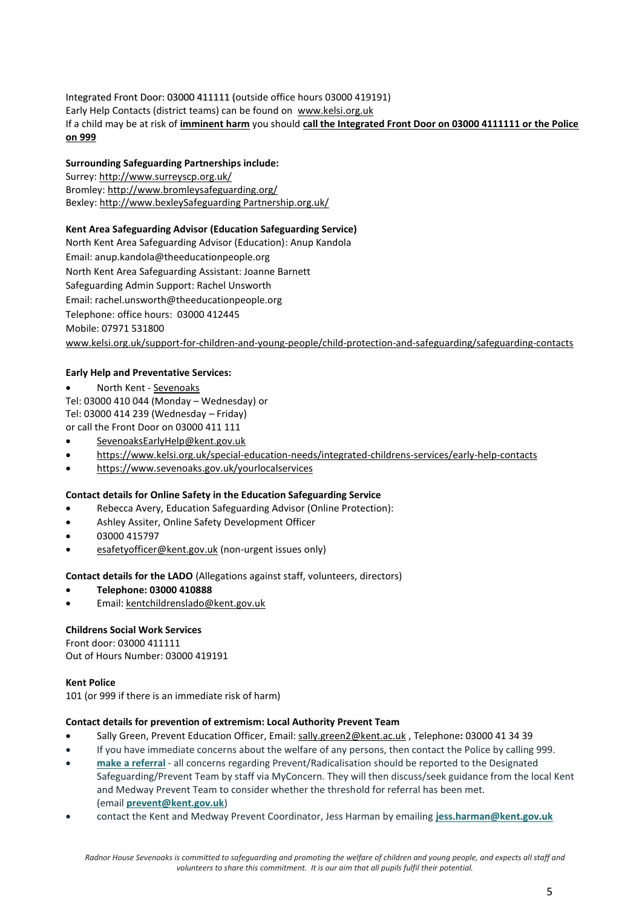Integrated Front Door: 03000 411111 (outside office hours 03000 419191) Early Help Contacts (district teams) can be found on [www.kelsi.org.uk](https://www.gov.uk/government/uploads/system/uploads/attachment_data/file/512906/Multi_Agency_Statutory_Guidance_on_FGM__-_FINAL.pdf) If a child may be at risk of **imminent harm** you should **call the Integrated Front Door on 03000 4111111 or the Police on 999**

## **Surrounding Safeguarding Partnerships include:**

Surrey: [http://www.surreyscp.org.uk/](https://www.gov.uk/government/publications/homelessness-reduction-bill-policy-factsheets) Bromley: [http://www.bromleysafeguarding.org/](mailto:ewright@radnor-sevenoaks.org) Bexley: http://www.bexleySafeguarding Partnership.org.uk/

## **Kent Area Safeguarding Advisor (Education Safeguarding Service)**

North Kent Area Safeguarding Advisor (Education): Anup Kandola Email: anup.kandola@theeducationpeople.org North Kent Area Safeguarding Assistant: Joanne Barnett Safeguarding Admin Support: Rachel Unsworth Email: rachel.unsworth@theeducationpeople.org Telephone: office hours: 03000 412445 Mobile: 07971 531800 [www.kelsi.org.uk/support-for-children-and-young-people/child-protection-and-safeguarding/safeguarding-contacts](http://www.mariecollinsfoundation.org.uk/)

## **Early Help and Preventative Services:**

• North Kent - [Sevenoaks](http://www.crimestoppers-uk.org/)

Tel: 03000 410 044 (Monday – Wednesday) or Tel: 03000 414 239 (Wednesday – Friday) or call the Front Door on 03000 411 111

- [SevenoaksEarlyHelp@kent.gov.uk](http://www.childnet.com/)
- [https://www.kelsi.org.uk/special-education-needs/integrated-childrens-services/early-help-contacts](http://www.kidscape.org.uk/)
- [https://www.sevenoaks.gov.uk/yourlocalservices](http://www.nspcc.org.uk/)

#### **Contact details for Online Safety in the Education Safeguarding Service**

- Rebecca Avery, Education Safeguarding Advisor (Online Protection):
- Ashley Assiter, Online Safety Development Officer
- 03000 415797
- [esafetyofficer@kent.gov.uk](https://www.gov.uk/government/publications/use-of-reasonable-force-in-schools) (non-urgent issues only)

#### **Contact details for the LADO** (Allegations against staff, volunteers, directors)

- **Telephone: 03000 410888**
- Email: [kentchildrenslado@kent.gov.uk](http://www.papyrus-uk.org/)

#### **Childrens Social Work Services**

Front door: 03000 411111 Out of Hours Number: 03000 419191

#### **Kent Police**

101 (or 999 if there is an immediate risk of harm)

#### **Contact details for prevention of extremism: Local Authority Prevent Team**

- Sally Green, Prevent Education Officer, Email: [sally.green2@kent.ac.uk](https://www.gov.uk/government/publications/violence-against-women-and-girls-national-statement-of-expectations) , Telephone**:** 03000 41 34 39
- If you have immediate concerns about the welfare of any persons, then contact the Police by calling 999.
- **make a [referral](https://www.kent.gov.uk/about-the-council/strategies-and-policies/community-safety-and-crime-policies/contest/prevent#:~:text=call%20us%20on%2003000%2041,behaviour%20or%20ideology%20or%20radicalisation)** all concerns regarding Prevent/Radicalisation should be reported to the Designated Safeguarding/Prevent Team by staff via MyConcern. They will then discuss/seek guidance from the local Kent and Medway Prevent Team to consider whether the threshold for referral has been met. (email **[prevent@kent.gov.uk](mailto:prevent@kent.gov.uk)**)
- contact the Kent and Medway Prevent Coordinator, Jess Harman by emailing **[jess.harman@kent.gov.uk](mailto:jess.harmon@kent.gov.uk)**

*Radnor House Sevenoaks is committed to safeguarding and promoting the welfare of children and young people, and expects all staff and volunteers to share this commitment. It is our aim that all pupils fulfil their potential.*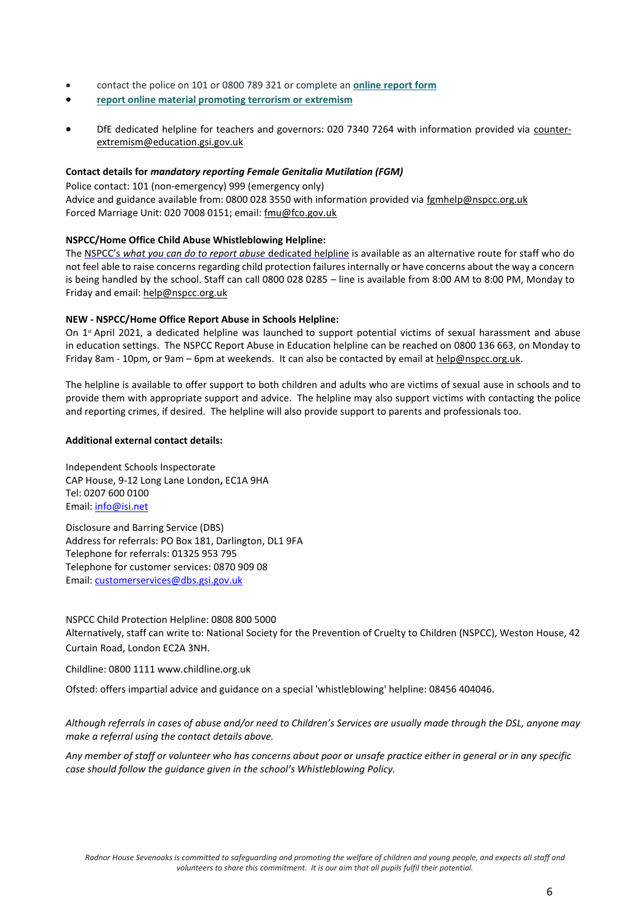- contact the police on 101 or 0800 789 321 or complete an **online [report](https://www.met.police.uk/tua/tell-us-about/ath/possible-terrorist-activity/) form**
- **report online material promoting terrorism or [extremism](https://www.gov.uk/report-terrorism)**
- DfE dedicated helpline for teachers and governors: 020 7340 7264 with information provided via [counter](https://www.gov.uk/government/publications/children-missing-education)[extremism@education.gsi.gov.uk](http://www.kelsi.org.uk/)

### **Contact details for** *mandatory reporting Female Genitalia Mutilation (FGM)*

Police contact: 101 (non-emergency) 999 (emergency only) Advice and guidance available from: 0800 028 3550 with information provided vi[a fgmhelp@nspcc.org.uk](http://www.womensaid.org.uk/) Forced Marriage Unit: 020 7008 0151; email: fmu@fco.gov.uk

## **NSPCC/Home Office Child Abuse Whistleblowing Helpline:**

The NSPCC's *[what you can do to report abuse](http://www.mensadviceline.org.uk/)* dedicated helpline [is](http://www.mankindcounselling.org.uk/) available as an alternative route for staff who do not feel able to raise concerns regarding child protection failures internally or have concerns about the way a concern is being handled by the school. Staff can call 0800 028 0285 – line is available from 8:00 AM to 8:00 PM, Monday to Friday and email: [help@nspcc.org.uk](http://www.samaritans.org/)

## **NEW - NSPCC/Home Office Report Abuse in Schools Helpline:**

On  $1<sup>st</sup>$  April 2021, a dedicated helpline was launched to support potential victims of sexual harassment and abuse in education settings. The NSPCC Report Abuse in Education helpline can be reached on 0800 136 663, on Monday to Friday 8am - 10pm, or 9am – 6pm at weekends. It can also be contacted by email at [help@nspcc.org.uk.](mailto:help@nspcc.org.uk)

The helpline is available to offer support to both children and adults who are victims of sexual ause in schools and to provide them with appropriate support and advice. The helpline may also support victims with contacting the police and reporting crimes, if desired. The helpline will also provide support to parents and professionals too.

## **Additional external contact details:**

Independent Schools Inspectorate CAP House, 9-12 Long Lane London**,** EC1A 9HA Tel: 0207 600 0100 Email: [info@isi.net](https://www.kscmp.org.uk/)

Disclosure and Barring Service (DBS) Address for referrals: PO Box 181, Darlington, DL1 9FA Telephone for referrals: 01325 953 795 Telephone for customer services: 0870 909 08 Email: [customerservices@dbs.gsi.gov.uk](http://www.mosac.org.uk/)

NSPCC Child Protection Helpline: 0808 800 5000 Alternatively, staff can write to: National Society for the Prevention of Cruelty to Children (NSPCC), Weston House, 42 Curtain Road, London EC2A 3NH.

Childline: 0800 1111 [www.childline.org.uk](http://formfinder.hmctsformfinder.justice.gov.uk/ywp-5-11-eng.pdf)

Ofsted: offers impartial advice and guidance on a special 'whistleblowing' helpline: 08456 404046.

*Although referrals in cases of abuse and/or need to Children's Services are usually made through the DSL, anyone may make a referral using the contact details above.*

*Any member of staff or volunteer who has concerns about poor or unsafe practice either in general or in any specific case should follow the guidance given in the school's Whistleblowing Policy.*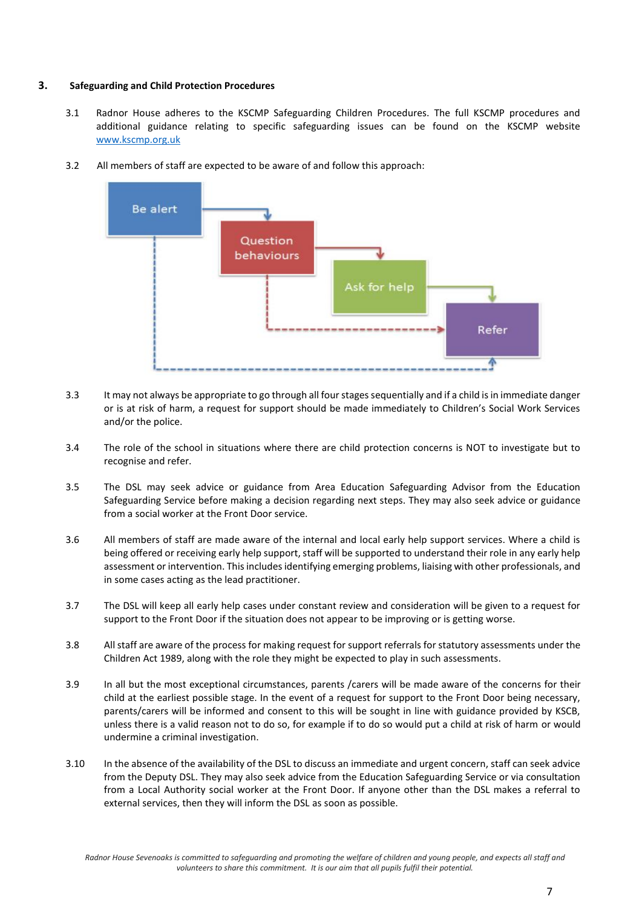#### **3. Safeguarding and Child Protection Procedures**

3.1 Radnor House adheres to the KSCMP Safeguarding Children Procedures. The full KSCMP procedures and additional guidance relating to specific safeguarding issues can be found on the KSCMP website [www.kscmp.org.uk](https://www.gov.uk/government/uploads/system/uploads/attachment_data/file/322307/HMG_MULTI_AGENCY_PRACTICE_GUIDELINES_v1_180614_FINAL.pdf)



3.2 All members of staff are expected to be aware of and follow this approach:

- 3.3 It may not always be appropriate to go through all four stages sequentially and if a child is in immediate danger or is at risk of harm, a request for support should be made immediately to Children's Social Work Services and/or the police.
- 3.4 The role of the school in situations where there are child protection concerns is NOT to investigate but to recognise and refer.
- 3.5 The DSL may seek advice or guidance from Area Education Safeguarding Advisor from the Education Safeguarding Service before making a decision regarding next steps. They may also seek advice or guidance from a social worker at the Front Door service.
- 3.6 All members of staff are made aware of the internal and local early help support services. Where a child is being offered or receiving early help support, staff will be supported to understand their role in any early help assessment or intervention. This includes identifying emerging problems, liaising with other professionals, and in some cases acting as the lead practitioner.
- 3.7 The DSL will keep all early help cases under constant review and consideration will be given to a request for support to the Front Door if the situation does not appear to be improving or is getting worse.
- 3.8 All staff are aware of the process for making request for support referrals for statutory assessments under the Children Act 1989, along with the role they might be expected to play in such assessments.
- 3.9 In all but the most exceptional circumstances, parents /carers will be made aware of the concerns for their child at the earliest possible stage. In the event of a request for support to the Front Door being necessary, parents/carers will be informed and consent to this will be sought in line with guidance provided by KSCB, unless there is a valid reason not to do so, for example if to do so would put a child at risk of harm or would undermine a criminal investigation.
- 3.10 In the absence of the availability of the DSL to discuss an immediate and urgent concern, staff can seek advice from the Deputy DSL. They may also seek advice from the Education Safeguarding Service or via consultation from a Local Authority social worker at the Front Door. If anyone other than the DSL makes a referral to external services, then they will inform the DSL as soon as possible.

*Radnor House Sevenoaks is committed to safeguarding and promoting the welfare of children and young people, and expects all staff and volunteers to share this commitment. It is our aim that all pupils fulfil their potential.*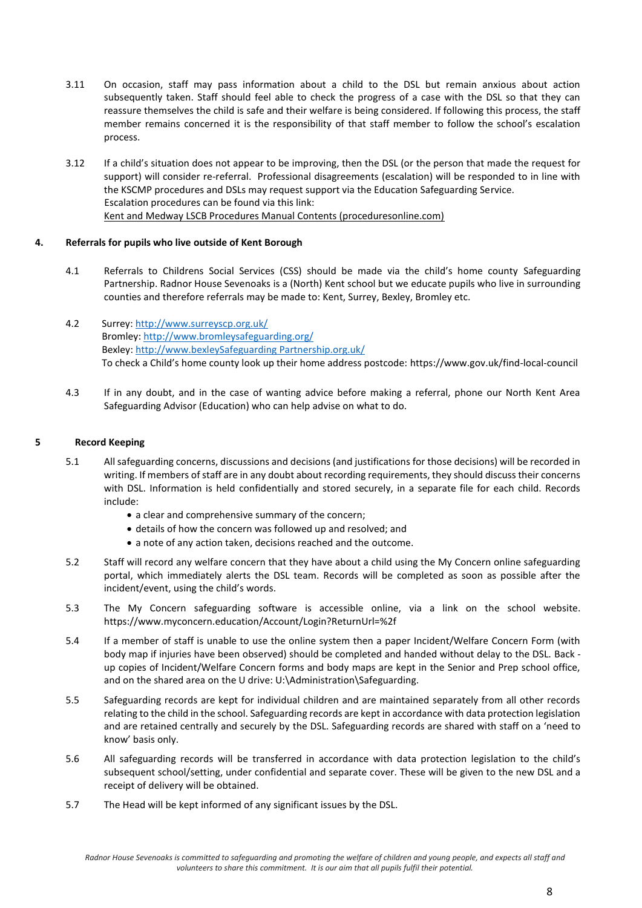- 3.11 On occasion, staff may pass information about a child to the DSL but remain anxious about action subsequently taken. Staff should feel able to check the progress of a case with the DSL so that they can reassure themselves the child is safe and their welfare is being considered. If following this process, the staff member remains concerned it is the responsibility of that staff member to follow the school's escalation process.
- 3.12 If a child's situation does not appear to be improving, then the DSL (or the person that made the request for support) will consider re-referral. Professional disagreements (escalation) will be responded to in line with the KSCMP procedures and DSLs may request support via the Education Safeguarding Service. Escalation procedures can be found via this link: [Kent and Medway LSCB Procedures Manual Contents \(proceduresonline.com\)](https://www.proceduresonline.com/kentandmedway/chapters/contents.html)

#### **4. Referrals for pupils who live outside of Kent Borough**

- 4.1 Referrals to Childrens Social Services (CSS) should be made via the child's home county Safeguarding Partnership. Radnor House Sevenoaks is a (North) Kent school but we educate pupils who live in surrounding counties and therefore referrals may be made to: Kent, Surrey, Bexley, Bromley etc.
- 4.2 Surrey[: http://www.surreyscp.org.uk/](mailto:Sevenoaks) Bromley: [http://www.bromleysafeguarding.org/](http://www.gov.uk/government/publications/working-together-to-safeguard-children) Bexley: http://www.bexleySafeguarding Partnership.org.uk/ To check a Child's home county look up their home address postcode: [https://www.gov.uk/find-local-council](https://www.nationaldahelpline.org.uk/)
- 4.3 If in any doubt, and in the case of wanting advice before making a referral, phone our North Kent Area Safeguarding Advisor (Education) who can help advise on what to do.

#### **5 Record Keeping**

- 5.1 All safeguarding concerns, discussions and decisions (and justifications for those decisions) will be recorded in writing. If members of staff are in any doubt about recording requirements, they should discuss their concerns with DSL. Information is held confidentially and stored securely, in a separate file for each child. Records include:
	- a clear and comprehensive summary of the concern;
	- details of how the concern was followed up and resolved; and
	- a note of any action taken, decisions reached and the outcome.
- 5.2 Staff will record any welfare concern that they have about a child using the My Concern online safeguarding portal, which immediately alerts the DSL team. Records will be completed as soon as possible after the incident/event, using the child's words.
- 5.3 The My Concern safeguarding software is accessible online, via a link on the school website. [https://www.myconcern.education/Account/Login?ReturnUrl=%2f](https://www.gov.uk/guidance/forced-marriage?ReturnUrl=%2f)
- 5.4 If a member of staff is unable to use the online system then a paper Incident/Welfare Concern Form (with body map if injuries have been observed) should be completed and handed without delay to the DSL. Back up copies of Incident/Welfare Concern forms and body maps are kept in the Senior and Prep school office, and on the shared area on the U drive: U:\Administration\Safeguarding.
- 5.5 Safeguarding records are kept for individual children and are maintained separately from all other records relating to the child in the school. Safeguarding records are kept in accordance with data protection legislation and are retained centrally and securely by the DSL. Safeguarding records are shared with staff on a 'need to know' basis only.
- 5.6 All safeguarding records will be transferred in accordance with data protection legislation to the child's subsequent school/setting, under confidential and separate cover. These will be given to the new DSL and a receipt of delivery will be obtained.
- 5.7 The Head will be kept informed of any significant issues by the DSL.

*Radnor House Sevenoaks is committed to safeguarding and promoting the welfare of children and young people, and expects all staff and volunteers to share this commitment. It is our aim that all pupils fulfil their potential.*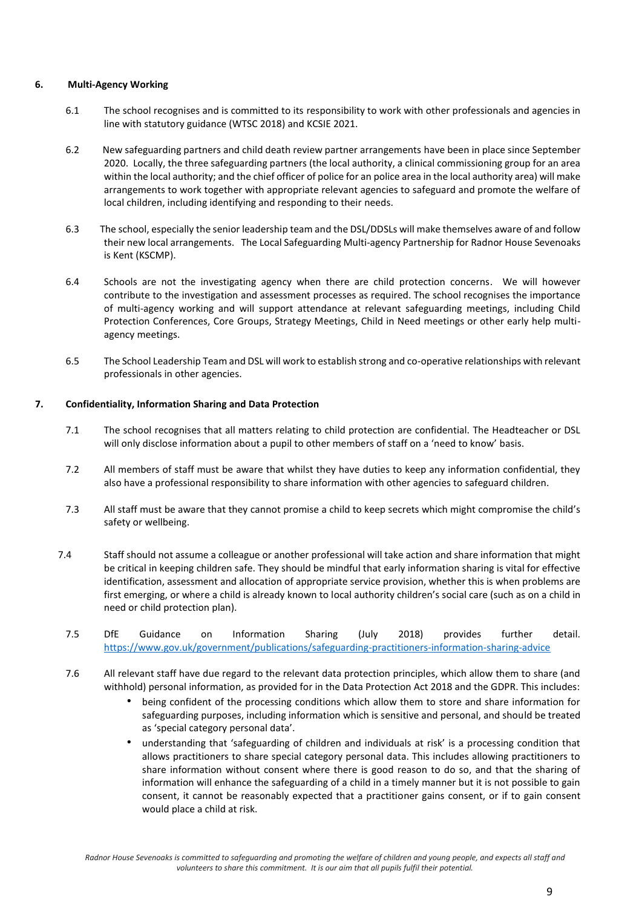### **6. Multi-Agency Working**

- 6.1 The school recognises and is committed to its responsibility to work with other professionals and agencies in line with statutory guidance (WTSC 2018) and KCSIE 2021.
- 6.2 New safeguarding partners and child death review partner arrangements have been in place since September 2020. Locally, the three safeguarding partners (the local authority, a clinical commissioning group for an area within the local authority; and the chief officer of police for an police area in the local authority area) will make arrangements to work together with appropriate relevant agencies to safeguard and promote the welfare of local children, including identifying and responding to their needs.
- 6.3 The school, especially the senior leadership team and the DSL/DDSLs will make themselves aware of and follow their new local arrangements. The Local Safeguarding Multi-agency Partnership for Radnor House Sevenoaks is Kent (KSCMP).
- 6.4 Schools are not the investigating agency when there are child protection concerns. We will however contribute to the investigation and assessment processes as required. The school recognises the importance of multi-agency working and will support attendance at relevant safeguarding meetings, including Child Protection Conferences, Core Groups, Strategy Meetings, Child in Need meetings or other early help multiagency meetings.
- 6.5 The School Leadership Team and DSL will work to establish strong and co-operative relationships with relevant professionals in other agencies.

## **7. Confidentiality, Information Sharing and Data Protection**

- 7.1 The school recognises that all matters relating to child protection are confidential. The Headteacher or DSL will only disclose information about a pupil to other members of staff on a 'need to know' basis.
- 7.2 All members of staff must be aware that whilst they have duties to keep any information confidential, they also have a professional responsibility to share information with other agencies to safeguard children.
- 7.3 All staff must be aware that they cannot promise a child to keep secrets which might compromise the child's safety or wellbeing.
- 7.4 Staff should not assume a colleague or another professional will take action and share information that might be critical in keeping children safe. They should be mindful that early information sharing is vital for effective identification, assessment and allocation of appropriate service provision, whether this is when problems are first emerging, or where a child is already known to local authority children's social care (such as on a child in need or child protection plan).
- 7.5 DfE Guidance on Information Sharing (July 2018) provides further detail. [https://www.gov.uk/government/publications/safeguarding-practitioners-information-sharing-advice](http://www.childline.org.uk/)
- 7.6 All relevant staff have due regard to the relevant data protection principles, which allow them to share (and withhold) personal information, as provided for in the Data Protection Act 2018 and the GDPR. This includes:
	- being confident of the processing conditions which allow them to store and share information for safeguarding purposes, including information which is sensitive and personal, and should be treated as 'special category personal data'.
	- understanding that 'safeguarding of children and individuals at risk' is a processing condition that allows practitioners to share special category personal data. This includes allowing practitioners to share information without consent where there is good reason to do so, and that the sharing of information will enhance the safeguarding of a child in a timely manner but it is not possible to gain consent, it cannot be reasonably expected that a practitioner gains consent, or if to gain consent would place a child at risk.

*Radnor House Sevenoaks is committed to safeguarding and promoting the welfare of children and young people, and expects all staff and volunteers to share this commitment. It is our aim that all pupils fulfil their potential.*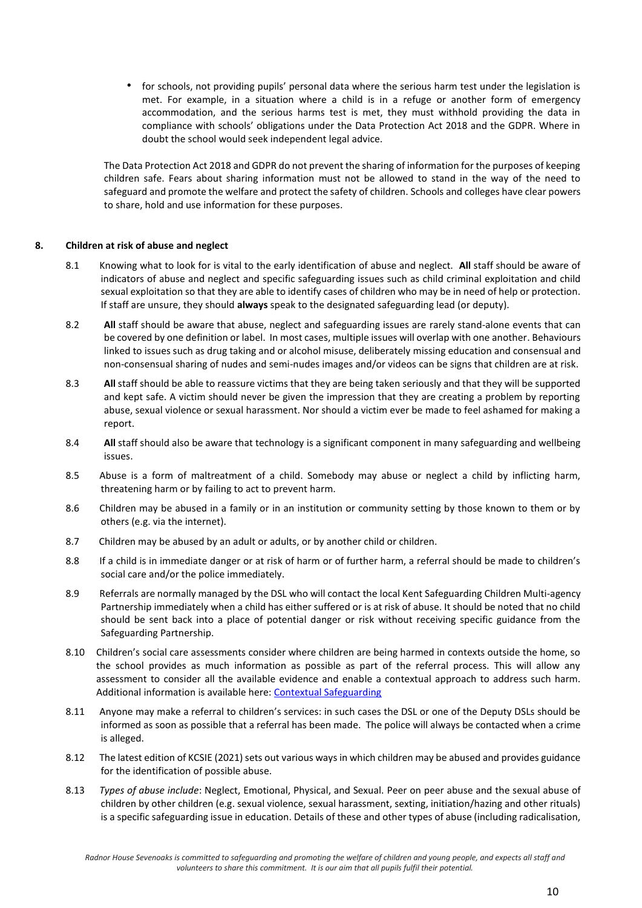• for schools, not providing pupils' personal data where the serious harm test under the legislation is met. For example, in a situation where a child is in a refuge or another form of emergency accommodation, and the serious harms test is met, they must withhold providing the data in compliance with schools' obligations under the Data Protection Act 2018 and the GDPR. Where in doubt the school would seek independent legal advice.

The Data Protection Act 2018 and GDPR do not prevent the sharing of information for the purposes of keeping children safe. Fears about sharing information must not be allowed to stand in the way of the need to safeguard and promote the welfare and protect the safety of children. Schools and colleges have clear powers to share, hold and use information for these purposes.

#### **8. Children at risk of abuse and neglect**

- 8.1 Knowing what to look for is vital to the early identification of abuse and neglect. **All** staff should be aware of indicators of abuse and neglect and specific safeguarding issues such as child criminal exploitation and child sexual exploitation so that they are able to identify cases of children who may be in need of help or protection. If staff are unsure, they should **always** speak to the designated safeguarding lead (or deputy).
- 8.2 **All** staff should be aware that abuse, neglect and safeguarding issues are rarely stand-alone events that can be covered by one definition or label. In most cases, multiple issues will overlap with one another. Behaviours linked to issues such as drug taking and or alcohol misuse, deliberately missing education and consensual and non-consensual sharing of nudes and semi-nudes images and/or videos can be signs that children are at risk.
- 8.3 **All** staff should be able to reassure victims that they are being taken seriously and that they will be supported and kept safe. A victim should never be given the impression that they are creating a problem by reporting abuse, sexual violence or sexual harassment. Nor should a victim ever be made to feel ashamed for making a report.
- 8.4 **All** staff should also be aware that technology is a significant component in many safeguarding and wellbeing issues.
- 8.5 Abuse is a form of maltreatment of a child. Somebody may abuse or neglect a child by inflicting harm, threatening harm or by failing to act to prevent harm.
- 8.6 Children may be abused in a family or in an institution or community setting by those known to them or by others (e.g. via the internet).
- 8.7 Children may be abused by an adult or adults, or by another child or children.
- 8.8 If a child is in immediate danger or at risk of harm or of further harm, a referral should be made to children's social care and/or the police immediately.
- 8.9 Referrals are normally managed by the DSL who will contact the local Kent Safeguarding Children Multi-agency Partnership immediately when a child has either suffered or is at risk of abuse. It should be noted that no child should be sent back into a place of potential danger or risk without receiving specific guidance from the Safeguarding Partnership.
- 8.10 Children's social care assessments consider where children are being harmed in contexts outside the home, so the school provides as much information as possible as part of the referral process. This will allow any assessment to consider all the available evidence and enable a contextual approach to address such harm. Additional information is available here: Contextual Safeguarding
- 8.11 Anyone may make a referral to children's services: in such cases the DSL or one of the Deputy DSLs should be informed as soon as possible that a referral has been made. The police will always be contacted when a crime is alleged.
- 8.12 The latest edition of KCSIE (2021) sets out various ways in which children may be abused and provides guidance for the identification of possible abuse.
- 8.13 *Types of abuse include*: Neglect, Emotional, Physical, and Sexual. Peer on peer abuse and the sexual abuse of children by other children (e.g. sexual violence, sexual harassment, sexting, initiation/hazing and other rituals) is a specific safeguarding issue in education. Details of these and other types of abuse (including radicalisation,

*Radnor House Sevenoaks is committed to safeguarding and promoting the welfare of children and young people, and expects all staff and volunteers to share this commitment. It is our aim that all pupils fulfil their potential.*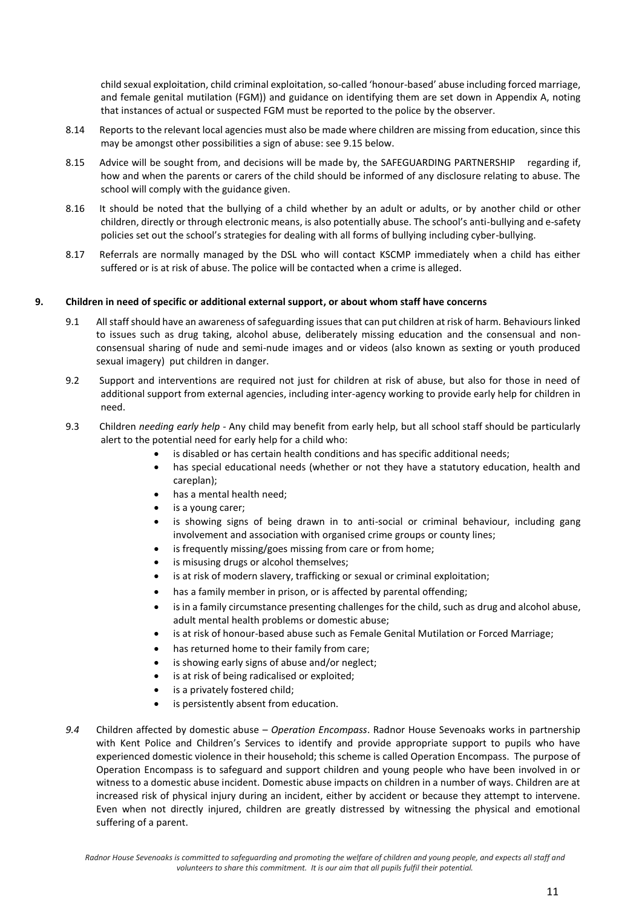child sexual exploitation, child criminal exploitation, so-called 'honour-based' abuse including forced marriage, and female genital mutilation (FGM)) and guidance on identifying them are set down in Appendix A, noting that instances of actual or suspected FGM must be reported to the police by the observer.

- 8.14 Reports to the relevant local agencies must also be made where children are missing from education, since this may be amongst other possibilities a sign of abuse: see 9.15 below.
- 8.15 Advice will be sought from, and decisions will be made by, the SAFEGUARDING PARTNERSHIP regarding if, how and when the parents or carers of the child should be informed of any disclosure relating to abuse. The school will comply with the guidance given.
- 8.16 It should be noted that the bullying of a child whether by an adult or adults, or by another child or other children, directly or through electronic means, is also potentially abuse. The school's anti-bullying and e-safety policies set out the school's strategies for dealing with all forms of bullying including cyber-bullying.
- 8.17 Referrals are normally managed by the DSL who will contact KSCMP immediately when a child has either suffered or is at risk of abuse. The police will be contacted when a crime is alleged.

#### **9. Children in need of specific or additional external support, or about whom staff have concerns**

- 9.1 All staff should have an awareness of safeguarding issues that can put children at risk of harm. Behaviours linked to issues such as drug taking, alcohol abuse, deliberately missing education and the consensual and nonconsensual sharing of nude and semi-nude images and or videos (also known as sexting or youth produced sexual imagery) put children in danger.
- 9.2 Support and interventions are required not just for children at risk of abuse, but also for those in need of additional support from external agencies, including inter-agency working to provide early help for children in need.
- 9.3 Children *needing early help* Any child may benefit from early help, but all school staff should be particularly alert to the potential need for early help for a child who:
	- is disabled or has certain health conditions and has specific additional needs;
	- has special educational needs (whether or not they have a statutory education, health and careplan);
	- has a mental health need;
	- is a young carer;
	- is showing signs of being drawn in to anti-social or criminal behaviour, including gang involvement and association with organised crime groups or county lines;
	- is frequently missing/goes missing from care or from home;
	- is misusing drugs or alcohol themselves;
	- is at risk of modern slavery, trafficking or sexual or criminal exploitation;
	- has a family member in prison, or is affected by parental offending;
	- is in a family circumstance presenting challenges for the child, such as drug and alcohol abuse, adult mental health problems or domestic abuse;
	- is at risk of honour-based abuse such as Female Genital Mutilation or Forced Marriage;
	- has returned home to their family from care;
	- is showing early signs of abuse and/or neglect;
	- is at risk of being radicalised or exploited;
	- is a privately fostered child;
	- is persistently absent from education.
- *9.4* Children affected by domestic abuse *Operation Encompass*. Radnor House Sevenoaks works in partnership with Kent Police and Children's Services to identify and provide appropriate support to pupils who have experienced domestic violence in their household; this scheme is called Operation Encompass. The purpose of Operation Encompass is to safeguard and support children and young people who have been involved in or witness to a domestic abuse incident. Domestic abuse impacts on children in a number of ways. Children are at increased risk of physical injury during an incident, either by accident or because they attempt to intervene. Even when not directly injured, children are greatly distressed by witnessing the physical and emotional suffering of a parent.

*Radnor House Sevenoaks is committed to safeguarding and promoting the welfare of children and young people, and expects all staff and volunteers to share this commitment. It is our aim that all pupils fulfil their potential.*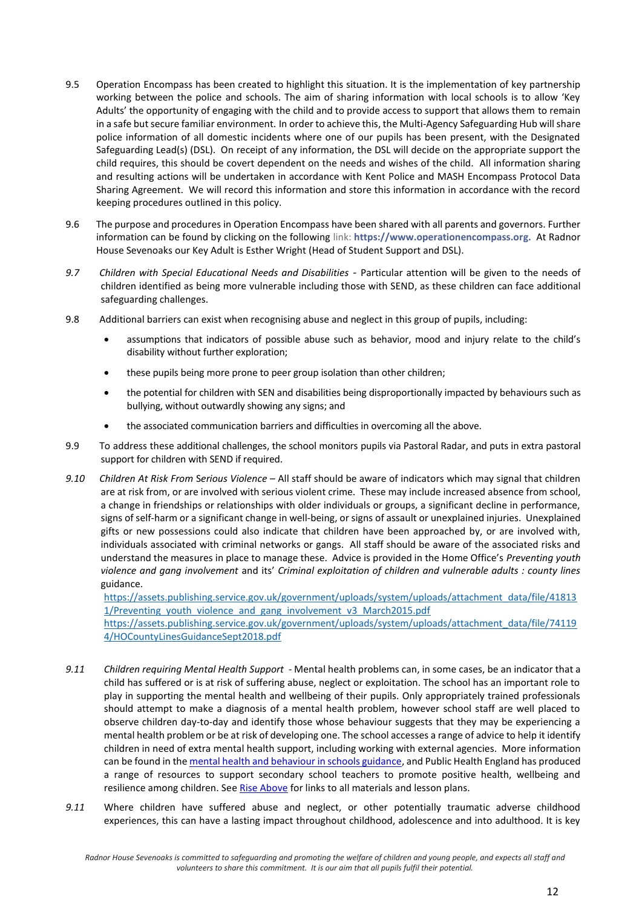- 9.5 Operation Encompass has been created to highlight this situation. It is the implementation of key partnership working between the police and schools. The aim of sharing information with local schools is to allow 'Key Adults' the opportunity of engaging with the child and to provide access to support that allows them to remain in a safe but secure familiar environment. In order to achieve this, the Multi-Agency Safeguarding Hub will share police information of all domestic incidents where one of our pupils has been present, with the Designated Safeguarding Lead(s) (DSL). On receipt of any information, the DSL will decide on the appropriate support the child requires, this should be covert dependent on the needs and wishes of the child. All information sharing and resulting actions will be undertaken in accordance with Kent Police and MASH Encompass Protocol Data Sharing Agreement. We will record this information and store this information in accordance with the record keeping procedures outlined in this policy.
- 9.6 The purpose and procedures in Operation Encompass have been shared with all parents and governors. Further information can be found by clicking on the following link: **[https://www.operationencompass.org.](http://www.stopitnow.org.uk/)** At Radnor House Sevenoaks our Key Adult is Esther Wright (Head of Student Support and DSL).
- *9.7 Children with Special Educational Needs and Disabilities* Particular attention will be given to the needs of children identified as being more vulnerable including those with SEND, as these children can face additional safeguarding challenges.
- 9.8 Additional barriers can exist when recognising abuse and neglect in this group of pupils, including:
	- assumptions that indicators of possible abuse such as behavior, mood and injury relate to the child's disability without further exploration;
	- these pupils being more prone to peer group isolation than other children;
	- the potential for children with SEN and disabilities being disproportionally impacted by behaviours such as bullying, without outwardly showing any signs; and
	- the associated communication barriers and difficulties in overcoming all the above.
- 9.9 To address these additional challenges, the school monitors pupils via Pastoral Radar, and puts in extra pastoral support for children with SEND if required.
- *9.10 Children At Risk From* S*erious Violence* All staff should be aware of indicators which may signal that children are at risk from, or are involved with serious violent crime. These may include increased absence from school, a change in friendships or relationships with older individuals or groups, a significant decline in performance, signs of self-harm or a significant change in well-being, or signs of assault or unexplained injuries. Unexplained gifts or new possessions could also indicate that children have been approached by, or are involved with, individuals associated with criminal networks or gangs. All staff should be aware of the associated risks and understand the measures in place to manage these. Advice is provided in the Home Office's *Preventing youth violence and gang involvement* and its' *Criminal exploitation of children and vulnerable adults : county lines* guidance.

[https://assets.publishing.service.gov.uk/government/uploads/system/uploads/attachment\\_data/file/41813](http://www.kelsi.org.uk/) 1/Preventing youth violence and gang involvement v3 March2015.pdf

[https://assets.publishing.service.gov.uk/government/uploads/system/uploads/attachment\\_data/file/74119](https://www.gov.uk/government/publications/children-missing-education) [4/HOCountyLinesGuidanceSept2018.pdf](https://www.gov.uk/government/publications/children-missing-education)

- *9.11 Children requiring Mental Health Support*  Mental health problems can, in some cases, be an indicator that a child has suffered or is at risk of suffering abuse, neglect or exploitation. The school has an important role to play in supporting the mental health and wellbeing of their pupils. Only appropriately trained professionals should attempt to make a diagnosis of a mental health problem, however school staff are well placed to observe children day-to-day and identify those whose behaviour suggests that they may be experiencing a mental health problem or be at risk of developing one. The school accesses a range of advice to help it identify children in need of extra mental health support, including working with external agencies. More information can be found in th[e mental health and behaviour in schools guidance, a](https://www.gov.uk/government/publications/mental-health-and-behaviour-in-schools--2)nd Public Health England has produced a range of resources to support secondary school teachers to promote positive health, wellbeing and resilience among children. S[ee Rise Above](https://campaignresources.phe.gov.uk/schools/topics/rise-above/overview) for links to all materials and lesson plans.
- *9.11* Where children have suffered abuse and neglect, or other potentially traumatic adverse childhood experiences, this can have a lasting impact throughout childhood, adolescence and into adulthood. It is key

*Radnor House Sevenoaks is committed to safeguarding and promoting the welfare of children and young people, and expects all staff and volunteers to share this commitment. It is our aim that all pupils fulfil their potential.*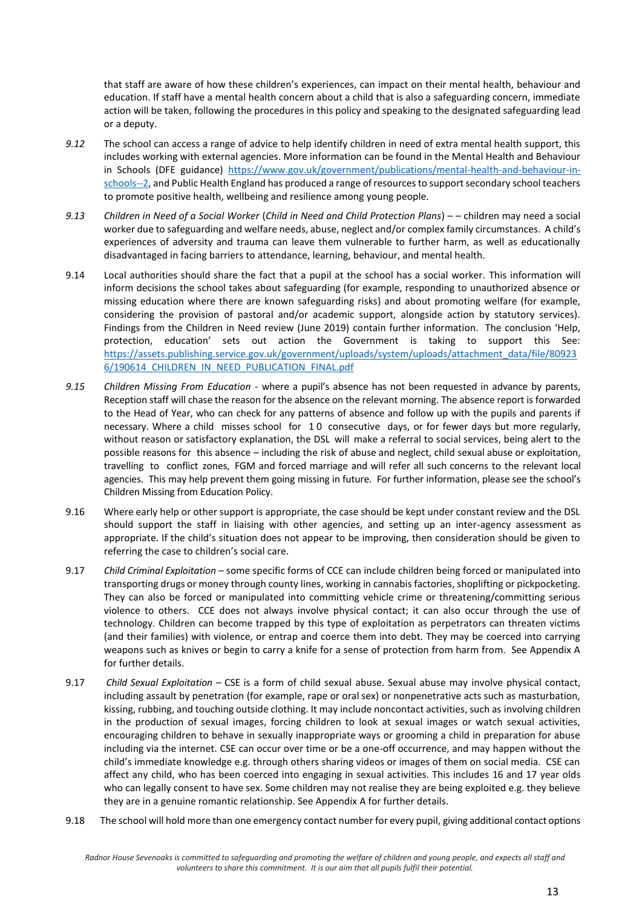that staff are aware of how these children's experiences, can impact on their mental health, behaviour and education. If staff have a mental health concern about a child that is also a safeguarding concern, immediate action will be taken, following the procedures in this policy and speaking to the designated safeguarding lead or a deputy.

- *9.12* The school can access a range of advice to help identify children in need of extra mental health support, this includes working with external agencies. More information can be found in the Mental Health and Behaviour in Schools (DFE guidance) [https://www.gov.uk/government/publications/mental-health-and-behaviour-in](http://mentor-adepis.org/)[schools--2,](http://mentor-adepis.org/) and Public Health England has produced a range of resources to support secondary school teachers to promote positive health, wellbeing and resilience among young people.
- *9.13 Children in Need of a Social Worker* (*Child in Need and Child Protection Plans*) – children may need a social worker due to safeguarding and welfare needs, abuse, neglect and/or complex family circumstances. A child's experiences of adversity and trauma can leave them vulnerable to further harm, as well as educationally disadvantaged in facing barriers to attendance, learning, behaviour, and mental health.
- 9.14 Local authorities should share the fact that a pupil at the school has a social worker. This information will inform decisions the school takes about safeguarding (for example, responding to unauthorized absence or missing education where there are known safeguarding risks) and about promoting welfare (for example, considering the provision of pastoral and/or academic support, alongside action by statutory services). Findings from the Children in Need review (June 2019) contain further information. The conclusion 'Help, protection, education' sets out action the Government is taking to support this See: [https://assets.publishing.service.gov.uk/government/uploads/system/uploads/attachment\\_data/file/80923](https://assets.publishing.service.gov.uk/government/uploads/system/uploads/attachment_data/file/809236/190614_CHILDREN_IN_NEED_PUBLICATION_FINAL.pdf) [6/190614\\_CHILDREN\\_IN\\_NEED\\_PUBLICATION\\_FINAL.pdf](https://assets.publishing.service.gov.uk/government/uploads/system/uploads/attachment_data/file/809236/190614_CHILDREN_IN_NEED_PUBLICATION_FINAL.pdf)
- *9.15 Children Missing From Education* where a pupil's absence has not been requested in advance by parents, Reception staff will chase the reason for the absence on the relevant morning. The absence report is forwarded to the Head of Year, who can check for any patterns of absence and follow up with the pupils and parents if necessary. Where a child misses school for 1 0 consecutive days, or for fewer days but more regularly, without reason or satisfactory explanation, the DSL will make a referral to social services, being alert to the possible reasons for this absence – including the risk of abuse and neglect, child sexual abuse or exploitation, travelling to conflict zones, FGM and forced marriage and will refer all such concerns to the relevant local agencies. This may help prevent them going missing in future. For further information, please see the school's Children Missing from Education Policy.
- 9.16 Where early help or other support is appropriate, the case should be kept under constant review and the DSL should support the staff in liaising with other agencies, and setting up an inter-agency assessment as appropriate. If the child's situation does not appear to be improving, then consideration should be given to referring the case to children's social care.
- 9.17 *Child Criminal Exploitation*  some specific forms of CCE can include children being forced or manipulated into transporting drugs or money through county lines, working in cannabis factories, shoplifting or pickpocketing. They can also be forced or manipulated into committing vehicle crime or threatening/committing serious violence to others. CCE does not always involve physical contact; it can also occur through the use of technology. Children can become trapped by this type of exploitation as perpetrators can threaten victims (and their families) with violence, or entrap and coerce them into debt. They may be coerced into carrying weapons such as knives or begin to carry a knife for a sense of protection from harm from. See Appendix A for further details.
- 9.17 *Child Sexual Exploitation –* CSE is a form of child sexual abuse. Sexual abuse may involve physical contact, including assault by penetration (for example, rape or oral sex) or nonpenetrative acts such as masturbation, kissing, rubbing, and touching outside clothing. It may include noncontact activities, such as involving children in the production of sexual images, forcing children to look at sexual images or watch sexual activities, encouraging children to behave in sexually inappropriate ways or grooming a child in preparation for abuse including via the internet. CSE can occur over time or be a one-off occurrence, and may happen without the child's immediate knowledge e.g. through others sharing videos or images of them on social media. CSE can affect any child, who has been coerced into engaging in sexual activities. This includes 16 and 17 year olds who can legally consent to have sex. Some children may not realise they are being exploited e.g. they believe they are in a genuine romantic relationship. See Appendix A for further details.
- 9.18 The school will hold more than one emergency contact number for every pupil, giving additional contact options

*Radnor House Sevenoaks is committed to safeguarding and promoting the welfare of children and young people, and expects all staff and volunteers to share this commitment. It is our aim that all pupils fulfil their potential.*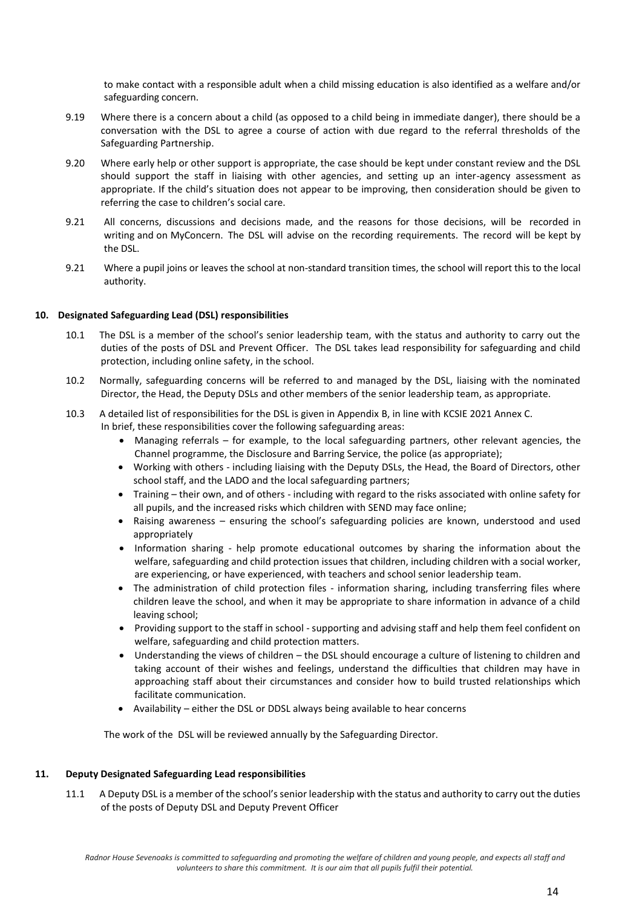to make contact with a responsible adult when a child missing education is also identified as a welfare and/or safeguarding concern.

- 9.19 Where there is a concern about a child (as opposed to a child being in immediate danger), there should be a conversation with the DSL to agree a course of action with due regard to the referral thresholds of the Safeguarding Partnership.
- 9.20 Where early help or other support is appropriate, the case should be kept under constant review and the DSL should support the staff in liaising with other agencies, and setting up an inter-agency assessment as appropriate. If the child's situation does not appear to be improving, then consideration should be given to referring the case to children's social care.
- 9.21 All concerns, discussions and decisions made, and the reasons for those decisions, will be recorded in writing and on MyConcern. The DSL will advise on the recording requirements. The record will be kept by the DSL.
- 9.21 Where a pupil joins or leaves the school at non-standard transition times, the school will report this to the local authority.

#### **10. Designated Safeguarding Lead (DSL) responsibilities**

- 10.1 The DSL is a member of the school's senior leadership team, with the status and authority to carry out the duties of the posts of DSL and Prevent Officer. The DSL takes lead responsibility for safeguarding and child protection, including online safety, in the school.
- 10.2 Normally, safeguarding concerns will be referred to and managed by the DSL, liaising with the nominated Director, the Head, the Deputy DSLs and other members of the senior leadership team, as appropriate.
- 10.3 A detailed list of responsibilities for the DSL is given in Appendix B, in line with KCSIE 2021 Annex C. In brief, these responsibilities cover the following safeguarding areas:
	- Managing referrals for example, to the local safeguarding partners, other relevant agencies, the Channel programme, the Disclosure and Barring Service, the police (as appropriate);
	- Working with others including liaising with the Deputy DSLs, the Head, the Board of Directors, other school staff, and the LADO and the local safeguarding partners;
	- Training their own, and of others including with regard to the risks associated with online safety for all pupils, and the increased risks which children with SEND may face online;
	- Raising awareness ensuring the school's safeguarding policies are known, understood and used appropriately
	- Information sharing help promote educational outcomes by sharing the information about the welfare, safeguarding and child protection issues that children, including children with a social worker, are experiencing, or have experienced, with teachers and school senior leadership team.
	- The administration of child protection files information sharing, including transferring files where children leave the school, and when it may be appropriate to share information in advance of a child leaving school;
	- Providing support to the staff in school supporting and advising staff and help them feel confident on welfare, safeguarding and child protection matters.
	- Understanding the views of children the DSL should encourage a culture of listening to children and taking account of their wishes and feelings, understand the difficulties that children may have in approaching staff about their circumstances and consider how to build trusted relationships which facilitate communication.
	- Availability either the DSL or DDSL always being available to hear concerns

The work of the DSL will be reviewed annually by the Safeguarding Director.

#### **11. Deputy Designated Safeguarding Lead responsibilities**

11.1 A Deputy DSL is a member of the school's senior leadership with the status and authority to carry out the duties of the posts of Deputy DSL and Deputy Prevent Officer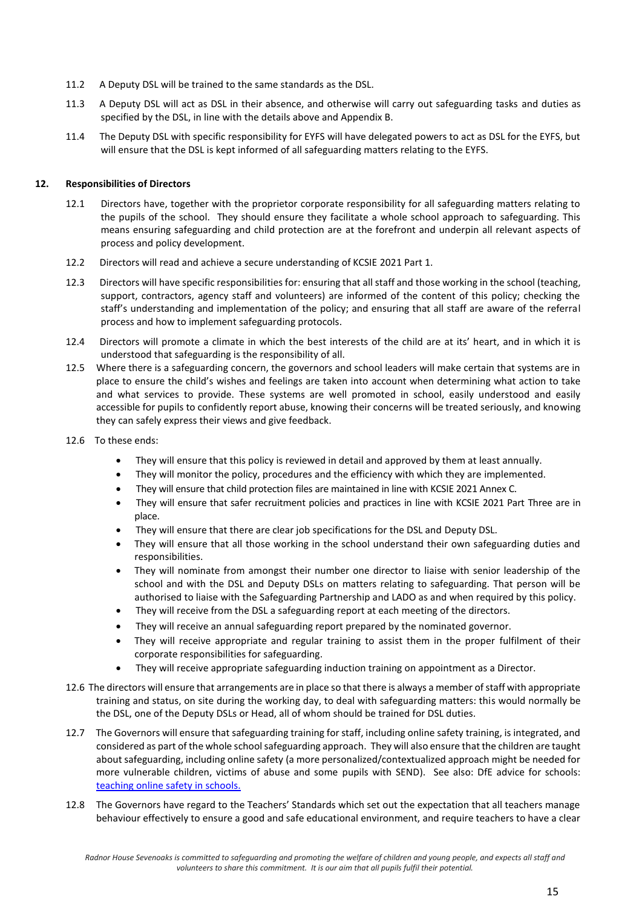- 11.2 A Deputy DSL will be trained to the same standards as the DSL.
- 11.3 A Deputy DSL will act as DSL in their absence, and otherwise will carry out safeguarding tasks and duties as specified by the DSL, in line with the details above and Appendix B.
- 11.4 The Deputy DSL with specific responsibility for EYFS will have delegated powers to act as DSL for the EYFS, but will ensure that the DSL is kept informed of all safeguarding matters relating to the EYFS.

#### **12. Responsibilities of Directors**

- 12.1 Directors have, together with the proprietor corporate responsibility for all safeguarding matters relating to the pupils of the school. They should ensure they facilitate a whole school approach to safeguarding. This means ensuring safeguarding and child protection are at the forefront and underpin all relevant aspects of process and policy development.
- 12.2 Directors will read and achieve a secure understanding of KCSIE 2021 Part 1.
- 12.3 Directors will have specific responsibilities for: ensuring that all staff and those working in the school (teaching, support, contractors, agency staff and volunteers) are informed of the content of this policy; checking the staff's understanding and implementation of the policy; and ensuring that all staff are aware of the referral process and how to implement safeguarding protocols.
- 12.4 Directors will promote a climate in which the best interests of the child are at its' heart, and in which it is understood that safeguarding is the responsibility of all.
- 12.5 Where there is a safeguarding concern, the governors and school leaders will make certain that systems are in place to ensure the child's wishes and feelings are taken into account when determining what action to take and what services to provide. These systems are well promoted in school, easily understood and easily accessible for pupils to confidently report abuse, knowing their concerns will be treated seriously, and knowing they can safely express their views and give feedback.
- 12.6 To these ends:
	- They will ensure that this policy is reviewed in detail and approved by them at least annually.
	- They will monitor the policy, procedures and the efficiency with which they are implemented.
	- They will ensure that child protection files are maintained in line with KCSIE 2021 Annex C.
	- They will ensure that safer recruitment policies and practices in line with KCSIE 2021 Part Three are in place.
	- They will ensure that there are clear job specifications for the DSL and Deputy DSL.
	- They will ensure that all those working in the school understand their own safeguarding duties and responsibilities.
	- They will nominate from amongst their number one director to liaise with senior leadership of the school and with the DSL and Deputy DSLs on matters relating to safeguarding. That person will be authorised to liaise with the Safeguarding Partnership and LADO as and when required by this policy.
	- They will receive from the DSL a safeguarding report at each meeting of the directors.
	- They will receive an annual safeguarding report prepared by the nominated governor.
	- They will receive appropriate and regular training to assist them in the proper fulfilment of their corporate responsibilities for safeguarding.
	- They will receive appropriate safeguarding induction training on appointment as a Director.
- 12.6 The directors will ensure that arrangements are in place so that there is always a member of staff with appropriate training and status, on site during the working day, to deal with safeguarding matters: this would normally be the DSL, one of the Deputy DSLs or Head, all of whom should be trained for DSL duties.
- 12.7 The Governors will ensure that safeguarding training for staff, including online safety training, is integrated, and considered as part of the whole school safeguarding approach. They will also ensure that the children are taught about safeguarding, including online safety (a more personalized/contextualized approach might be needed for more vulnerable children, victims of abuse and some pupils with SEND). See also: DfE advice for schools: teaching online safety in schools.
- 12.8 The Governors have regard to the Teachers' Standards which set out the expectation that all teachers manage behaviour effectively to ensure a good and safe educational environment, and require teachers to have a clear

*Radnor House Sevenoaks is committed to safeguarding and promoting the welfare of children and young people, and expects all staff and volunteers to share this commitment. It is our aim that all pupils fulfil their potential.*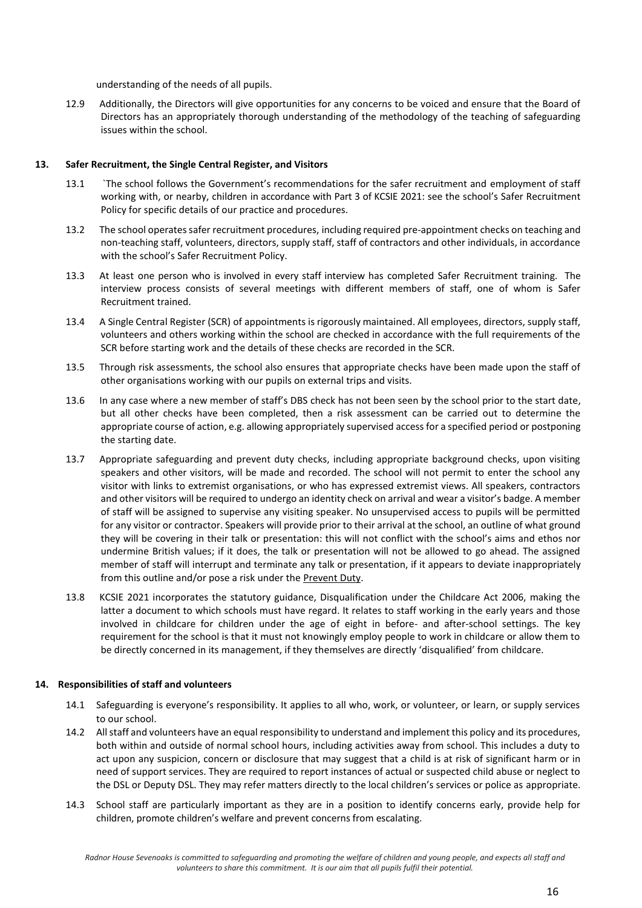understanding of the needs of all pupils.

12.9 Additionally, the Directors will give opportunities for any concerns to be voiced and ensure that the Board of Directors has an appropriately thorough understanding of the methodology of the teaching of safeguarding issues within the school.

#### **13. Safer Recruitment, the Single Central Register, and Visitors**

- 13.1 `The school follows the Government's recommendations for the safer recruitment and employment of staff working with, or nearby, children in accordance with Part 3 of KCSIE 2021: see the school's Safer Recruitment Policy for specific details of our practice and procedures.
- 13.2 The school operates safer recruitment procedures, including required pre-appointment checks on teaching and non-teaching staff, volunteers, directors, supply staff, staff of contractors and other individuals, in accordance with the school's Safer Recruitment Policy.
- 13.3 At least one person who is involved in every staff interview has completed Safer Recruitment training. The interview process consists of several meetings with different members of staff, one of whom is Safer Recruitment trained.
- 13.4 A Single Central Register (SCR) of appointments is rigorously maintained. All employees, directors, supply staff, volunteers and others working within the school are checked in accordance with the full requirements of the SCR before starting work and the details of these checks are recorded in the SCR.
- 13.5 Through risk assessments, the school also ensures that appropriate checks have been made upon the staff of other organisations working with our pupils on external trips and visits.
- 13.6 In any case where a new member of staff's DBS check has not been seen by the school prior to the start date, but all other checks have been completed, then a risk assessment can be carried out to determine the appropriate course of action, e.g. allowing appropriately supervised access for a specified period or postponing the starting date.
- 13.7 Appropriate safeguarding and prevent duty checks, including appropriate background checks, upon visiting speakers and other visitors, will be made and recorded. The school will not permit to enter the school any visitor with links to extremist organisations, or who has expressed extremist views. All speakers, contractors and other visitors will be required to undergo an identity check on arrival and wear a visitor's badge. A member of staff will be assigned to supervise any visiting speaker. No unsupervised access to pupils will be permitted for any visitor or contractor. Speakers will provide prior to their arrival at the school, an outline of what ground they will be covering in their talk or presentation: this will not conflict with the school's aims and ethos nor undermine British values; if it does, the talk or presentation will not be allowed to go ahead. The assigned member of staff will interrupt and terminate any talk or presentation, if it appears to deviate inappropriately from this outline and/or pose a risk under the Prevent Duty.
- 13.8 KCSIE 2021 incorporates the statutory guidance, Disqualification under the Childcare Act 2006, making the latter a document to which schools must have regard. It relates to staff working in the early years and those involved in childcare for children under the age of eight in before- and after-school settings. The key requirement for the school is that it must not knowingly employ people to work in childcare or allow them to be directly concerned in its management, if they themselves are directly 'disqualified' from childcare.

#### **14. Responsibilities of staff and volunteers**

- 14.1 Safeguarding is everyone's responsibility. It applies to all who, work, or volunteer, or learn, or supply services to our school.
- 14.2 All staff and volunteers have an equal responsibility to understand and implement this policy and its procedures, both within and outside of normal school hours, including activities away from school. This includes a duty to act upon any suspicion, concern or disclosure that may suggest that a child is at risk of significant harm or in need of support services. They are required to report instances of actual or suspected child abuse or neglect to the DSL or Deputy DSL. They may refer matters directly to the local children's services or police as appropriate.
- 14.3 School staff are particularly important as they are in a position to identify concerns early, provide help for children, promote children's welfare and prevent concerns from escalating.

*Radnor House Sevenoaks is committed to safeguarding and promoting the welfare of children and young people, and expects all staff and volunteers to share this commitment. It is our aim that all pupils fulfil their potential.*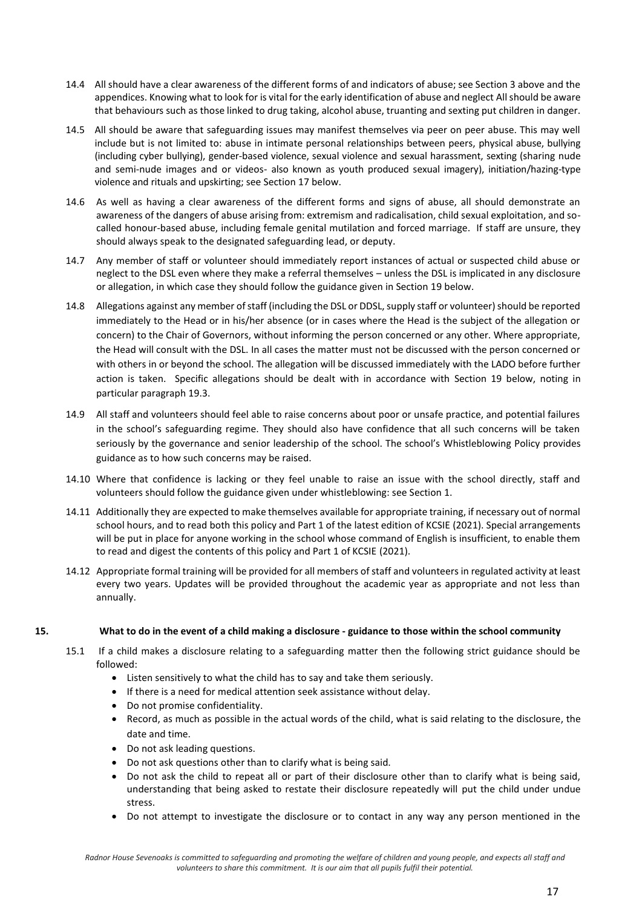- 14.4 All should have a clear awareness of the different forms of and indicators of abuse; see Section 3 above and the appendices. Knowing what to look for is vital for the early identification of abuse and neglect All should be aware that behaviours such as those linked to drug taking, alcohol abuse, truanting and sexting put children in danger.
- 14.5 All should be aware that safeguarding issues may manifest themselves via peer on peer abuse. This may well include but is not limited to: abuse in intimate personal relationships between peers, physical abuse, bullying (including cyber bullying), gender-based violence, sexual violence and sexual harassment, sexting (sharing nude and semi-nude images and or videos- also known as youth produced sexual imagery), initiation/hazing-type violence and rituals and upskirting; see Section 17 below.
- 14.6 As well as having a clear awareness of the different forms and signs of abuse, all should demonstrate an awareness of the dangers of abuse arising from: extremism and radicalisation, child sexual exploitation, and socalled honour-based abuse, including female genital mutilation and forced marriage. If staff are unsure, they should always speak to the designated safeguarding lead, or deputy.
- 14.7 Any member of staff or volunteer should immediately report instances of actual or suspected child abuse or neglect to the DSL even where they make a referral themselves – unless the DSL is implicated in any disclosure or allegation, in which case they should follow the guidance given in Section 19 below.
- 14.8 Allegations against any member of staff (including the DSL or DDSL, supply staff or volunteer) should be reported immediately to the Head or in his/her absence (or in cases where the Head is the subject of the allegation or concern) to the Chair of Governors, without informing the person concerned or any other. Where appropriate, the Head will consult with the DSL. In all cases the matter must not be discussed with the person concerned or with others in or beyond the school. The allegation will be discussed immediately with the LADO before further action is taken. Specific allegations should be dealt with in accordance with Section 19 below, noting in particular paragraph 19.3.
- 14.9 All staff and volunteers should feel able to raise concerns about poor or unsafe practice, and potential failures in the school's safeguarding regime. They should also have confidence that all such concerns will be taken seriously by the governance and senior leadership of the school. The school's Whistleblowing Policy provides guidance as to how such concerns may be raised.
- 14.10 Where that confidence is lacking or they feel unable to raise an issue with the school directly, staff and volunteers should follow the guidance given under whistleblowing: see Section 1.
- 14.11 Additionally they are expected to make themselves available for appropriate training, if necessary out of normal school hours, and to read both this policy and Part 1 of the latest edition of KCSIE (2021). Special arrangements will be put in place for anyone working in the school whose command of English is insufficient, to enable them to read and digest the contents of this policy and Part 1 of KCSIE (2021).
- 14.12 Appropriate formal training will be provided for all members of staff and volunteers in regulated activity at least every two years. Updates will be provided throughout the academic year as appropriate and not less than annually.

#### **15. What to do in the event of a child making a disclosure - guidance to those within the school community**

- 15.1 If a child makes a disclosure relating to a safeguarding matter then the following strict guidance should be followed:
	- Listen sensitively to what the child has to say and take them seriously.
	- If there is a need for medical attention seek assistance without delay.
	- Do not promise confidentiality.
	- Record, as much as possible in the actual words of the child, what is said relating to the disclosure, the date and time.
	- Do not ask leading questions.
	- Do not ask questions other than to clarify what is being said.
	- Do not ask the child to repeat all or part of their disclosure other than to clarify what is being said, understanding that being asked to restate their disclosure repeatedly will put the child under undue stress.
	- Do not attempt to investigate the disclosure or to contact in any way any person mentioned in the

*Radnor House Sevenoaks is committed to safeguarding and promoting the welfare of children and young people, and expects all staff and volunteers to share this commitment. It is our aim that all pupils fulfil their potential.*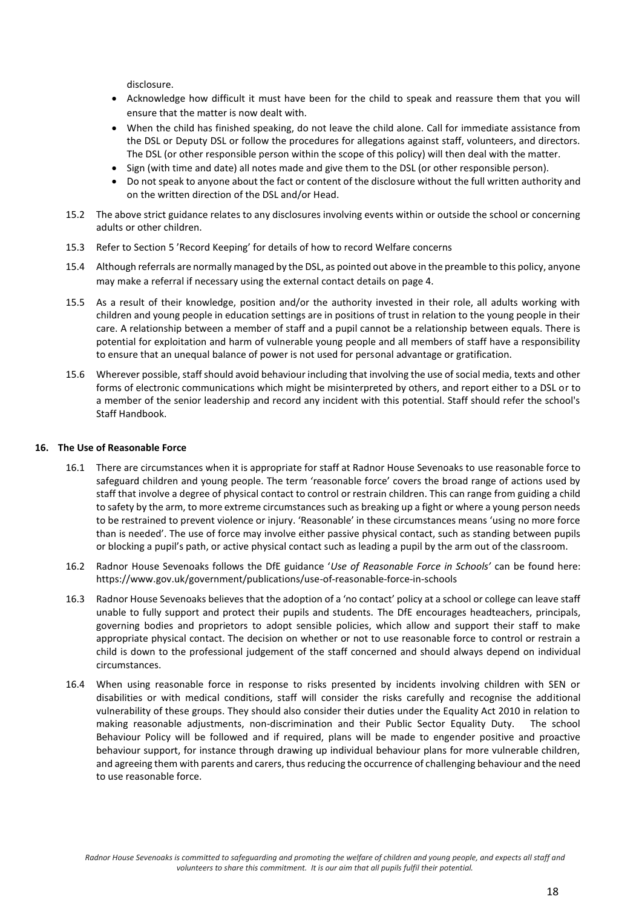disclosure.

- Acknowledge how difficult it must have been for the child to speak and reassure them that you will ensure that the matter is now dealt with.
- When the child has finished speaking, do not leave the child alone. Call for immediate assistance from the DSL or Deputy DSL or follow the procedures for allegations against staff, volunteers, and directors. The DSL (or other responsible person within the scope of this policy) will then deal with the matter.
- Sign (with time and date) all notes made and give them to the DSL (or other responsible person).
- Do not speak to anyone about the fact or content of the disclosure without the full written authority and on the written direction of the DSL and/or Head.
- 15.2 The above strict guidance relates to any disclosures involving events within or outside the school or concerning adults or other children.
- 15.3 Refer to Section 5 'Record Keeping' for details of how to record Welfare concerns
- 15.4 Although referrals are normally managed by the DSL, as pointed out above in the preamble to this policy, anyone may make a referral if necessary using the external contact details on page 4.
- 15.5 As a result of their knowledge, position and/or the authority invested in their role, all adults working with children and young people in education settings are in positions of trust in relation to the young people in their care. A relationship between a member of staff and a pupil cannot be a relationship between equals. There is potential for exploitation and harm of vulnerable young people and all members of staff have a responsibility to ensure that an unequal balance of power is not used for personal advantage or gratification.
- 15.6 Wherever possible, staff should avoid behaviour including that involving the use of social media, texts and other forms of electronic communications which might be misinterpreted by others, and report either to a DSL or to a member of the senior leadership and record any incident with this potential. Staff should refer the school's Staff Handbook.

#### **16. The Use of Reasonable Force**

- 16.1 There are circumstances when it is appropriate for staff at Radnor House Sevenoaks to use reasonable force to safeguard children and young people. The term 'reasonable force' covers the broad range of actions used by staff that involve a degree of physical contact to control or restrain children. This can range from guiding a child to safety by the arm, to more extreme circumstances such as breaking up a fight or where a young person needs to be restrained to prevent violence or injury. 'Reasonable' in these circumstances means 'using no more force than is needed'. The use of force may involve either passive physical contact, such as standing between pupils or blocking a pupil's path, or active physical contact such as leading a pupil by the arm out of the classroom.
- 16.2 Radnor House Sevenoaks follows the DfE guidance '*Use of Reasonable Force in Schools'* can be found here: https://www.gov.uk/government/publications/use-of-reasonable-force-in-schools
- 16.3 Radnor House Sevenoaks believes that the adoption of a 'no contact' policy at a school or college can leave staff unable to fully support and protect their pupils and students. The DfE encourages headteachers, principals, governing bodies and proprietors to adopt sensible policies, which allow and support their staff to make appropriate physical contact. The decision on whether or not to use reasonable force to control or restrain a child is down to the professional judgement of the staff concerned and should always depend on individual circumstances.
- 16.4 When using reasonable force in response to risks presented by incidents involving children with SEN or disabilities or with medical conditions, staff will consider the risks carefully and recognise the additional vulnerability of these groups. They should also consider their duties under the Equality Act 2010 in relation to making reasonable adjustments, non-discrimination and their Public Sector Equality Duty. The school Behaviour Policy will be followed and if required, plans will be made to engender positive and proactive behaviour support, for instance through drawing up individual behaviour plans for more vulnerable children, and agreeing them with parents and carers, thus reducing the occurrence of challenging behaviour and the need to use reasonable force.

*Radnor House Sevenoaks is committed to safeguarding and promoting the welfare of children and young people, and expects all staff and volunteers to share this commitment. It is our aim that all pupils fulfil their potential.*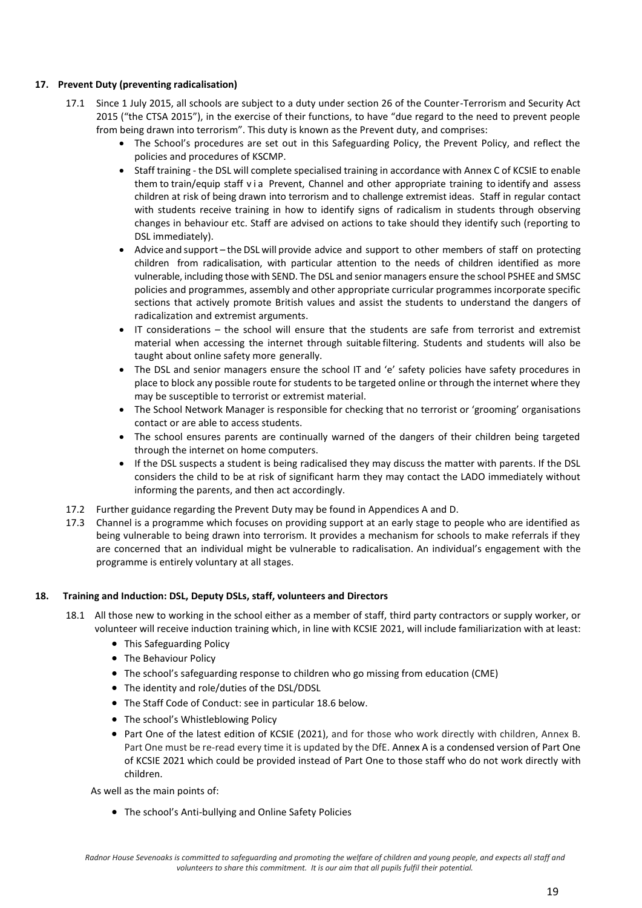## **17. Prevent Duty (preventing radicalisation)**

- 17.1 Since 1 July 2015, all schools are subject to a duty under section 26 of the Counter-Terrorism and Security Act 2015 ("the CTSA 2015"), in the exercise of their functions, to have "due regard to the need to prevent people from being drawn into terrorism". This duty is known as the Prevent duty, and comprises:
	- The School's procedures are set out in this Safeguarding Policy, the Prevent Policy, and reflect the policies and procedures of KSCMP.
	- Staff training the DSL will complete specialised training in accordance with Annex C of KCSIE to enable them to train/equip staff v i a Prevent, Channel and other appropriate training to identify and assess children at risk of being drawn into terrorism and to challenge extremist ideas. Staff in regular contact with students receive training in how to identify signs of radicalism in students through observing changes in behaviour etc. Staff are advised on actions to take should they identify such (reporting to DSL immediately).
	- Advice and support the DSL will provide advice and support to other members of staff on protecting children from radicalisation, with particular attention to the needs of children identified as more vulnerable, including those with SEND. The DSL and senior managers ensure the school PSHEE and SMSC policies and programmes, assembly and other appropriate curricular programmes incorporate specific sections that actively promote British values and assist the students to understand the dangers of radicalization and extremist arguments.
	- IT considerations the school will ensure that the students are safe from terrorist and extremist material when accessing the internet through suitable filtering. Students and students will also be taught about online safety more generally.
	- The DSL and senior managers ensure the school IT and 'e' safety policies have safety procedures in place to block any possible route for students to be targeted online or through the internet where they may be susceptible to terrorist or extremist material.
	- The School Network Manager is responsible for checking that no terrorist or 'grooming' organisations contact or are able to access students.
	- The school ensures parents are continually warned of the dangers of their children being targeted through the internet on home computers.
	- If the DSL suspects a student is being radicalised they may discuss the matter with parents. If the DSL considers the child to be at risk of significant harm they may contact the LADO immediately without informing the parents, and then act accordingly.
- 17.2 Further guidance regarding the Prevent Duty may be found in Appendices A and D.
- 17.3 Channel is a programme which focuses on providing support at an early stage to people who are identified as being vulnerable to being drawn into terrorism. It provides a mechanism for schools to make referrals if they are concerned that an individual might be vulnerable to radicalisation. An individual's engagement with the programme is entirely voluntary at all stages.

#### **18. Training and Induction: DSL, Deputy DSLs, staff, volunteers and Directors**

- 18.1 All those new to working in the school either as a member of staff, third party contractors or supply worker, or volunteer will receive induction training which, in line with KCSIE 2021, will include familiarization with at least:
	- This Safeguarding Policy
	- The Behaviour Policy
	- The school's safeguarding response to children who go missing from education (CME)
	- The identity and role/duties of the DSL/DDSL
	- The Staff Code of Conduct: see in particular 18.6 below.
	- The school's Whistleblowing Policy
	- Part One of the latest edition of KCSIE (2021), and for those who work directly with children, Annex B. Part One must be re-read every time it is updated by the DfE. Annex A is a condensed version of Part One of KCSIE 2021 which could be provided instead of Part One to those staff who do not work directly with children.

As well as the main points of:

• The school's Anti-bullying and Online Safety Policies

*Radnor House Sevenoaks is committed to safeguarding and promoting the welfare of children and young people, and expects all staff and volunteers to share this commitment. It is our aim that all pupils fulfil their potential.*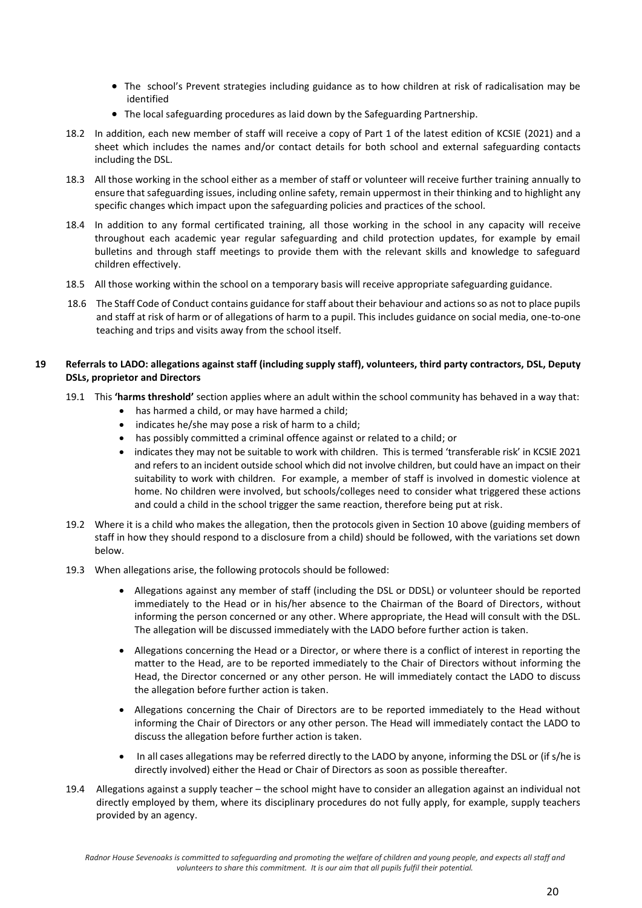- The school's Prevent strategies including guidance as to how children at risk of radicalisation may be identified
- The local safeguarding procedures as laid down by the Safeguarding Partnership.
- 18.2 In addition, each new member of staff will receive a copy of Part 1 of the latest edition of KCSIE (2021) and a sheet which includes the names and/or contact details for both school and external safeguarding contacts including the DSL.
- 18.3 All those working in the school either as a member of staff or volunteer will receive further training annually to ensure that safeguarding issues, including online safety, remain uppermost in their thinking and to highlight any specific changes which impact upon the safeguarding policies and practices of the school.
- 18.4 In addition to any formal certificated training, all those working in the school in any capacity will receive throughout each academic year regular safeguarding and child protection updates, for example by email bulletins and through staff meetings to provide them with the relevant skills and knowledge to safeguard children effectively.
- 18.5 All those working within the school on a temporary basis will receive appropriate safeguarding guidance.
- 18.6 The Staff Code of Conduct contains guidance for staff about their behaviour and actions so as not to place pupils and staff at risk of harm or of allegations of harm to a pupil. This includes guidance on social media, one-to-one teaching and trips and visits away from the school itself.

## **19 Referrals to LADO: allegations against staff (including supply staff), volunteers, third party contractors, DSL, Deputy DSLs, proprietor and Directors**

- 19.1 This **'harms threshold'** section applies where an adult within the school community has behaved in a way that:
	- has harmed a child, or may have harmed a child;
	- indicates he/she may pose a risk of harm to a child;
	- has possibly committed a criminal offence against or related to a child; or
	- indicates they may not be suitable to work with children. This is termed 'transferable risk' in KCSIE 2021 and refers to an incident outside school which did not involve children, but could have an impact on their suitability to work with children. For example, a member of staff is involved in domestic violence at home. No children were involved, but schools/colleges need to consider what triggered these actions and could a child in the school trigger the same reaction, therefore being put at risk.
- 19.2 Where it is a child who makes the allegation, then the protocols given in Section 10 above (guiding members of staff in how they should respond to a disclosure from a child) should be followed, with the variations set down below.
- 19.3 When allegations arise, the following protocols should be followed:
	- Allegations against any member of staff (including the DSL or DDSL) or volunteer should be reported immediately to the Head or in his/her absence to the Chairman of the Board of Directors, without informing the person concerned or any other. Where appropriate, the Head will consult with the DSL. The allegation will be discussed immediately with the LADO before further action is taken.
	- Allegations concerning the Head or a Director, or where there is a conflict of interest in reporting the matter to the Head, are to be reported immediately to the Chair of Directors without informing the Head, the Director concerned or any other person. He will immediately contact the LADO to discuss the allegation before further action is taken.
	- Allegations concerning the Chair of Directors are to be reported immediately to the Head without informing the Chair of Directors or any other person. The Head will immediately contact the LADO to discuss the allegation before further action is taken.
	- In all cases allegations may be referred directly to the LADO by anyone, informing the DSL or (if s/he is directly involved) either the Head or Chair of Directors as soon as possible thereafter.
- 19.4 Allegations against a supply teacher the school might have to consider an allegation against an individual not directly employed by them, where its disciplinary procedures do not fully apply, for example, supply teachers provided by an agency.

*Radnor House Sevenoaks is committed to safeguarding and promoting the welfare of children and young people, and expects all staff and volunteers to share this commitment. It is our aim that all pupils fulfil their potential.*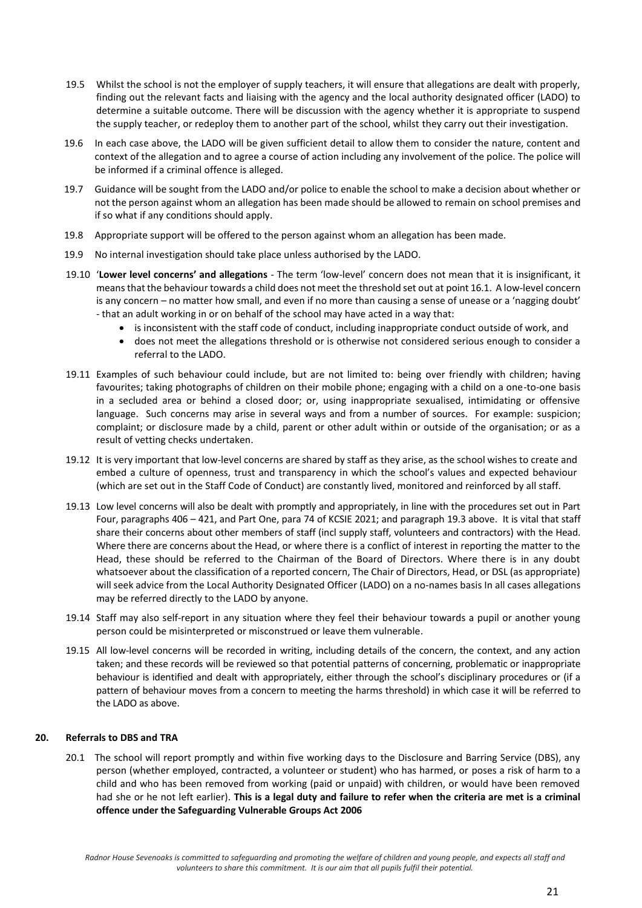- 19.5 Whilst the school is not the employer of supply teachers, it will ensure that allegations are dealt with properly, finding out the relevant facts and liaising with the agency and the local authority designated officer (LADO) to determine a suitable outcome. There will be discussion with the agency whether it is appropriate to suspend the supply teacher, or redeploy them to another part of the school, whilst they carry out their investigation.
- 19.6 In each case above, the LADO will be given sufficient detail to allow them to consider the nature, content and context of the allegation and to agree a course of action including any involvement of the police. The police will be informed if a criminal offence is alleged.
- 19.7 Guidance will be sought from the LADO and/or police to enable the school to make a decision about whether or not the person against whom an allegation has been made should be allowed to remain on school premises and if so what if any conditions should apply.
- 19.8 Appropriate support will be offered to the person against whom an allegation has been made.
- 19.9 No internal investigation should take place unless authorised by the LADO.
- 19.10 '**Lower level concerns' and allegations** The term 'low-level' concern does not mean that it is insignificant, it means that the behaviour towards a child does not meet the threshold set out at point 16.1. A low-level concern is any concern – no matter how small, and even if no more than causing a sense of unease or a 'nagging doubt' - that an adult working in or on behalf of the school may have acted in a way that:
	- is inconsistent with the staff code of conduct, including inappropriate conduct outside of work, and
	- does not meet the allegations threshold or is otherwise not considered serious enough to consider a referral to the LADO.
- 19.11 Examples of such behaviour could include, but are not limited to: being over friendly with children; having favourites; taking photographs of children on their mobile phone; engaging with a child on a one-to-one basis in a secluded area or behind a closed door; or, using inappropriate sexualised, intimidating or offensive language. Such concerns may arise in several ways and from a number of sources. For example: suspicion; complaint; or disclosure made by a child, parent or other adult within or outside of the organisation; or as a result of vetting checks undertaken.
- 19.12 It is very important that low-level concerns are shared by staff as they arise, as the school wishes to create and embed a culture of openness, trust and transparency in which the school's values and expected behaviour (which are set out in the Staff Code of Conduct) are constantly lived, monitored and reinforced by all staff.
- 19.13 Low level concerns will also be dealt with promptly and appropriately, in line with the procedures set out in Part Four, paragraphs 406 – 421, and Part One, para 74 of KCSIE 2021; and paragraph 19.3 above. It is vital that staff share their concerns about other members of staff (incl supply staff, volunteers and contractors) with the Head. Where there are concerns about the Head, or where there is a conflict of interest in reporting the matter to the Head, these should be referred to the Chairman of the Board of Directors. Where there is in any doubt whatsoever about the classification of a reported concern, The Chair of Directors, Head, or DSL (as appropriate) will seek advice from the Local Authority Designated Officer (LADO) on a no-names basis In all cases allegations may be referred directly to the LADO by anyone.
- 19.14 Staff may also self-report in any situation where they feel their behaviour towards a pupil or another young person could be misinterpreted or misconstrued or leave them vulnerable.
- 19.15 All low-level concerns will be recorded in writing, including details of the concern, the context, and any action taken; and these records will be reviewed so that potential patterns of concerning, problematic or inappropriate behaviour is identified and dealt with appropriately, either through the school's disciplinary procedures or (if a pattern of behaviour moves from a concern to meeting the harms threshold) in which case it will be referred to the LADO as above.

#### **20. Referrals to DBS and TRA**

20.1 The school will report promptly and within five working days to the Disclosure and Barring Service (DBS), any person (whether employed, contracted, a volunteer or student) who has harmed, or poses a risk of harm to a child and who has been removed from working (paid or unpaid) with children, or would have been removed had she or he not left earlier). **This is a legal duty and failure to refer when the criteria are met is a criminal offence under the Safeguarding Vulnerable Groups Act 2006**

*Radnor House Sevenoaks is committed to safeguarding and promoting the welfare of children and young people, and expects all staff and volunteers to share this commitment. It is our aim that all pupils fulfil their potential.*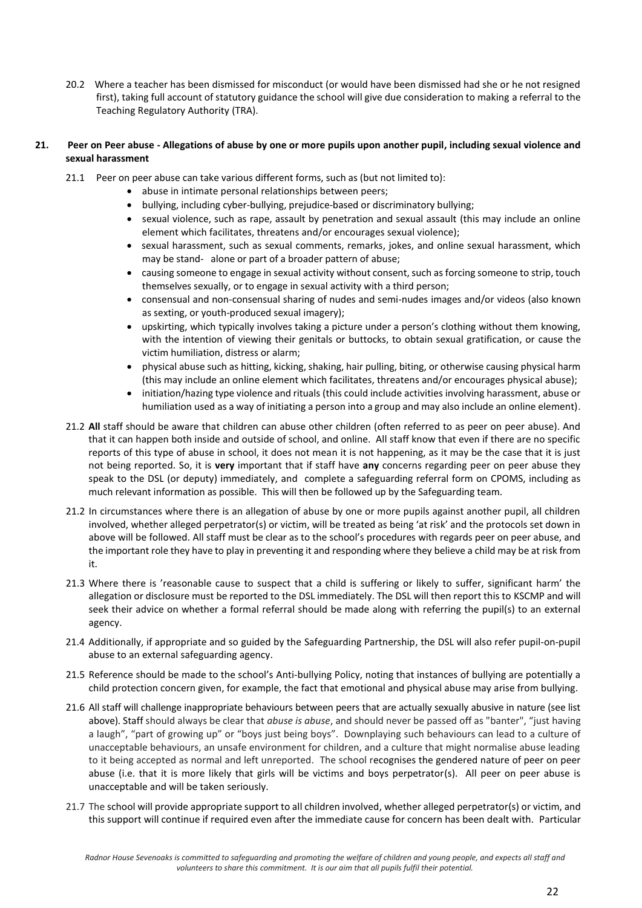20.2 Where a teacher has been dismissed for misconduct (or would have been dismissed had she or he not resigned first), taking full account of statutory guidance the school will give due consideration to making a referral to the Teaching Regulatory Authority (TRA).

## **21. Peer on Peer abuse - Allegations of abuse by one or more pupils upon another pupil, including sexual violence and sexual harassment**

- 21.1 Peer on peer abuse can take various different forms, such as (but not limited to):
	- abuse in intimate personal relationships between peers;
	- bullying, including cyber-bullying, prejudice-based or discriminatory bullying;
	- sexual violence, such as rape, assault by penetration and sexual assault (this may include an online element which facilitates, threatens and/or encourages sexual violence);
	- sexual harassment, such as sexual comments, remarks, jokes, and online sexual harassment, which may be stand- alone or part of a broader pattern of abuse;
	- causing someone to engage in sexual activity without consent, such as forcing someone to strip, touch themselves sexually, or to engage in sexual activity with a third person;
	- consensual and non-consensual sharing of nudes and semi-nudes images and/or videos (also known as sexting, or youth-produced sexual imagery);
	- upskirting, which typically involves taking a picture under a person's clothing without them knowing, with the intention of viewing their genitals or buttocks, to obtain sexual gratification, or cause the victim humiliation, distress or alarm;
	- physical abuse such as hitting, kicking, shaking, hair pulling, biting, or otherwise causing physical harm (this may include an online element which facilitates, threatens and/or encourages physical abuse);
	- initiation/hazing type violence and rituals (this could include activities involving harassment, abuse or humiliation used as a way of initiating a person into a group and may also include an online element).
- 21.2 **All** staff should be aware that children can abuse other children (often referred to as peer on peer abuse). And that it can happen both inside and outside of school, and online. All staff know that even if there are no specific reports of this type of abuse in school, it does not mean it is not happening, as it may be the case that it is just not being reported. So, it is **very** important that if staff have **any** concerns regarding peer on peer abuse they speak to the DSL (or deputy) immediately, and complete a safeguarding referral form on CPOMS, including as much relevant information as possible. This will then be followed up by the Safeguarding team.
- 21.2 In circumstances where there is an allegation of abuse by one or more pupils against another pupil, all children involved, whether alleged perpetrator(s) or victim, will be treated as being 'at risk' and the protocols set down in above will be followed. All staff must be clear as to the school's procedures with regards peer on peer abuse, and the important role they have to play in preventing it and responding where they believe a child may be at risk from it.
- 21.3 Where there is 'reasonable cause to suspect that a child is suffering or likely to suffer, significant harm' the allegation or disclosure must be reported to the DSL immediately. The DSL will then report this to KSCMP and will seek their advice on whether a formal referral should be made along with referring the pupil(s) to an external agency.
- 21.4 Additionally, if appropriate and so guided by the Safeguarding Partnership, the DSL will also refer pupil-on-pupil abuse to an external safeguarding agency.
- 21.5 Reference should be made to the school's Anti-bullying Policy, noting that instances of bullying are potentially a child protection concern given, for example, the fact that emotional and physical abuse may arise from bullying.
- 21.6 All staff will challenge inappropriate behaviours between peers that are actually sexually abusive in nature (see list above). Staff should always be clear that *abuse is abuse*, and should never be passed off as "banter", "just having a laugh", "part of growing up" or "boys just being boys". Downplaying such behaviours can lead to a culture of unacceptable behaviours, an unsafe environment for children, and a culture that might normalise abuse leading to it being accepted as normal and left unreported. The school recognises the gendered nature of peer on peer abuse (i.e. that it is more likely that girls will be victims and boys perpetrator(s). All peer on peer abuse is unacceptable and will be taken seriously.
- 21.7 The school will provide appropriate support to all children involved, whether alleged perpetrator(s) or victim, and this support will continue if required even after the immediate cause for concern has been dealt with. Particular

*Radnor House Sevenoaks is committed to safeguarding and promoting the welfare of children and young people, and expects all staff and volunteers to share this commitment. It is our aim that all pupils fulfil their potential.*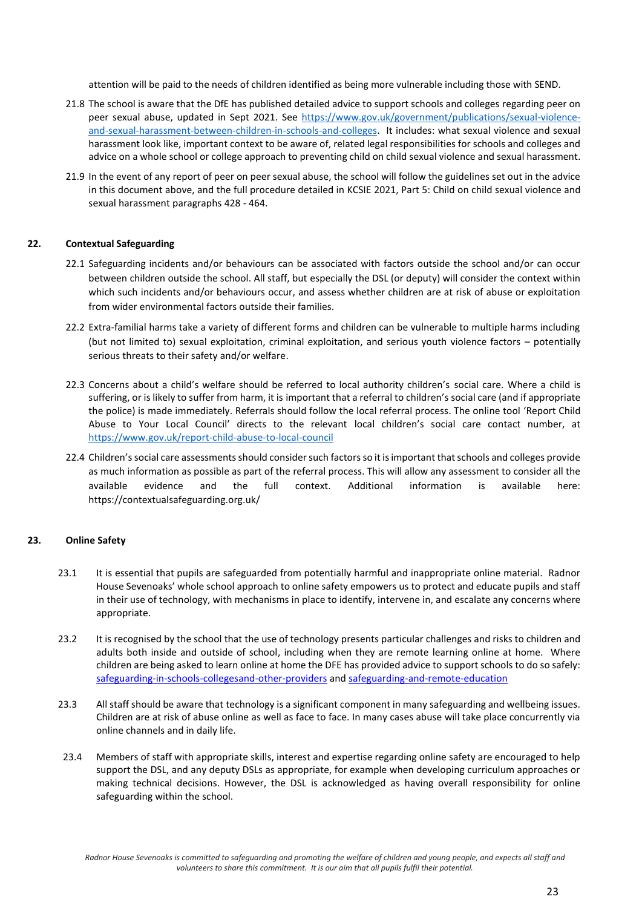attention will be paid to the needs of children identified as being more vulnerable including those with SEND.

- 21.8 The school is aware that the DfE has published detailed advice to support schools and colleges regarding peer on peer sexual abuse, updated in Sept 2021. See [https://www.gov.uk/government/publications/sexual-violence](https://www.gov.uk/government/publications/sexual-violence-and-sexual-harassment-between-children-in-schools-and-colleges)[and-sexual-harassment-between-children-in-schools-and-colleges.](https://www.gov.uk/government/publications/sexual-violence-and-sexual-harassment-between-children-in-schools-and-colleges) It includes: what sexual violence and sexual harassment look like, important context to be aware of, related legal responsibilities for schools and colleges and advice on a whole school or college approach to preventing child on child sexual violence and sexual harassment.
- 21.9 In the event of any report of peer on peer sexual abuse, the school will follow the guidelines set out in the advice in this document above, and the full procedure detailed in KCSIE 2021, Part 5: Child on child sexual violence and sexual harassment paragraphs 428 - 464.

#### **22. Contextual Safeguarding**

- 22.1 Safeguarding incidents and/or behaviours can be associated with factors outside the school and/or can occur between children outside the school. All staff, but especially the DSL (or deputy) will consider the context within which such incidents and/or behaviours occur, and assess whether children are at risk of abuse or exploitation from wider environmental factors outside their families.
- 22.2 Extra-familial harms take a variety of different forms and children can be vulnerable to multiple harms including (but not limited to) sexual exploitation, criminal exploitation, and serious youth violence factors – potentially serious threats to their safety and/or welfare.
- 22.3 Concerns about a child's welfare should be referred to local authority children's social care. Where a child is suffering, or is likely to suffer from harm, it is important that a referral to children's social care (and if appropriate the police) is made immediately. Referrals should follow the local referral process. The online tool 'Report Child Abuse to Your Local Council' directs to the relevant local children's social care contact number, at <https://www.gov.uk/report-child-abuse-to-local-council>
- 22.4 Children's social care assessments should consider such factors so it is important that schools and colleges provide as much information as possible as part of the referral process. This will allow any assessment to consider all the available evidence and the full context. Additional information is available here: https://contextualsafeguarding.org.uk/

### **23. Online Safety**

- 23.1 It is essential that pupils are safeguarded from potentially harmful and inappropriate online material. Radnor House Sevenoaks' whole school approach to online safety empowers us to protect and educate pupils and staff in their use of technology, with mechanisms in place to identify, intervene in, and escalate any concerns where appropriate.
- 23.2 It is recognised by the school that the use of technology presents particular challenges and risks to children and adults both inside and outside of school, including when they are remote learning online at home. Where children are being asked to learn online at home the DFE has provided advice to support schools to do so safely: [safeguarding-in-schools-colleges](http://www.report-it.org.uk/)[and-other-providers](mailto:fgreen@radnor-sevenoaks.org) an[d safeguarding-and-remote-education](http://www.parentinfo.org/)
- 23.3 All staff should be aware that technology is a significant component in many safeguarding and wellbeing issues. Children are at risk of abuse online as well as face to face. In many cases abuse will take place concurrently via online channels and in daily life.
- 23.4 Members of staff with appropriate skills, interest and expertise regarding online safety are encouraged to help support the DSL, and any deputy DSLs as appropriate, for example when developing curriculum approaches or making technical decisions. However, the DSL is acknowledged as having overall responsibility for online safeguarding within the school.

*Radnor House Sevenoaks is committed to safeguarding and promoting the welfare of children and young people, and expects all staff and volunteers to share this commitment. It is our aim that all pupils fulfil their potential.*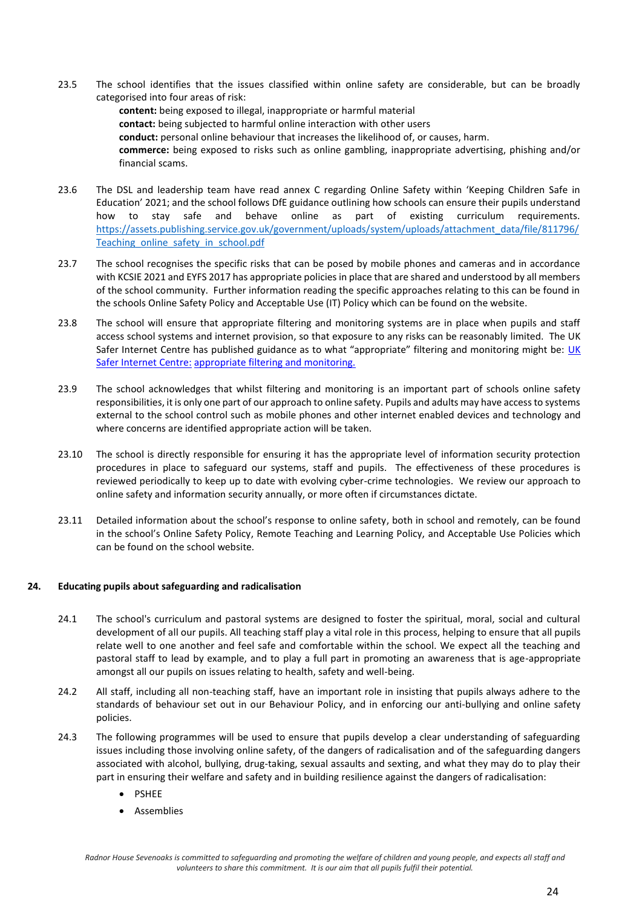- 23.5 The school identifies that the issues classified within online safety are considerable, but can be broadly categorised into four areas of risk:
	- **content:** being exposed to illegal, inappropriate or harmful material **contact:** being subjected to harmful online interaction with other users **conduct:** personal online behaviour that increases the likelihood of, or causes, harm. **commerce:** being exposed to risks such as online gambling, inappropriate advertising, phishing and/or financial scams.
- 23.6 The DSL and leadership team have read annex C regarding Online Safety within 'Keeping Children Safe in Education' 2021; and the school follows DfE guidance outlining how schools can ensure their pupils understand how to stay safe and behave online as part of existing curriculum requirements. [https://assets.publishing.service.gov.uk/government/uploads/system/uploads/attachment\\_data/file/811796/](http://www.net-aware.org.uk/) [Teaching\\_online\\_safety\\_in\\_school.pdf](http://www.net-aware.org.uk/)
- 23.7 The school recognises the specific risks that can be posed by mobile phones and cameras and in accordance with KCSIE 2021 and EYFS 2017 has appropriate policies in place that are shared and understood by all members of the school community. Further information reading the specific approaches relating to this can be found in the schools Online Safety Policy and Acceptable Use (IT) Policy which can be found on the website.
- 23.8 The school will ensure that appropriate filtering and monitoring systems are in place when pupils and staff access school systems and internet provision, so that exposure to any risks can be reasonably limited. The UK Safer Internet Centre has published guidance as to what "appropriate" filtering and monitoring might be: UK Safer Internet Centre: appropriate filtering and monitoring.
- 23.9 The school acknowledges that whilst filtering and monitoring is an important part of schools online safety responsibilities, it is only one part of our approach to online safety. Pupils and adults may have access to systems external to the school control such as mobile phones and other internet enabled devices and technology and where concerns are identified appropriate action will be taken.
- 23.10 The school is directly responsible for ensuring it has the appropriate level of information security protection procedures in place to safeguard our systems, staff and pupils. The effectiveness of these procedures is reviewed periodically to keep up to date with evolving cyber-crime technologies. We review our approach to online safety and information security annually, or more often if circumstances dictate.
- 23.11 Detailed information about the school's response to online safety, both in school and remotely, can be found in the school's Online Safety Policy, Remote Teaching and Learning Policy, and Acceptable Use Policies which can be found on the school website*.*

#### **24. Educating pupils about safeguarding and radicalisation**

- 24.1 The school's curriculum and pastoral systems are designed to foster the spiritual, moral, social and cultural development of all our pupils. All teaching staff play a vital role in this process, helping to ensure that all pupils relate well to one another and feel safe and comfortable within the school. We expect all the teaching and pastoral staff to lead by example, and to play a full part in promoting an awareness that is age-appropriate amongst all our pupils on issues relating to health, safety and well-being.
- 24.2 All staff, including all non-teaching staff, have an important role in insisting that pupils always adhere to the standards of behaviour set out in our Behaviour Policy, and in enforcing our anti-bullying and online safety policies.
- 24.3 The following programmes will be used to ensure that pupils develop a clear understanding of safeguarding issues including those involving online safety, of the dangers of radicalisation and of the safeguarding dangers associated with alcohol, bullying, drug-taking, sexual assaults and sexting, and what they may do to play their part in ensuring their welfare and safety and in building resilience against the dangers of radicalisation:
	- PSHEE
	- Assemblies

*Radnor House Sevenoaks is committed to safeguarding and promoting the welfare of children and young people, and expects all staff and volunteers to share this commitment. It is our aim that all pupils fulfil their potential.*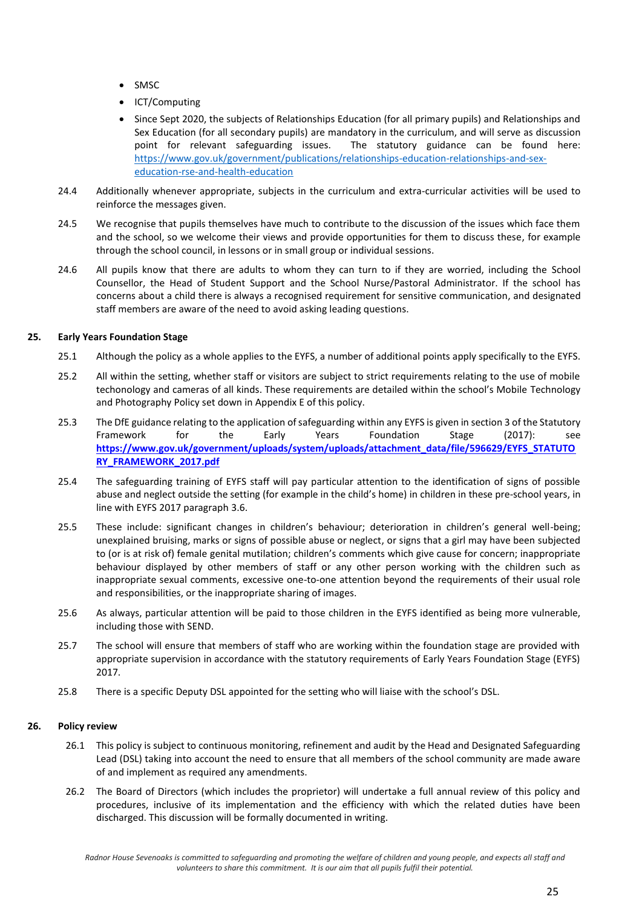- SMSC
- ICT/Computing
- Since Sept 2020, the subjects of Relationships Education (for all primary pupils) and Relationships and Sex Education (for all secondary pupils) are mandatory in the curriculum, and will serve as discussion<br>point for relevant safeguarding issues. The statutory guidance can be found here: The statutory guidance can be found here: [https://www.gov.uk/government/publications/relationships-education-relationships-and-sex](https://www.operationencompass.org/)[education-rse-and-health-education](https://www.operationencompass.org/)
- 24.4 Additionally whenever appropriate, subjects in the curriculum and extra-curricular activities will be used to reinforce the messages given.
- 24.5 We recognise that pupils themselves have much to contribute to the discussion of the issues which face them and the school, so we welcome their views and provide opportunities for them to discuss these, for example through the school council, in lessons or in small group or individual sessions.
- 24.6 All pupils know that there are adults to whom they can turn to if they are worried, including the School Counsellor, the Head of Student Support and the School Nurse/Pastoral Administrator. If the school has concerns about a child there is always a recognised requirement for sensitive communication, and designated staff members are aware of the need to avoid asking leading questions.

## **25. Early Years Foundation Stage**

- 25.1 Although the policy as a whole applies to the EYFS, a number of additional points apply specifically to the EYFS.
- 25.2 All within the setting, whether staff or visitors are subject to strict requirements relating to the use of mobile techonology and cameras of all kinds. These requirements are detailed within the school's Mobile Technology and Photography Policy set down in Appendix E of this policy.
- 25.3 The DfE guidance relating to the application of safeguarding within any EYFS is given in section 3 of the Statutory Framework for the Early Years Foundation Stage (2017): see **[https://www.gov.uk/government/uploads/system/uploads/attachment\\_data/file/596629/EYFS\\_STATUTO](https://www.gov.uk/government/publications/criminal-exploitation-of-children-and-vulnerable-adults-county-lines) [RY\\_FRAMEWORK\\_2017.pdf](https://www.gov.uk/government/publications/criminal-exploitation-of-children-and-vulnerable-adults-county-lines)**
- 25.4 The safeguarding training of EYFS staff will pay particular attention to the identification of signs of possible abuse and neglect outside the setting (for example in the child's home) in children in these pre-school years, in line with EYFS 2017 paragraph 3.6.
- 25.5 These include: significant changes in children's behaviour; deterioration in children's general well-being; unexplained bruising, marks or signs of possible abuse or neglect, or signs that a girl may have been subjected to (or is at risk of) female genital mutilation; children's comments which give cause for concern; inappropriate behaviour displayed by other members of staff or any other person working with the children such as inappropriate sexual comments, excessive one-to-one attention beyond the requirements of their usual role and responsibilities, or the inappropriate sharing of images.
- 25.6 As always, particular attention will be paid to those children in the EYFS identified as being more vulnerable, including those with SEND.
- 25.7 The school will ensure that members of staff who are working within the foundation stage are provided with appropriate supervision in accordance with the statutory requirements of Early Years Foundation Stage (EYFS) 2017.
- 25.8 There is a specific Deputy DSL appointed for the setting who will liaise with the school's DSL.

#### **26. Policy review**

- 26.1 This policy is subject to continuous monitoring, refinement and audit by the Head and Designated Safeguarding Lead (DSL) taking into account the need to ensure that all members of the school community are made aware of and implement as required any amendments.
- 26.2 The Board of Directors (which includes the proprietor) will undertake a full annual review of this policy and procedures, inclusive of its implementation and the efficiency with which the related duties have been discharged. This discussion will be formally documented in writing.

*Radnor House Sevenoaks is committed to safeguarding and promoting the welfare of children and young people, and expects all staff and volunteers to share this commitment. It is our aim that all pupils fulfil their potential.*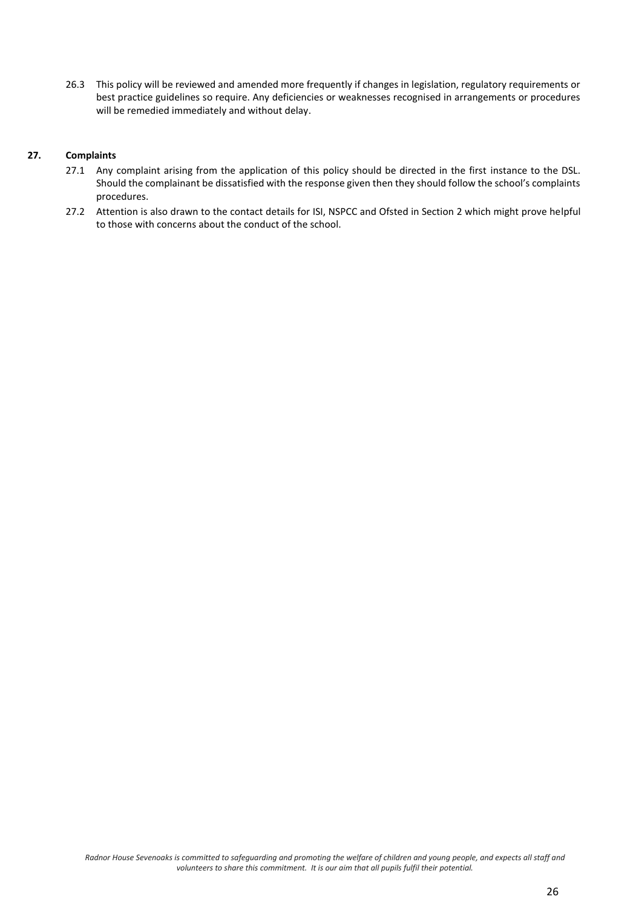26.3 This policy will be reviewed and amended more frequently if changes in legislation, regulatory requirements or best practice guidelines so require. Any deficiencies or weaknesses recognised in arrangements or procedures will be remedied immediately and without delay.

## **27. Complaints**

- 27.1 Any complaint arising from the application of this policy should be directed in the first instance to the DSL. Should the complainant be dissatisfied with the response given then they should follow the school's complaints procedures.
- 27.2 Attention is also drawn to the contact details for ISI, NSPCC and Ofsted in Section 2 which might prove helpful to those with concerns about the conduct of the school.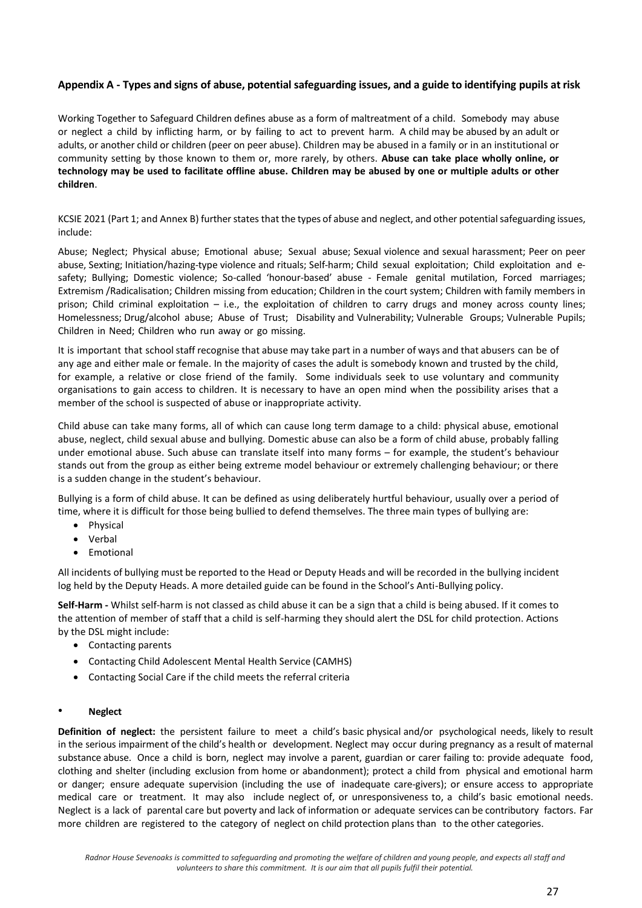## **Appendix A - Types and signs of abuse, potential safeguarding issues, and a guide to identifying pupils at risk**

Working Together to Safeguard Children defines abuse as a form of maltreatment of a child. Somebody may abuse or neglect a child by inflicting harm, or by failing to act to prevent harm. A child may be abused by an adult or adults, or another child or children (peer on peer abuse). Children may be abused in a family or in an institutional or community setting by those known to them or, more rarely, by others. **Abuse can take place wholly online, or technology may be used to facilitate offline abuse. Children may be abused by one or multiple adults or other children**.

KCSIE 2021 (Part 1; and Annex B) further states that the types of abuse and neglect, and other potential safeguarding issues, include:

Abuse; Neglect; Physical abuse; Emotional abuse; Sexual abuse; Sexual violence and sexual harassment; Peer on peer abuse, Sexting; Initiation/hazing-type violence and rituals; Self-harm; Child sexual exploitation; Child exploitation and esafety; Bullying; Domestic violence; So-called 'honour-based' abuse - Female genital mutilation, Forced marriages; Extremism /Radicalisation; Children missing from education; Children in the court system; Children with family members in prison; Child criminal exploitation – i.e., the exploitation of children to carry drugs and money across county lines; Homelessness; Drug/alcohol abuse; Abuse of Trust; Disability and Vulnerability; Vulnerable Groups; Vulnerable Pupils; Children in Need; Children who run away or go missing.

It is important that school staff recognise that abuse may take part in a number of ways and that abusers can be of any age and either male or female. In the majority of cases the adult is somebody known and trusted by the child, for example, a relative or close friend of the family. Some individuals seek to use voluntary and community organisations to gain access to children. It is necessary to have an open mind when the possibility arises that a member of the school is suspected of abuse or inappropriate activity.

Child abuse can take many forms, all of which can cause long term damage to a child: physical abuse, emotional abuse, neglect, child sexual abuse and bullying. Domestic abuse can also be a form of child abuse, probably falling under emotional abuse. Such abuse can translate itself into many forms – for example, the student's behaviour stands out from the group as either being extreme model behaviour or extremely challenging behaviour; or there is a sudden change in the student's behaviour.

Bullying is a form of child abuse. It can be defined as using deliberately hurtful behaviour, usually over a period of time, where it is difficult for those being bullied to defend themselves. The three main types of bullying are:

- Physical
- Verbal
- Emotional

All incidents of bullying must be reported to the Head or Deputy Heads and will be recorded in the bullying incident log held by the Deputy Heads. A more detailed guide can be found in the School's Anti-Bullying policy.

**Self-Harm -** Whilst self-harm is not classed as child abuse it can be a sign that a child is being abused. If it comes to the attention of member of staff that a child is self-harming they should alert the DSL for child protection. Actions by the DSL might include:

- Contacting parents
- Contacting Child Adolescent Mental Health Service (CAMHS)
- Contacting Social Care if the child meets the referral criteria

#### • **Neglect**

**Definition of neglect:** the persistent failure to meet a child's basic physical and/or psychological needs, likely to result in the serious impairment of the child's health or development. Neglect may occur during pregnancy as a result of maternal substance abuse. Once a child is born, neglect may involve a parent, guardian or carer failing to: provide adequate food, clothing and shelter (including exclusion from home or abandonment); protect a child from physical and emotional harm or danger; ensure adequate supervision (including the use of inadequate care-givers); or ensure access to appropriate medical care or treatment. It may also include neglect of, or unresponsiveness to, a child's basic emotional needs. Neglect is a lack of parental care but poverty and lack of information or adequate services can be contributory factors. Far more children are registered to the category of neglect on child protection plans than to the other categories.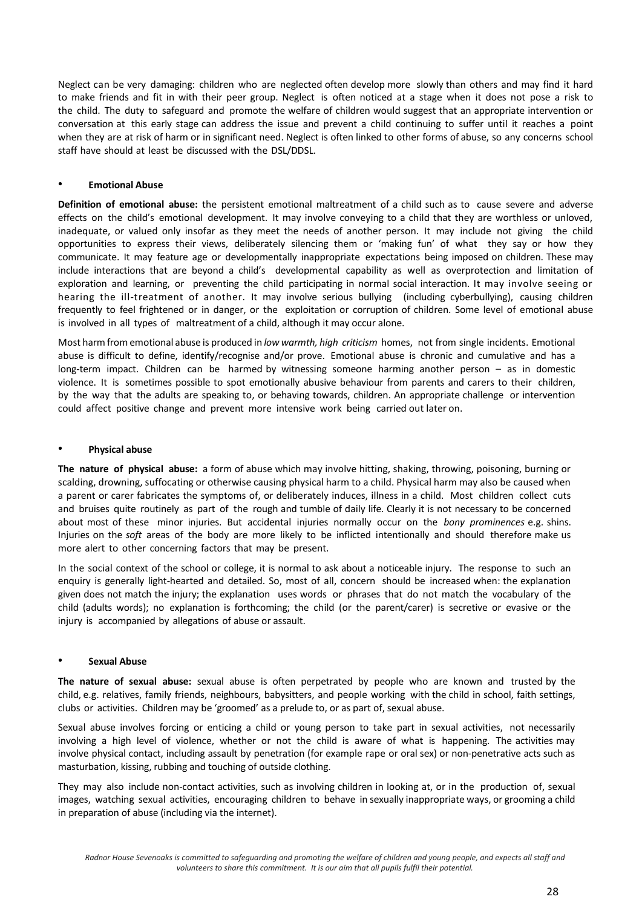Neglect can be very damaging: children who are neglected often develop more slowly than others and may find it hard to make friends and fit in with their peer group. Neglect is often noticed at a stage when it does not pose a risk to the child. The duty to safeguard and promote the welfare of children would suggest that an appropriate intervention or conversation at this early stage can address the issue and prevent a child continuing to suffer until it reaches a point when they are at risk of harm or in significant need. Neglect is often linked to other forms of abuse, so any concerns school staff have should at least be discussed with the DSL/DDSL.

#### • **Emotional Abuse**

**Definition of emotional abuse:** the persistent emotional maltreatment of a child such as to cause severe and adverse effects on the child's emotional development. It may involve conveying to a child that they are worthless or unloved, inadequate, or valued only insofar as they meet the needs of another person. It may include not giving the child opportunities to express their views, deliberately silencing them or 'making fun' of what they say or how they communicate. It may feature age or developmentally inappropriate expectations being imposed on children. These may include interactions that are beyond a child's developmental capability as well as overprotection and limitation of exploration and learning, or preventing the child participating in normal social interaction. It may involve seeing or hearing the ill-treatment of another. It may involve serious bullying (including cyberbullying), causing children frequently to feel frightened or in danger, or the exploitation or corruption of children. Some level of emotional abuse is involved in all types of maltreatment of a child, although it may occur alone.

Most harm from emotional abuse is produced in *low warmth, high criticism* homes, not from single incidents. Emotional abuse is difficult to define, identify/recognise and/or prove. Emotional abuse is chronic and cumulative and has a long-term impact. Children can be harmed by witnessing someone harming another person – as in domestic violence. It is sometimes possible to spot emotionally abusive behaviour from parents and carers to their children, by the way that the adults are speaking to, or behaving towards, children. An appropriate challenge or intervention could affect positive change and prevent more intensive work being carried out later on.

#### • **Physical abuse**

**The nature of physical abuse:** a form of abuse which may involve hitting, shaking, throwing, poisoning, burning or scalding, drowning, suffocating or otherwise causing physical harm to a child. Physical harm may also be caused when a parent or carer fabricates the symptoms of, or deliberately induces, illness in a child. Most children collect cuts and bruises quite routinely as part of the rough and tumble of daily life. Clearly it is not necessary to be concerned about most of these minor injuries. But accidental injuries normally occur on the *bony prominences* e.g. shins. Injuries on the *soft* areas of the body are more likely to be inflicted intentionally and should therefore make us more alert to other concerning factors that may be present.

In the social context of the school or college, it is normal to ask about a noticeable injury. The response to such an enquiry is generally light-hearted and detailed. So, most of all, concern should be increased when: the explanation given does not match the injury; the explanation uses words or phrases that do not match the vocabulary of the child (adults words); no explanation is forthcoming; the child (or the parent/carer) is secretive or evasive or the injury is accompanied by allegations of abuse or assault.

#### • **Sexual Abuse**

**The nature of sexual abuse:** sexual abuse is often perpetrated by people who are known and trusted by the child, e.g. relatives, family friends, neighbours, babysitters, and people working with the child in school, faith settings, clubs or activities. Children may be 'groomed' as a prelude to, or as part of, sexual abuse.

Sexual abuse involves forcing or enticing a child or young person to take part in sexual activities, not necessarily involving a high level of violence, whether or not the child is aware of what is happening. The activities may involve physical contact, including assault by penetration (for example rape or oral sex) or non-penetrative acts such as masturbation, kissing, rubbing and touching of outside clothing.

They may also include non-contact activities, such as involving children in looking at, or in the production of, sexual images, watching sexual activities, encouraging children to behave in sexually inappropriate ways, or grooming a child in preparation of abuse (including via the internet).

*Radnor House Sevenoaks is committed to safeguarding and promoting the welfare of children and young people, and expects all staff and volunteers to share this commitment. It is our aim that all pupils fulfil their potential.*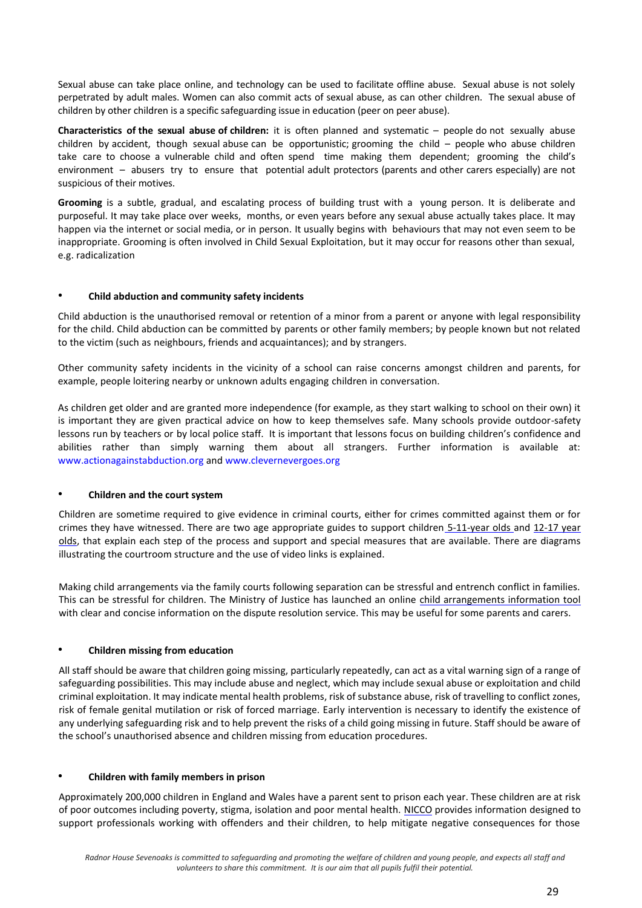Sexual abuse can take place online, and technology can be used to facilitate offline abuse. Sexual abuse is not solely perpetrated by adult males. Women can also commit acts of sexual abuse, as can other children. The sexual abuse of children by other children is a specific safeguarding issue in education (peer on peer abuse).

**Characteristics of the sexual abuse of children:** it is often planned and systematic – people do not sexually abuse children by accident, though sexual abuse can be opportunistic; grooming the child – people who abuse children take care to choose a vulnerable child and often spend time making them dependent; grooming the child's environment – abusers try to ensure that potential adult protectors (parents and other carers especially) are not suspicious of their motives.

**Grooming** is a subtle, gradual, and escalating process of building trust with a young person. It is deliberate and purposeful. It may take place over weeks, months, or even years before any sexual abuse actually takes place. It may happen via the internet or social media, or in person. It usually begins with behaviours that may not even seem to be inappropriate. Grooming is often involved in Child Sexual Exploitation, but it may occur for reasons other than sexual, e.g. radicalization

#### • **Child abduction and community safety incidents**

Child abduction is the unauthorised removal or retention of a minor from a parent or anyone with legal responsibility for the child. Child abduction can be committed by parents or other family members; by people known but not related to the victim (such as neighbours, friends and acquaintances); and by strangers.

Other community safety incidents in the vicinity of a school can raise concerns amongst children and parents, for example, people loitering nearby or unknown adults engaging children in conversation.

As children get older and are granted more independence (for example, as they start walking to school on their own) it is important they are given practical advice on how to keep themselves safe. Many schools provide outdoor-safety lessons run by teachers or by local police staff. It is important that lessons focus on building children's confidence and abilities rather than simply warning them about all strangers. Further information is available at: www.actionagainstabduction.org and www.clevernevergoes.org

#### • **Children and the court system**

Children are sometime required to give evidence in criminal courts, either for crimes committed against them or for crimes they have witnessed. There are two age appropriate guides to support children [5-11-year olds](https://www.gov.uk/government/publications/criminal-exploitation-of-children-and-vulnerable-adults-county-lines) [an](http://formfinder.hmctsformfinder.justice.gov.uk/ywp-5-11-eng.pdf)d 12-17 year [olds,](https://www.gov.uk/government/uploads/system/uploads/attachment_data/file/322307/HMG_MULTI_AGENCY_PRACTICE_GUIDELINES_v1_180614_FINAL.pdf) that explain each step of the process and support and special measures that are available. There are diagrams illustrating the courtroom structure and the use of video links is explained.

Making child arrangements via the family courts following separation can be stressful and entrench conflict in families. This can be stressful for children. The Ministry of Justice has launched an online [child arrangements information tool](https://assets.publishing.service.gov.uk/government/uploads/system/uploads/attachment_data/file/470088/51859_Cm9148_Accessible.pdf) with clear and concise information on the dispute resolution service. This may be useful for some parents and carers.

#### • **Children missing from education**

All staff should be aware that children going missing, particularly repeatedly, can act as a vital warning sign of a range of safeguarding possibilities. This may include abuse and neglect, which may include sexual abuse or exploitation and child criminal exploitation. It may indicate mental health problems, risk of substance abuse, risk of travelling to conflict zones, risk of female genital mutilation or risk of forced marriage. Early intervention is necessary to identify the existence of any underlying safeguarding risk and to help prevent the risks of a child going missing in future. Staff should be aware of the school's unauthorised absence and children missing from education procedures.

#### • **Children with family members in prison**

Approximately 200,000 children in England and Wales have a parent sent to prison each year. These children are at risk of poor outcomes including poverty, stigma, isolation and poor mental health. [NICCO](http://www.gov.uk/government/publications/working-together-to-safeguard-children) provides information designed to support professionals working with offenders and their children, to help mitigate negative consequences for those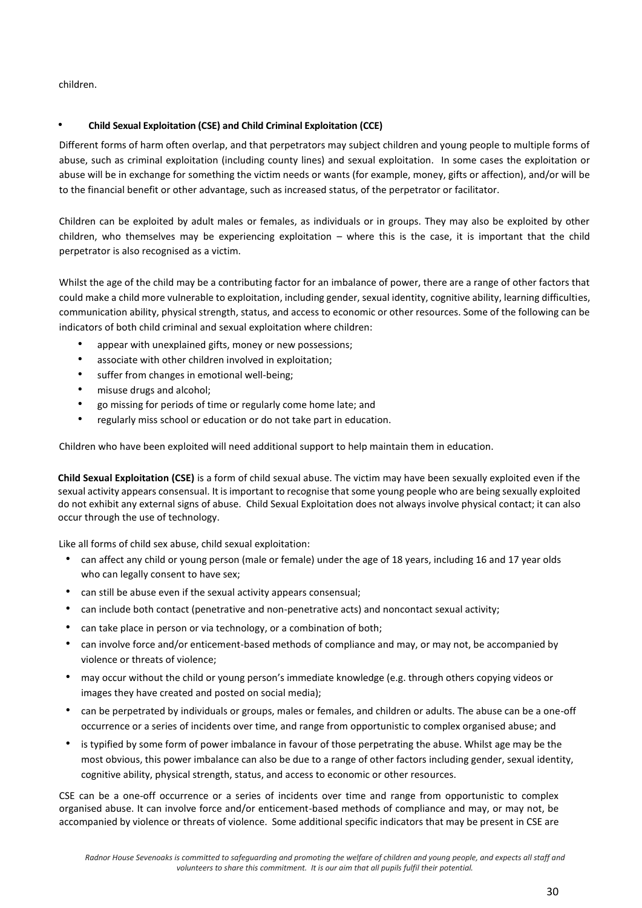children.

## • **Child Sexual Exploitation (CSE) and Child Criminal Exploitation (CCE)**

Different forms of harm often overlap, and that perpetrators may subject children and young people to multiple forms of abuse, such as criminal exploitation (including county lines) and sexual exploitation. In some cases the exploitation or abuse will be in exchange for something the victim needs or wants (for example, money, gifts or affection), and/or will be to the financial benefit or other advantage, such as increased status, of the perpetrator or facilitator.

Children can be exploited by adult males or females, as individuals or in groups. They may also be exploited by other children, who themselves may be experiencing exploitation – where this is the case, it is important that the child perpetrator is also recognised as a victim.

Whilst the age of the child may be a contributing factor for an imbalance of power, there are a range of other factors that could make a child more vulnerable to exploitation, including gender, sexual identity, cognitive ability, learning difficulties, communication ability, physical strength, status, and access to economic or other resources. Some of the following can be indicators of both child criminal and sexual exploitation where children:

- appear with unexplained gifts, money or new possessions;
- associate with other children involved in exploitation;
- suffer from changes in emotional well-being;
- misuse drugs and alcohol;
- go missing for periods of time or regularly come home late; and
- regularly miss school or education or do not take part in education.

Children who have been exploited will need additional support to help maintain them in education.

**Child Sexual Exploitation (CSE)** is a form of child sexual abuse. The victim may have been sexually exploited even if the sexual activity appears consensual. It is important to recognise that some young people who are being sexually exploited do not exhibit any external signs of abuse. Child Sexual Exploitation does not always involve physical contact; it can also occur through the use of technology.

Like all forms of child sex abuse, child sexual exploitation:

- can affect any child or young person (male or female) under the age of 18 years, including 16 and 17 year olds who can legally consent to have sex;
- can still be abuse even if the sexual activity appears consensual;
- can include both contact (penetrative and non-penetrative acts) and noncontact sexual activity;
- can take place in person or via technology, or a combination of both;
- can involve force and/or enticement-based methods of compliance and may, or may not, be accompanied by violence or threats of violence;
- may occur without the child or young person's immediate knowledge (e.g. through others copying videos or images they have created and posted on social media);
- can be perpetrated by individuals or groups, males or females, and children or adults. The abuse can be a one-off occurrence or a series of incidents over time, and range from opportunistic to complex organised abuse; and
- is typified by some form of power imbalance in favour of those perpetrating the abuse. Whilst age may be the most obvious, this power imbalance can also be due to a range of other factors including gender, sexual identity, cognitive ability, physical strength, status, and access to economic or other resources.

CSE can be a one-off occurrence or a series of incidents over time and range from opportunistic to complex organised abuse. It can involve force and/or enticement-based methods of compliance and may, or may not, be accompanied by violence or threats of violence. Some additional specific indicators that may be present in CSE are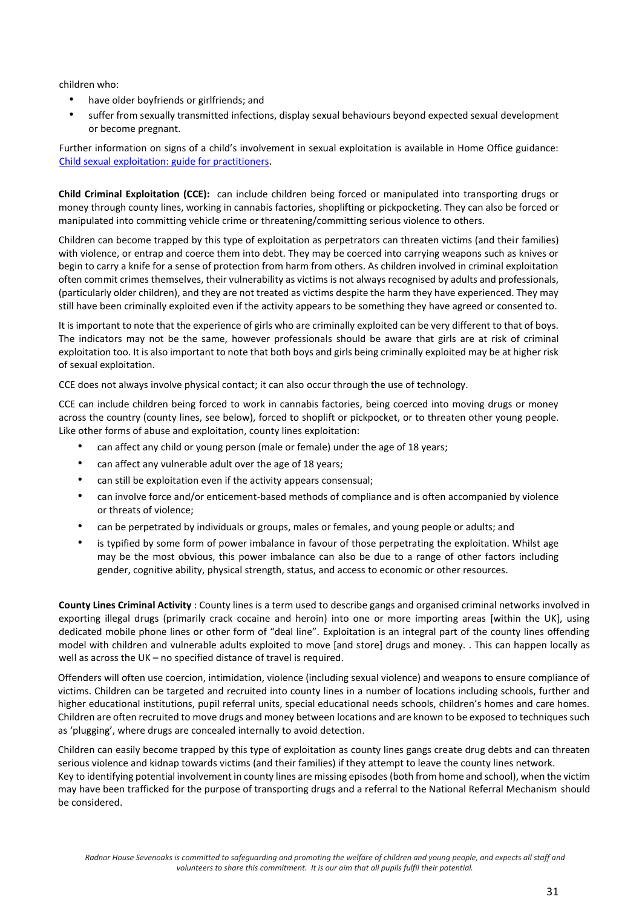children who:

- have older boyfriends or girlfriends; and
- suffer from sexually transmitted infections, display sexual behaviours beyond expected sexual development or become pregnant.

Further information on signs of a child's involvement in sexual exploitation is available in Home Office guidance: [Child sexual exploitation: guide for practitioners.](https://www.gov.uk/government/publications/child-sexual-exploitation-definition-and-guide-for-practitioners)

**Child Criminal Exploitation (CCE):**can include children being forced or manipulated into transporting drugs or money through county lines, working in cannabis factories, shoplifting or pickpocketing. They can also be forced or manipulated into committing vehicle crime or threatening/committing serious violence to others.

Children can become trapped by this type of exploitation as perpetrators can threaten victims (and their families) with violence, or entrap and coerce them into debt. They may be coerced into carrying weapons such as knives or begin to carry a knife for a sense of protection from harm from others. As children involved in criminal exploitation often commit crimes themselves, their vulnerability as victims is not always recognised by adults and professionals, (particularly older children), and they are not treated as victims despite the harm they have experienced. They may still have been criminally exploited even if the activity appears to be something they have agreed or consented to.

It is important to note that the experience of girls who are criminally exploited can be very different to that of boys. The indicators may not be the same, however professionals should be aware that girls are at risk of criminal exploitation too. It is also important to note that both boys and girls being criminally exploited may be at higher risk of sexual exploitation.

CCE does not always involve physical contact; it can also occur through the use of technology.

CCE can include children being forced to work in cannabis factories, being coerced into moving drugs or money across the country (county lines, see below), forced to shoplift or pickpocket, or to threaten other young people. Like other forms of abuse and exploitation, county lines exploitation:

- can affect any child or young person (male or female) under the age of 18 years;
- can affect any vulnerable adult over the age of 18 years;
- can still be exploitation even if the activity appears consensual;
- can involve force and/or enticement-based methods of compliance and is often accompanied by violence or threats of violence;
- can be perpetrated by individuals or groups, males or females, and young people or adults; and
- is typified by some form of power imbalance in favour of those perpetrating the exploitation. Whilst age may be the most obvious, this power imbalance can also be due to a range of other factors including gender, cognitive ability, physical strength, status, and access to economic or other resources.

**County Lines Criminal Activity** : County lines is a term used to describe gangs and organised criminal networks involved in exporting illegal drugs (primarily crack cocaine and heroin) into one or more importing areas [within the UK], using dedicated mobile phone lines or other form of "deal line". Exploitation is an integral part of the county lines offending model with children and vulnerable adults exploited to move [and store] drugs and money. . This can happen locally as well as across the UK – no specified distance of travel is required.

Offenders will often use coercion, intimidation, violence (including sexual violence) and weapons to ensure compliance of victims. Children can be targeted and recruited into county lines in a number of locations including schools, further and higher educational institutions, pupil referral units, special educational needs schools, children's homes and care homes. Children are often recruited to move drugs and money between locations and are known to be exposed to techniques such as 'plugging', where drugs are concealed internally to avoid detection.

Children can easily become trapped by this type of exploitation as county lines gangs create drug debts and can threaten serious violence and kidnap towards victims (and their families) if they attempt to leave the county lines network. Key to identifying potential involvement in county lines are missing episodes (both from home and school), when the victim may have been trafficked for the purpose of transporting drugs and a referral to the National Referral Mechanism should be considered.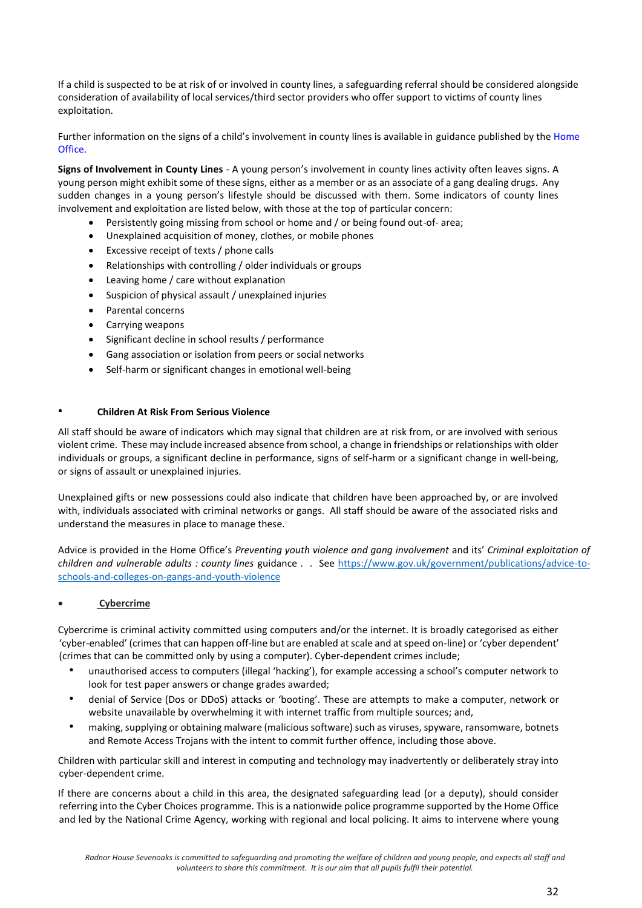If a child is suspected to be at risk of or involved in county lines, a safeguarding referral should be considered alongside consideration of availability of local services/third sector providers who offer support to victims of county lines exploitation.

Further information on the signs of a child's involvement in county lines is available in guidance published by the Home Office.

**Signs of Involvement in County Lines** - A young person's involvement in county lines activity often leaves signs. A young person might exhibit some of these signs, either as a member or as an associate of a gang dealing drugs. Any sudden changes in a young person's lifestyle should be discussed with them. Some indicators of county lines involvement and exploitation are listed below, with those at the top of particular concern:

- Persistently going missing from school or home and / or being found out-of- area;
- Unexplained acquisition of money, clothes, or mobile phones
- Excessive receipt of texts / phone calls
- Relationships with controlling / older individuals or groups
- Leaving home / care without explanation
- Suspicion of physical assault / unexplained injuries
- Parental concerns
- Carrying weapons
- Significant decline in school results / performance
- Gang association or isolation from peers or social networks
- Self-harm or significant changes in emotional well-being

#### • **Children At Risk From Serious Violence**

All staff should be aware of indicators which may signal that children are at risk from, or are involved with serious violent crime. These may include increased absence from school, a change in friendships or relationships with older individuals or groups, a significant decline in performance, signs of self-harm or a significant change in well-being, or signs of assault or unexplained injuries.

Unexplained gifts or new possessions could also indicate that children have been approached by, or are involved with, individuals associated with criminal networks or gangs. All staff should be aware of the associated risks and understand the measures in place to manage these.

Advice is provided in the Home Office's *Preventing youth violence and gang involvement* and its' *Criminal exploitation of children and vulnerable adults : county lines* guidance . . See [https://www.gov.uk/government/publications/advice-to](https://www.gov.uk/government/publications/advice-to-schools-and-colleges-on-gangs-and-youth-violence)[schools-and-colleges-on-gangs-and-youth-violence](https://www.gov.uk/government/publications/advice-to-schools-and-colleges-on-gangs-and-youth-violence) 

#### • **Cybercrime**

Cybercrime is criminal activity committed using computers and/or the internet. It is broadly categorised as either 'cyber-enabled' (crimes that can happen off-line but are enabled at scale and at speed on-line) or 'cyber dependent' (crimes that can be committed only by using a computer). Cyber-dependent crimes include;

- unauthorised access to computers (illegal 'hacking'), for example accessing a school's computer network to look for test paper answers or change grades awarded;
- denial of Service (Dos or DDoS) attacks or 'booting'. These are attempts to make a computer, network or website unavailable by overwhelming it with internet traffic from multiple sources; and,
- making, supplying or obtaining malware (malicious software) such as viruses, spyware, ransomware, botnets and Remote Access Trojans with the intent to commit further offence, including those above.

Children with particular skill and interest in computing and technology may inadvertently or deliberately stray into cyber-dependent crime.

If there are concerns about a child in this area, the designated safeguarding lead (or a deputy), should consider referring into the Cyber Choices programme. This is a nationwide police programme supported by the Home Office and led by the National Crime Agency, working with regional and local policing. It aims to intervene where young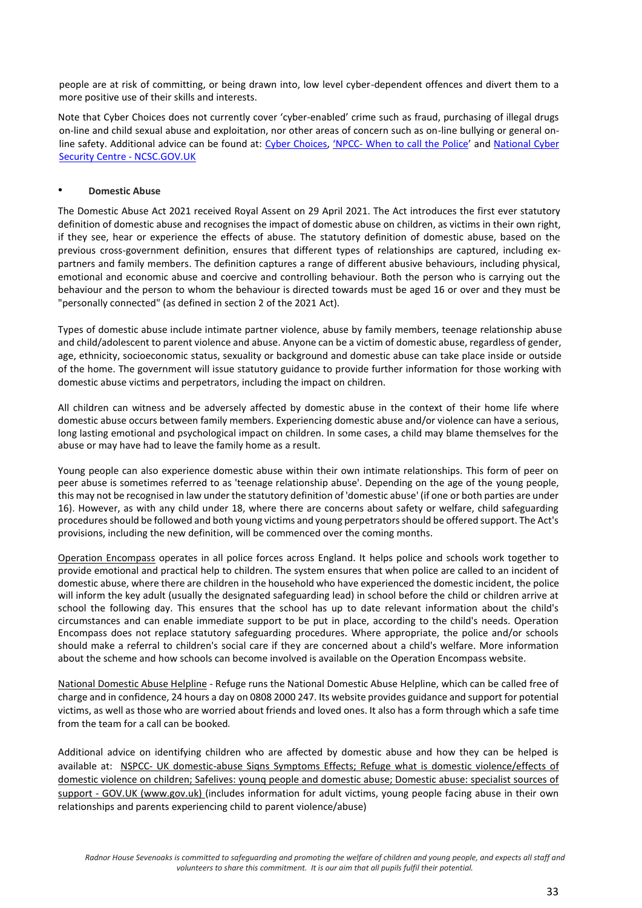people are at risk of committing, or being drawn into, low level cyber-dependent offences and divert them to a more positive use of their skills and interests.

Note that Cyber Choices does not currently cover 'cyber-enabled' crime such as fraud, purchasing of illegal drugs on-line and child sexual abuse and exploitation, nor other areas of concern such as on-line bullying or general on-line safety. Additional advice can be found at: [Cyber Choices,](http://www.cyberchoices.uk/) ['](https://www.npcc.police.uk/documents/Children%20and%20Young%20people/When%20to%20call%20the%20police%20guidance%20for%20schools%20and%20colleges.pdf)NPCC- [When to call the Police](https://www.npcc.police.uk/documents/Children%20and%20Young%20people/When%20to%20call%20the%20police%20guidance%20for%20schools%20and%20colleges.pdf)' and National Cyber [Security Centre -](https://www.ncsc.gov.uk/) NCSC.GOV.U[K](https://www.ncsc.gov.uk/)

#### • **Domestic Abuse**

The Domestic Abuse Act 2021 received Royal Assent on 29 April 2021. The Act introduces the first ever statutory definition of domestic abuse and recognises the impact of domestic abuse on children, as victims in their own right, if they see, hear or experience the effects of abuse. The statutory definition of domestic abuse, based on the previous cross-government definition, ensures that different types of relationships are captured, including expartners and family members. The definition captures a range of different abusive behaviours, including physical, emotional and economic abuse and coercive and controlling behaviour. Both the person who is carrying out the behaviour and the person to whom the behaviour is directed towards must be aged 16 or over and they must be "personally connected" (as defined in section 2 of the 2021 Act).

Types of domestic abuse include intimate partner violence, abuse by family members, teenage relationship abuse and child/adolescent to parent violence and abuse. Anyone can be a victim of domestic abuse, regardless of gender, age, ethnicity, socioeconomic status, sexuality or background and domestic abuse can take place inside or outside of the home. The government will issue statutory guidance to provide further information for those working with domestic abuse victims and perpetrators, including the impact on children.

All children can witness and be adversely affected by domestic abuse in the context of their home life where domestic abuse occurs between family members. Experiencing domestic abuse and/or violence can have a serious, long lasting emotional and psychological impact on children. In some cases, a child may blame themselves for the abuse or may have had to leave the family home as a result.

Young people can also experience domestic abuse within their own intimate relationships. This form of peer on peer abuse is sometimes referred to as 'teenage relationship abuse'. Depending on the age of the young people, this may not be recognised in law under the statutory definition of 'domestic abuse' (if one or both parties are under 16). However, as with any child under 18, where there are concerns about safety or welfare, child safeguarding procedures should be followed and both young victims and young perpetrators should be offered support. The Act's provisions, including the new definition, will be commenced over the coming months.

Operation Encompass operates in all police forces across England. It helps police and schools work together to provide emotional and practical help to children. The system ensures that when police are called to an incident of domestic abuse, where there are children in the household who have experienced the domestic incident, the police will inform the key adult (usually the designated safeguarding lead) in school before the child or children arrive at school the following day. This ensures that the school has up to date relevant information about the child's circumstances and can enable immediate support to be put in place, according to the child's needs. Operation Encompass does not replace statutory safeguarding procedures. Where appropriate, the police and/or schools should make a referral to children's social care if they are concerned about a child's welfare. More information about the scheme and how schools can become involved is available on the Operation Encompass website.

National Domestic Abuse Helpline - Refuge runs the National Domestic Abuse Helpline, which can be called free of charge and in confidence, 24 hours a day on 0808 2000 247. Its website provides guidance and support for potential victims, as well as those who are worried about friends and loved ones. It also has a form through which a safe time from the team for a call can be booked

Additional advice on identifying children who are affected by domestic abuse and how they can be helped is available at: NSPCC- UK domestic-abuse Signs Symptoms Effects; Refuge what is domestic violence/effects of domestic violence on children; Safelives: younq people and domestic abuse; Domestic abuse: specialist sources of support - GOV.UK (www.gov.uk) (includes information for adult victims, young people facing abuse in their own relationships and parents experiencing child to parent violence/abuse)

*Radnor House Sevenoaks is committed to safeguarding and promoting the welfare of children and young people, and expects all staff and volunteers to share this commitment. It is our aim that all pupils fulfil their potential.*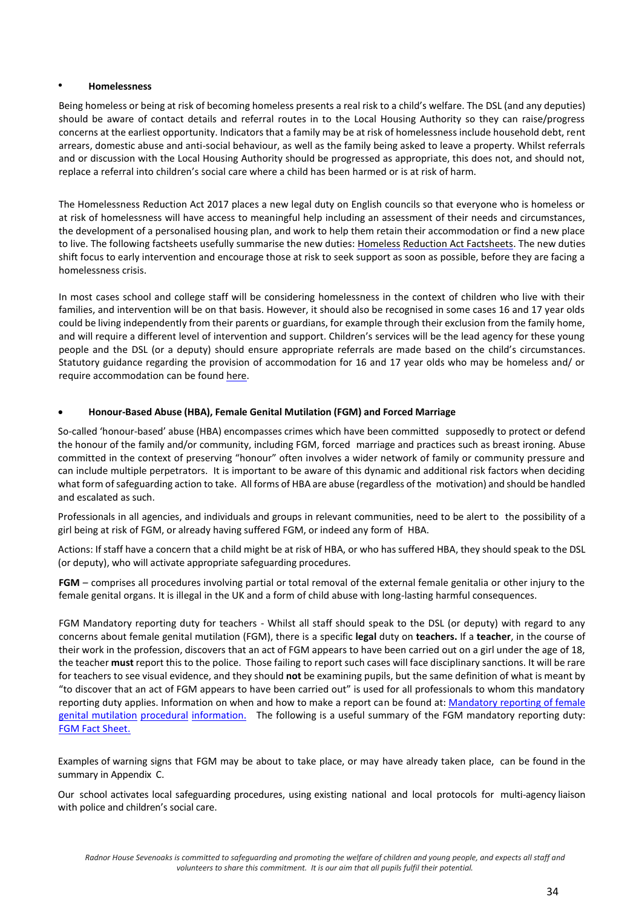#### • **Homelessness**

Being homeless or being at risk of becoming homeless presents a real risk to a child's welfare. The DSL (and any deputies) should be aware of contact details and referral routes in to the Local Housing Authority so they can raise/progress concerns at the earliest opportunity. Indicators that a family may be at risk of homelessness include household debt, rent arrears, domestic abuse and anti-social behaviour, as well as the family being asked to leave a property. Whilst referrals and or discussion with the Local Housing Authority should be progressed as appropriate, this does not, and should not, replace a referral into children's social care where a child has been harmed or is at risk of harm.

The Homelessness Reduction Act 2017 places a new legal duty on English councils so that everyone who is homeless or at risk of homelessness will have access to meaningful help including an assessment of their needs and circumstances, the development of a personalised housing plan, and work to help them retain their accommodation or find a new place to live. The following factsheets usefully summarise the new duties[: Homeless](mailto:rallen@radnorhouse.org) [Reduction Act Factsheets](http://www.internetmatters.org/)[.](https://www.gov.uk/government/uploads/system/uploads/attachment_data/file/322307/HMG_MULTI_AGENCY_PRACTICE_GUIDELINES_v1_180614_FINAL.pdf) The new duties shift focus to early intervention and encourage those at risk to seek support as soon as possible, before they are facing a homelessness crisis.

In most cases school and college staff will be considering homelessness in the context of children who live with their families, and intervention will be on that basis. However, it should also be recognised in some cases 16 and 17 year olds could be living independently from their parents or guardians, for example through their exclusion from the family home, and will require a different level of intervention and support. Children's services will be the lead agency for these young people and the DSL (or a deputy) should ensure appropriate referrals are made based on the child's circumstances. Statutory guidance regarding the provision of accommodation for 16 and 17 year olds who may be homeless and/ or require accommodation can be found [here](https://www.gov.uk/government/uploads/system/uploads/attachment_data/file/322307/HMG_MULTI_AGENCY_PRACTICE_GUIDELINES_v1_180614_FINAL.pdf)[.](https://www.gov.uk/forced-marriage)

## • **Honour-Based Abuse (HBA), Female Genital Mutilation (FGM) and Forced Marriage**

So-called 'honour-based' abuse (HBA) encompasses crimes which have been committed supposedly to protect or defend the honour of the family and/or community, including FGM, forced marriage and practices such as breast ironing. Abuse committed in the context of preserving "honour" often involves a wider network of family or community pressure and can include multiple perpetrators. It is important to be aware of this dynamic and additional risk factors when deciding what form of safeguarding action to take. All forms of HBA are abuse (regardless ofthe motivation) and should be handled and escalated as such.

Professionals in all agencies, and individuals and groups in relevant communities, need to be alert to the possibility of a girl being at risk of FGM, or already having suffered FGM, or indeed any form of HBA.

Actions: If staff have a concern that a child might be at risk of HBA, or who has suffered HBA, they should speak to the DSL (or deputy), who will activate appropriate safeguarding procedures.

**FGM** *–* comprises all procedures involving partial or total removal of the external female genitalia or other injury to the female genital organs. It is illegal in the UK and a form of child abuse with long-lasting harmful consequences.

FGM Mandatory reporting duty for teachers - Whilst all staff should speak to the DSL (or deputy) with regard to any concerns about female genital mutilation (FGM), there is a specific **legal** duty on **teachers.** If a **teacher**, in the course of their work in the profession, discovers that an act of FGM appears to have been carried out on a girl under the age of 18, the teacher **must** report this to the police. Those failing to report such cases will face disciplinary sanctions. It will be rare for teachers to see visual evidence, and they should **not** be examining pupils, but the same definition of what is meant by "to discover that an act of FGM appears to have been carried out" is used for all professionals to whom this mandatory reporting duty applies. Information on when and how to make a report can be found at: Mandatory [reporting o](https://www.gov.uk/forced-marriage)f female genital mutilation procedural informatio[n.](http://formfinder.hmctsformfinder.justice.gov.uk/ywp-12-17-eng.pdf)The following is a useful summary of the FGM mandatory reporting duty: [FGM Fact Sheet.](mailto:SevenoaksEarlyHelp@kent.gov.uk)

Examples of warning signs that FGM may be about to take place, or may have already taken place, can be found in the summary in Appendix C.

Our school activates local safeguarding procedures, using existing national and local protocols for multi-agency liaison with police and children's social care.

*Radnor House Sevenoaks is committed to safeguarding and promoting the welfare of children and young people, and expects all staff and volunteers to share this commitment. It is our aim that all pupils fulfil their potential.*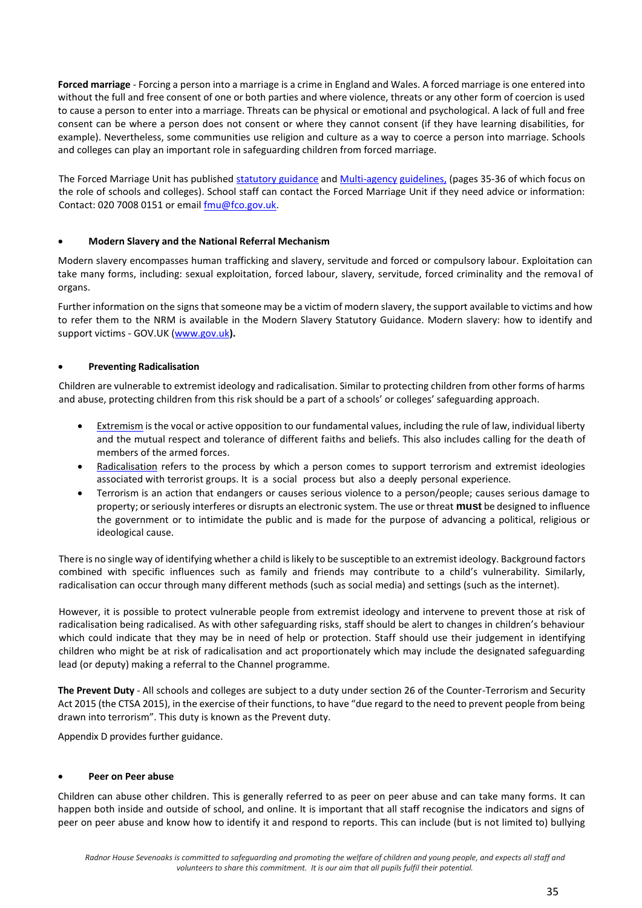**Forced marriage** - Forcing a person into a marriage is a crime in England and Wales. A forced marriage is one entered into without the full and free consent of one or both parties and where violence, threats or any other form of coercion is used to cause a person to enter into a marriage. Threats can be physical or emotional and psychological. A lack of full and free consent can be where a person does not consent or where they cannot consent (if they have learning disabilities, for example). Nevertheless, some communities use religion and culture as a way to coerce a person into marriage. Schools and colleges can play an important role in safeguarding children from forced marriage.

The Forced Marriage Unit has published [statutory guidance](https://www.kelsi.org.uk/special-education-needs/integrated-childrens-services/early-help-contacts) an[d Multi-agency](mailto:esafetyofficer@kent.gov.uk) [guideline](http://www.parentsprotect.co.uk/)[s](http://www.themix.org.uk/)[,](https://www.gov.uk/government/publications/sexual-violence-and-sexual-harassment-between-children-in-schools-and-colleges) (pages 35-36 of which focus on the role of schools and colleges). School staff can contact the Forced Marriage Unit if they need advice or information: Contact: 020 7008 0151 or email  $\frac{\text{fmu@fco.gov.uk}}{\text{fmu@fco.gov.uk}}$ .

## • **Modern Slavery and the National Referral Mechanism**

Modern slavery encompasses human trafficking and slavery, servitude and forced or compulsory labour. Exploitation can take many forms, including: sexual exploitation, forced labour, slavery, servitude, forced criminality and the removal of organs.

Further information on the signs that someone may be a victim of modern slavery, the support available to victims and how to refer them to the NRM is available in the Modern Slavery Statutory Guidance. Modern slavery: how to identify and support victims - GOV.UK [\(www.gov.uk](http://www.gov.uk/)**[\).](http://www.gov.uk/)**

## • **Preventing Radicalisation**

Children are vulnerable to extremist ideology and radicalisation. Similar to protecting children from other forms of harms and abuse, protecting children from this risk should be a part of a schools' or colleges' safeguarding approach.

- [Extremism](https://www.thinkuknow.co.uk/) is the vocal or active opposition to our fundamental values, including the rule of law, individual liberty and the mutual respect and tolerance of different faiths and beliefs. This also includes calling for the death of members of the armed forces.
- [Radicalisatio](http://www.victimsupport.org.uk/)[n](https://www.gov.uk/government/news/home-office-launches-child-abuse-whistleblowing-helpline) refers to the process by which a person comes to support terrorism and extremist ideologies associated with terrorist groups. It is a social process but also a deeply personal experience.
- Terrorism is an action that endangers or causes serious violence to a person/people; causes serious damage to property; or seriously interferes or disrupts an electronic system. The use or threat **must** be designed to influence the government or to intimidate the public and is made for the purpose of advancing a political, religious or ideological cause.

There is no single way of identifying whether a child is likely to be susceptible to an extremist ideology. Background factors combined with specific influences such as family and friends may contribute to a child's vulnerability. Similarly, radicalisation can occur through many different methods (such as social media) and settings (such as the internet).

However, it is possible to protect vulnerable people from extremist ideology and intervene to prevent those at risk of radicalisation being radicalised. As with other safeguarding risks, staff should be alert to changes in children's behaviour which could indicate that they may be in need of help or protection. Staff should use their judgement in identifying children who might be at risk of radicalisation and act proportionately which may include the designated safeguarding lead (or deputy) making a referral to the Channel programme.

**The Prevent Duty** - All schools and colleges are subject to a duty under section 26 of the Counter-Terrorism and Security Act 2015 (the CTSA 2015), in the exercise of their functions, to have "due regard to the need to prevent people from being drawn into terrorism". This duty is known as the Prevent duty.

Appendix D provides further guidance.

#### • **Peer on Peer abuse**

Children can abuse other children. This is generally referred to as peer on peer abuse and can take many forms. It can happen both inside and outside of school, and online. It is important that all staff recognise the indicators and signs of peer on peer abuse and know how to identify it and respond to reports. This can include (but is not limited to) bullying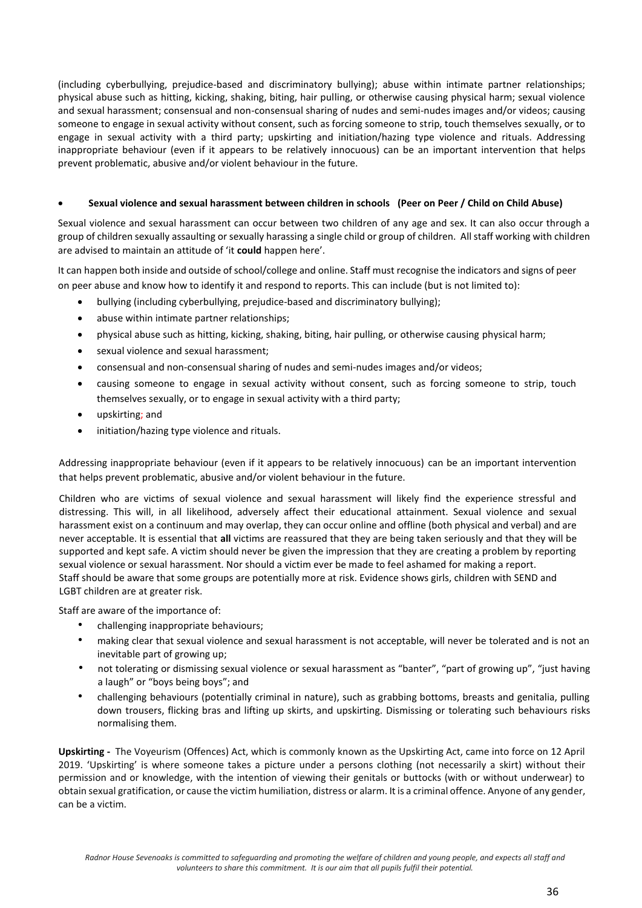(including cyberbullying, prejudice-based and discriminatory bullying); abuse within intimate partner relationships; physical abuse such as hitting, kicking, shaking, biting, hair pulling, or otherwise causing physical harm; sexual violence and sexual harassment; consensual and non-consensual sharing of nudes and semi-nudes images and/or videos; causing someone to engage in sexual activity without consent, such as forcing someone to strip, touch themselves sexually, or to engage in sexual activity with a third party; upskirting and initiation/hazing type violence and rituals. Addressing inappropriate behaviour (even if it appears to be relatively innocuous) can be an important intervention that helps prevent problematic, abusive and/or violent behaviour in the future.

### • **Sexual violence and sexual harassment between children in schools (Peer on Peer / Child on Child Abuse)**

Sexual violence and sexual harassment can occur between two children of any age and sex. It can also occur through a group of children sexually assaulting or sexually harassing a single child or group of children. All staff working with children are advised to maintain an attitude of 'it **could** happen here'.

It can happen both inside and outside of school/college and online. Staff must recognise the indicators and signs of peer on peer abuse and know how to identify it and respond to reports. This can include (but is not limited to):

- bullying (including cyberbullying, prejudice-based and discriminatory bullying);
- abuse within intimate partner relationships;
- physical abuse such as hitting, kicking, shaking, biting, hair pulling, or otherwise causing physical harm;
- sexual violence and sexual harassment;
- consensual and non-consensual sharing of nudes and semi-nudes images and/or videos;
- causing someone to engage in sexual activity without consent, such as forcing someone to strip, touch themselves sexually, or to engage in sexual activity with a third party;
- upskirting; and
- initiation/hazing type violence and rituals.

Addressing inappropriate behaviour (even if it appears to be relatively innocuous) can be an important intervention that helps prevent problematic, abusive and/or violent behaviour in the future.

Children who are victims of sexual violence and sexual harassment will likely find the experience stressful and distressing. This will, in all likelihood, adversely affect their educational attainment. Sexual violence and sexual harassment exist on a continuum and may overlap, they can occur online and offline (both physical and verbal) and are never acceptable. It is essential that **all** victims are reassured that they are being taken seriously and that they will be supported and kept safe. A victim should never be given the impression that they are creating a problem by reporting sexual violence or sexual harassment. Nor should a victim ever be made to feel ashamed for making a report. Staff should be aware that some groups are potentially more at risk. Evidence shows girls, children with SEND and LGBT children are at greater risk.

Staff are aware of the importance of:

- challenging inappropriate behaviours;
- making clear that sexual violence and sexual harassment is not acceptable, will never be tolerated and is not an inevitable part of growing up;
- not tolerating or dismissing sexual violence or sexual harassment as "banter", "part of growing up", "just having a laugh" or "boys being boys"; and
- challenging behaviours (potentially criminal in nature), such as grabbing bottoms, breasts and genitalia, pulling down trousers, flicking bras and lifting up skirts, and upskirting. Dismissing or tolerating such behaviours risks normalising them.

**Upskirting -** The Voyeurism (Offences) Act, which is commonly known as the Upskirting Act, came into force on 12 April 2019. 'Upskirting' is where someone takes a picture under a persons clothing (not necessarily a skirt) without their permission and or knowledge, with the intention of viewing their genitals or buttocks (with or without underwear) to obtain sexual gratification, or cause the victim humiliation, distress or alarm. It is a criminal offence. Anyone of any gender, can be a victim.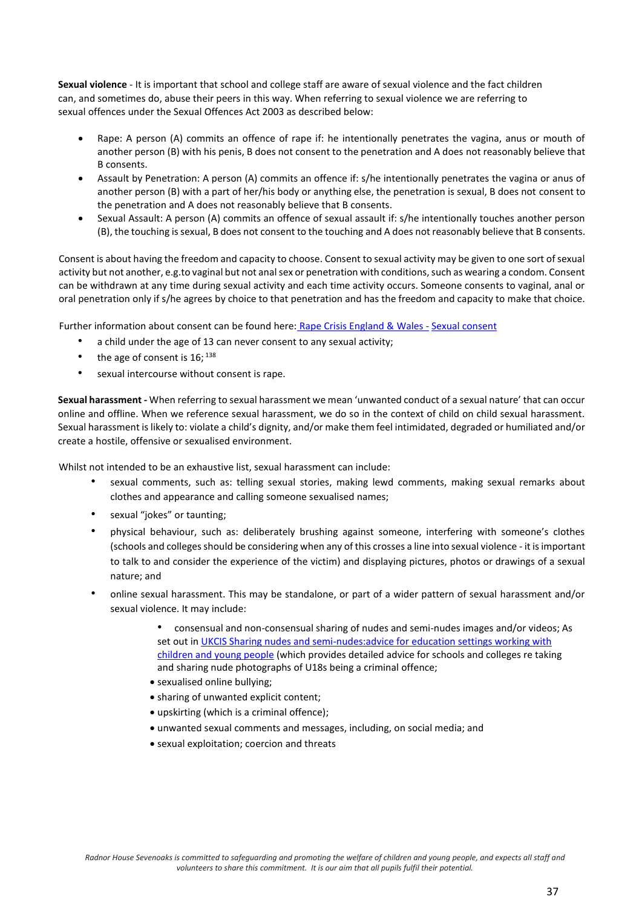**Sexual violence** - It is important that school and college staff are aware of sexual violence and the fact children can, and sometimes do, abuse their peers in this way. When referring to sexual violence we are referring to sexual offences under the Sexual Offences Act 2003 as described below:

- Rape: A person (A) commits an offence of rape if: he intentionally penetrates the vagina, anus or mouth of another person (B) with his penis, B does not consent to the penetration and A does not reasonably believe that B consents.
- Assault by Penetration: A person (A) commits an offence if: s/he intentionally penetrates the vagina or anus of another person (B) with a part of her/his body or anything else, the penetration is sexual, B does not consent to the penetration and A does not reasonably believe that B consents.
- Sexual Assault: A person (A) commits an offence of sexual assault if: s/he intentionally touches another person (B), the touching is sexual, B does not consent to the touching and A does not reasonably believe that B consents.

Consent is about having the freedom and capacity to choose. Consent to sexual activity may be given to one sort of sexual activity but not another, e.g.to vaginal but not anal sex or penetration with conditions, such as wearing a condom. Consent can be withdrawn at any time during sexual activity and each time activity occurs. Someone consents to vaginal, anal or oral penetration only if s/he agrees by choice to that penetration and has the freedom and capacity to make that choice.

Further information about consent can be found here: [Rape Crisis England & Wales -](https://rapecrisis.org.uk/get-informed/about-sexual-violence/sexual-consent/) [Sexual consent](https://rapecrisis.org.uk/get-informed/about-sexual-violence/sexual-consent/)

- a child under the age of 13 can never consent to any sexual activity;
- the age of consent is  $16;$   $138$
- sexual intercourse without consent is rape.

**Sexual harassment** *-* When referring to sexual harassment we mean 'unwanted conduct of a sexual nature' that can occur online and offline. When we reference sexual harassment, we do so in the context of child on child sexual harassment. Sexual harassment is likely to: violate a child's dignity, and/or make them feel intimidated, degraded or humiliated and/or create a hostile, offensive or sexualised environment.

Whilst not intended to be an exhaustive list, sexual harassment can include:

- sexual comments, such as: telling sexual stories, making lewd comments, making sexual remarks about clothes and appearance and calling someone sexualised names;
- sexual "jokes" or taunting;
- physical behaviour, such as: deliberately brushing against someone, interfering with someone's clothes (schools and colleges should be considering when any of this crosses a line into sexual violence - it is important to talk to and consider the experience of the victim) and displaying pictures, photos or drawings of a sexual nature; and
- online sexual harassment. This may be standalone, or part of a wider pattern of sexual harassment and/or sexual violence. It may include:
	- consensual and non-consensual sharing of nudes and semi-nudes images and/or videos; As set out i[n UKCIS Sharing nudes and semi-nudes:advice for education settings working with](https://www.gov.uk/government/publications/sharing-nudes-and-semi-nudes-advice-for-education-settings-working-with-children-and-young-people/sharing-nudes-and-semi-nudes-advice-for-education-settings-working-with-children-and-young-people)  [children and young people](https://www.gov.uk/government/publications/sharing-nudes-and-semi-nudes-advice-for-education-settings-working-with-children-and-young-people/sharing-nudes-and-semi-nudes-advice-for-education-settings-working-with-children-and-young-people) [\(](https://www.gov.uk/government/publications/sharing-nudes-and-semi-nudes-advice-for-education-settings-working-with-children-and-young-people/sharing-nudes-and-semi-nudes-advice-for-education-settings-working-with-children-and-young-people)which provides detailed advice for schools and colleges re taking and sharing nude photographs of U18s being a criminal offence;
	- sexualised online bullying;
	- sharing of unwanted explicit content;
	- upskirting (which is a criminal offence);
	- unwanted sexual comments and messages, including, on social media; and
	- sexual exploitation; coercion and threats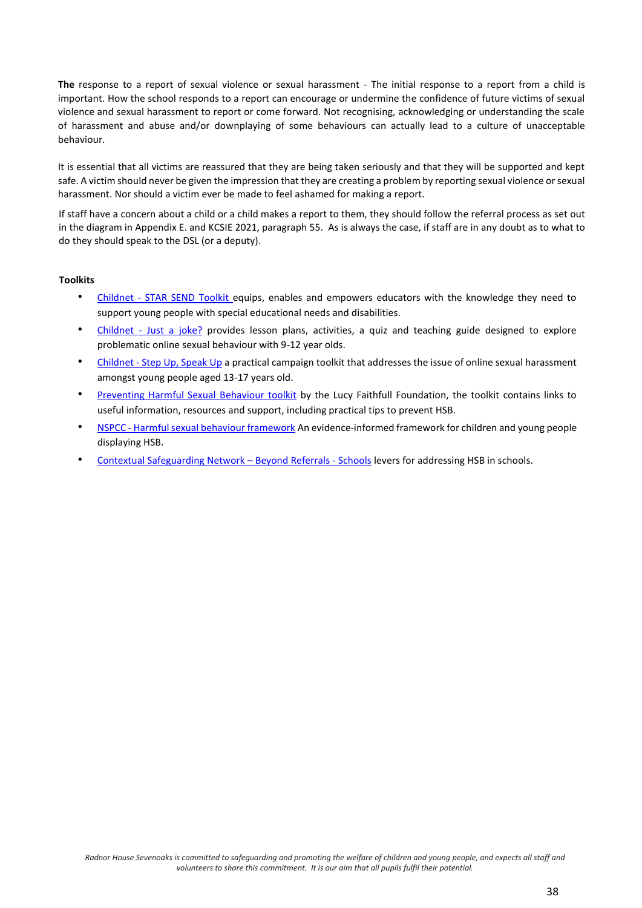**The** response to a report of sexual violence or sexual harassment - The initial response to a report from a child is important. How the school responds to a report can encourage or undermine the confidence of future victims of sexual violence and sexual harassment to report or come forward. Not recognising, acknowledging or understanding the scale of harassment and abuse and/or downplaying of some behaviours can actually lead to a culture of unacceptable behaviour.

It is essential that all victims are reassured that they are being taken seriously and that they will be supported and kept safe. A victim should never be given the impression that they are creating a problem by reporting sexual violence or sexual harassment. Nor should a victim ever be made to feel ashamed for making a report.

If staff have a concern about a child or a child makes a report to them, they should follow the referral process as set out in the diagram in Appendix E. and KCSIE 2021, paragraph 55. As is always the case, if staff are in any doubt as to what to do they should speak to the DSL (or a deputy).

#### **Toolkits**

- Childnet STAR SEND Toolkit equips, enables and empowers educators with the knowledge they need to support young people with special educational needs and disabilities.
- Childnet [Just a joke?](https://www.childnet.com/resources/just-a-joke) provides lesson plans, activities, a quiz and teaching guide designed to explore problematic online sexual behaviour with 9-12 year olds.
- Childnet [Step Up, Speak Up](https://www.childnet.com/resources/step-up-speak-up) a practical campaign toolkit that addresses the issue of online sexual harassment amongst young people aged 13-17 years old.
- [Preventing Harmful Sexual Behaviour toolkit](https://www.stopitnow.org.uk/concerned-about-a-child-or-young-persons-sexual-behaviour/preventing-harmful-sexual-behaviour/) [b](https://www.stopitnow.org.uk/concerned-about-a-child-or-young-persons-sexual-behaviour/preventing-harmful-sexual-behaviour/)y the Lucy Faithfull Foundation, the toolkit contains links to useful information, resources and support, including practical tips to prevent HSB.
- NSPCC [Harmful sexual behaviour framework](https://learning.nspcc.org.uk/research-resources/2019/harmful-sexual-behaviour-framework) [A](https://learning.nspcc.org.uk/research-resources/2019/harmful-sexual-behaviour-framework)n evidence-informed framework for children and young people displaying HSB.
- [Contextual Safeguarding Network](https://www.csnetwork.org.uk/en/beyond-referrals-levers-for-addressing-harmful-sexual-behaviour-in-schools)  Beyond Referrals School[s](https://www.csnetwork.org.uk/en/beyond-referrals-levers-for-addressing-harmful-sexual-behaviour-in-schools) levers for addressing HSB in schools.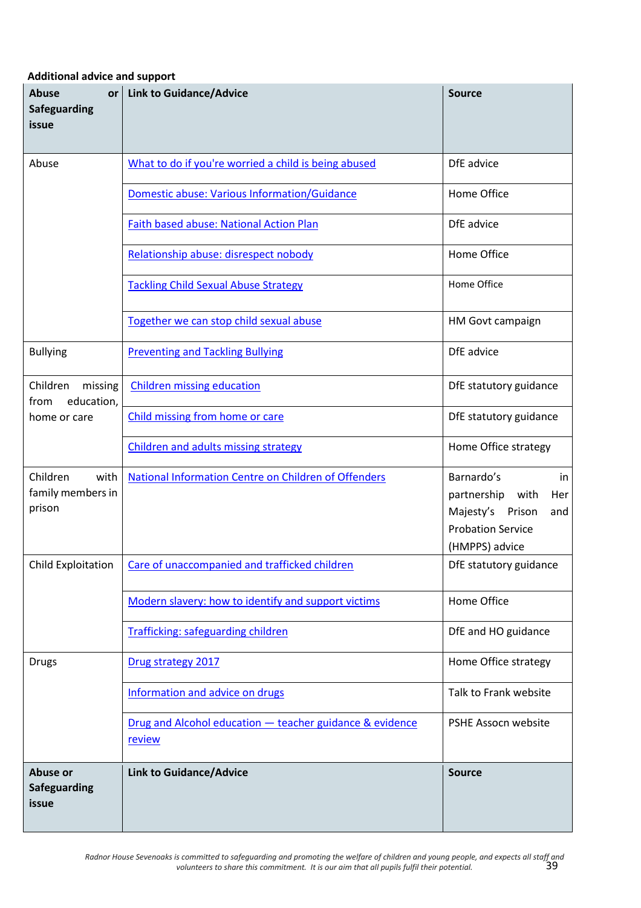**Additional advice and support** 

| <b>Abuse</b><br><b>or</b><br><b>Safeguarding</b><br>issue | <b>Link to Guidance/Advice</b>                                     | <b>Source</b>                                                                                                              |
|-----------------------------------------------------------|--------------------------------------------------------------------|----------------------------------------------------------------------------------------------------------------------------|
| Abuse                                                     | What to do if you're worried a child is being abused               | DfE advice                                                                                                                 |
|                                                           | Domestic abuse: Various Information/Guidance                       | Home Office                                                                                                                |
|                                                           | Faith based abuse: National Action Plan                            | DfE advice                                                                                                                 |
|                                                           | Relationship abuse: disrespect nobody                              | Home Office                                                                                                                |
|                                                           | <b>Tackling Child Sexual Abuse Strategy</b>                        | Home Office                                                                                                                |
|                                                           | Together we can stop child sexual abuse                            | HM Govt campaign                                                                                                           |
| <b>Bullying</b>                                           | <b>Preventing and Tackling Bullying</b>                            | DfE advice                                                                                                                 |
| Children<br>missing<br>education,<br>from                 | <b>Children missing education</b>                                  | DfE statutory guidance                                                                                                     |
| home or care                                              | Child missing from home or care                                    | DfE statutory guidance                                                                                                     |
|                                                           | <b>Children and adults missing strategy</b>                        | Home Office strategy                                                                                                       |
| Children<br>with<br>family members in<br>prison           | National Information Centre on Children of Offenders               | Barnardo's<br>in<br>partnership<br>with<br>Her<br>Majesty's<br>Prison<br>and<br><b>Probation Service</b><br>(HMPPS) advice |
| Child Exploitation                                        | Care of unaccompanied and trafficked children                      | DfE statutory guidance                                                                                                     |
|                                                           | Modern slavery: how to identify and support victims                | Home Office                                                                                                                |
|                                                           | Trafficking: safeguarding children                                 | DfE and HO guidance                                                                                                        |
| <b>Drugs</b>                                              | Drug strategy 2017                                                 | Home Office strategy                                                                                                       |
|                                                           | Information and advice on drugs                                    | Talk to Frank website                                                                                                      |
|                                                           | Drug and Alcohol education - teacher guidance & evidence<br>review | PSHE Assocn website                                                                                                        |
| Abuse or<br>Safeguarding<br>issue                         | <b>Link to Guidance/Advice</b>                                     | <b>Source</b>                                                                                                              |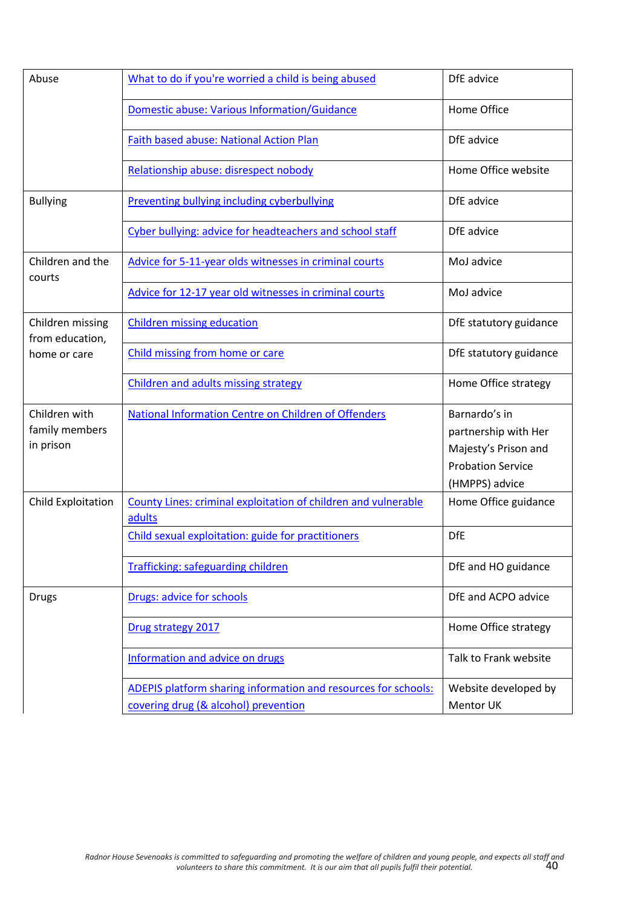| Abuse                                               | What to do if you're worried a child is being abused                                                   | DfE advice                                                                                                  |
|-----------------------------------------------------|--------------------------------------------------------------------------------------------------------|-------------------------------------------------------------------------------------------------------------|
|                                                     | <b>Domestic abuse: Various Information/Guidance</b>                                                    | Home Office                                                                                                 |
|                                                     | <b>Faith based abuse: National Action Plan</b>                                                         | DfE advice                                                                                                  |
|                                                     | Relationship abuse: disrespect nobody                                                                  | Home Office website                                                                                         |
| <b>Bullying</b>                                     | <b>Preventing bullying including cyberbullying</b>                                                     | DfE advice                                                                                                  |
|                                                     | Cyber bullying: advice for headteachers and school staff                                               | DfE advice                                                                                                  |
| Children and the<br>courts                          | Advice for 5-11-year olds witnesses in criminal courts                                                 | MoJ advice                                                                                                  |
|                                                     | Advice for 12-17 year old witnesses in criminal courts                                                 | MoJ advice                                                                                                  |
| Children missing<br>from education,<br>home or care | <b>Children missing education</b>                                                                      | DfE statutory guidance                                                                                      |
|                                                     | Child missing from home or care                                                                        | DfE statutory guidance                                                                                      |
|                                                     | Children and adults missing strategy                                                                   | Home Office strategy                                                                                        |
| Children with<br>family members<br>in prison        | <b>National Information Centre on Children of Offenders</b>                                            | Barnardo's in<br>partnership with Her<br>Majesty's Prison and<br><b>Probation Service</b><br>(HMPPS) advice |
| Child Exploitation                                  | County Lines: criminal exploitation of children and vulnerable<br>adults                               | Home Office guidance                                                                                        |
|                                                     | Child sexual exploitation: guide for practitioners                                                     | <b>DfE</b>                                                                                                  |
|                                                     | <b>Trafficking: safeguarding children</b>                                                              | DfE and HO guidance                                                                                         |
| <b>Drugs</b>                                        | Drugs: advice for schools                                                                              | DfE and ACPO advice                                                                                         |
|                                                     | Drug strategy 2017                                                                                     | Home Office strategy                                                                                        |
|                                                     | Information and advice on drugs                                                                        | Talk to Frank website                                                                                       |
|                                                     | ADEPIS platform sharing information and resources for schools:<br>covering drug (& alcohol) prevention | Website developed by<br>Mentor UK                                                                           |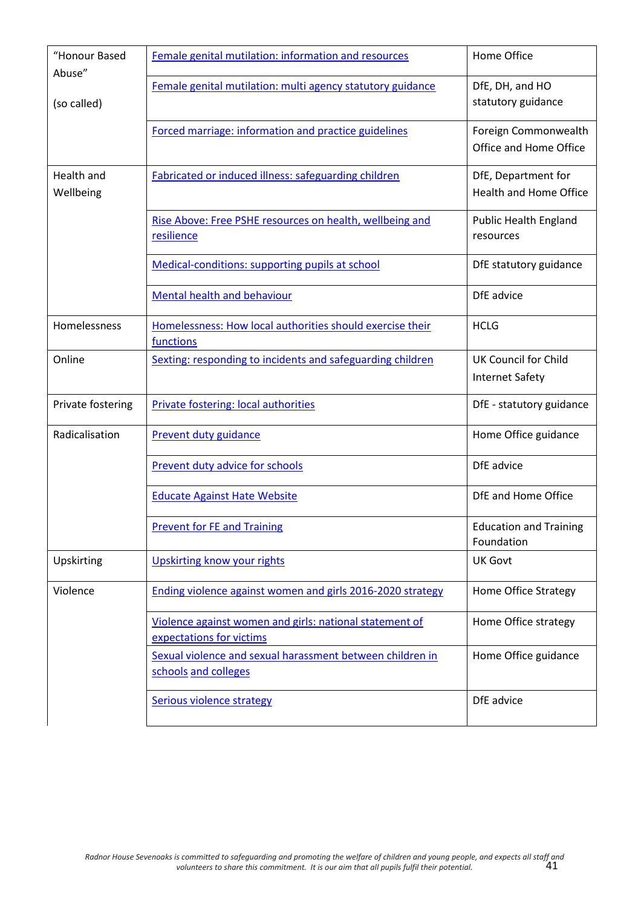| "Honour Based<br>Abuse"        | Female genital mutilation: information and resources                                | Home Office                                           |
|--------------------------------|-------------------------------------------------------------------------------------|-------------------------------------------------------|
| (so called)                    | Female genital mutilation: multi agency statutory guidance                          | DfE, DH, and HO<br>statutory guidance                 |
|                                | Forced marriage: information and practice guidelines                                | Foreign Commonwealth<br>Office and Home Office        |
| <b>Health and</b><br>Wellbeing | Fabricated or induced illness: safeguarding children                                | DfE, Department for<br><b>Health and Home Office</b>  |
|                                | Rise Above: Free PSHE resources on health, wellbeing and<br>resilience              | <b>Public Health England</b><br>resources             |
|                                | Medical-conditions: supporting pupils at school                                     | DfE statutory guidance                                |
|                                | <b>Mental health and behaviour</b>                                                  | DfE advice                                            |
| Homelessness                   | Homelessness: How local authorities should exercise their<br>functions              | <b>HCLG</b>                                           |
| Online                         | Sexting: responding to incidents and safeguarding children                          | <b>UK Council for Child</b><br><b>Internet Safety</b> |
| Private fostering              | Private fostering: local authorities                                                | DfE - statutory guidance                              |
| Radicalisation                 | Prevent duty guidance                                                               | Home Office guidance                                  |
|                                | Prevent duty advice for schools                                                     | DfE advice                                            |
|                                | <b>Educate Against Hate Website</b>                                                 | DfE and Home Office                                   |
|                                | <b>Prevent for FE and Training</b>                                                  | <b>Education and Training</b><br>Foundation           |
| Upskirting                     | <b>Upskirting know your rights</b>                                                  | <b>UK Govt</b>                                        |
| Violence                       | Ending violence against women and girls 2016-2020 strategy                          | Home Office Strategy                                  |
|                                | Violence against women and girls: national statement of<br>expectations for victims | Home Office strategy                                  |
|                                | Sexual violence and sexual harassment between children in<br>schools and colleges   | Home Office guidance                                  |
|                                | <b>Serious violence strategy</b>                                                    | DfE advice                                            |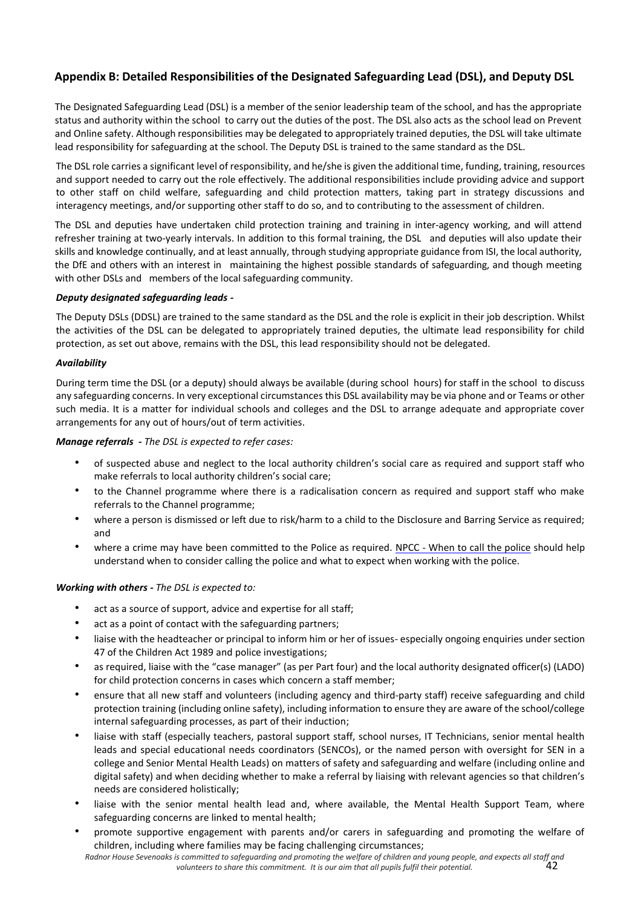# **Appendix B: Detailed Responsibilities of the Designated Safeguarding Lead (DSL), and Deputy DSL**

The Designated Safeguarding Lead (DSL) is a member of the senior leadership team of the school, and has the appropriate status and authority within the school to carry out the duties of the post. The DSL also acts as the school lead on Prevent and Online safety. Although responsibilities may be delegated to appropriately trained deputies, the DSL will take ultimate lead responsibility for safeguarding at the school. The Deputy DSL is trained to the same standard as the DSL.

The DSL role carries a significant level of responsibility, and he/she is given the additional time, funding, training, resources and support needed to carry out the role effectively. The additional responsibilities include providing advice and support to other staff on child welfare, safeguarding and child protection matters, taking part in strategy discussions and interagency meetings, and/or supporting other staff to do so, and to contributing to the assessment of children.

The DSL and deputies have undertaken child protection training and training in inter-agency working, and will attend refresher training at two-yearly intervals. In addition to this formal training, the DSL and deputies will also update their skills and knowledge continually, and at least annually, through studying appropriate guidance from ISI, the local authority, the DfE and others with an interest in maintaining the highest possible standards of safeguarding, and though meeting with other DSLs and members of the local safeguarding community.

#### *Deputy designated safeguarding leads -*

The Deputy DSLs (DDSL) are trained to the same standard as the DSL and the role is explicit in their job description. Whilst the activities of the DSL can be delegated to appropriately trained deputies, the ultimate lead responsibility for child protection, as set out above, remains with the DSL, this lead responsibility should not be delegated.

#### *Availability*

During term time the DSL (or a deputy) should always be available (during school hours) for staff in the school to discuss any safeguarding concerns. In very exceptional circumstances this DSL availability may be via phone and or Teams or other such media. It is a matter for individual schools and colleges and the DSL to arrange adequate and appropriate cover arrangements for any out of hours/out of term activities.

#### *Manage referrals - The DSL is expected to refer cases:*

- of suspected abuse and neglect to the local authority children's social care as required and support staff who make referrals to local authority children's social care;
- to the Channel programme where there is a radicalisation concern as required and support staff who make referrals to the Channel programme;
- where a person is dismissed or left due to risk/harm to a child to the Disclosure and Barring Service as required; and
- where a crime may have been committed to the Police as required. [NPCC -](https://www.npcc.police.uk/documents/Children%20and%20Young%20people/When%20to%20call%20the%20police%20guidance%20for%20schools%20and%20colleges.pdf) When [to call the police](https://www.npcc.police.uk/documents/Children%20and%20Young%20people/When%20to%20call%20the%20police%20guidance%20for%20schools%20and%20colleges.pdf) [s](https://www.npcc.police.uk/documents/Children%20and%20Young%20people/When%20to%20call%20the%20police%20guidance%20for%20schools%20and%20colleges.pdf)hould help understand when to consider calling the police and what to expect when working with the police.

#### *Working with others - The DSL is expected to:*

- act as a source of support, advice and expertise for all staff;
- act as a point of contact with the safeguarding partners;
- liaise with the headteacher or principal to inform him or her of issues- especially ongoing enquiries under section 47 of the Children Act 1989 and police investigations;
- as required, liaise with the "case manager" (as per Part four) and the local authority designated officer(s) (LADO) for child protection concerns in cases which concern a staff member;
- ensure that all new staff and volunteers (including agency and third-party staff) receive safeguarding and child protection training (including online safety), including information to ensure they are aware of the school/college internal safeguarding processes, as part of their induction;
- liaise with staff (especially teachers, pastoral support staff, school nurses, IT Technicians, senior mental health leads and special educational needs coordinators (SENCOs), or the named person with oversight for SEN in a college and Senior Mental Health Leads) on matters of safety and safeguarding and welfare (including online and digital safety) and when deciding whether to make a referral by liaising with relevant agencies so that children's needs are considered holistically;
- liaise with the senior mental health lead and, where available, the Mental Health Support Team, where safeguarding concerns are linked to mental health;
- *Radnor House Sevenoaks is committed to safeguarding and promoting the welfare of children and young people, and expects all staff and*  • promote supportive engagement with parents and/or carers in safeguarding and promoting the welfare of children, including where families may be facing challenging circumstances;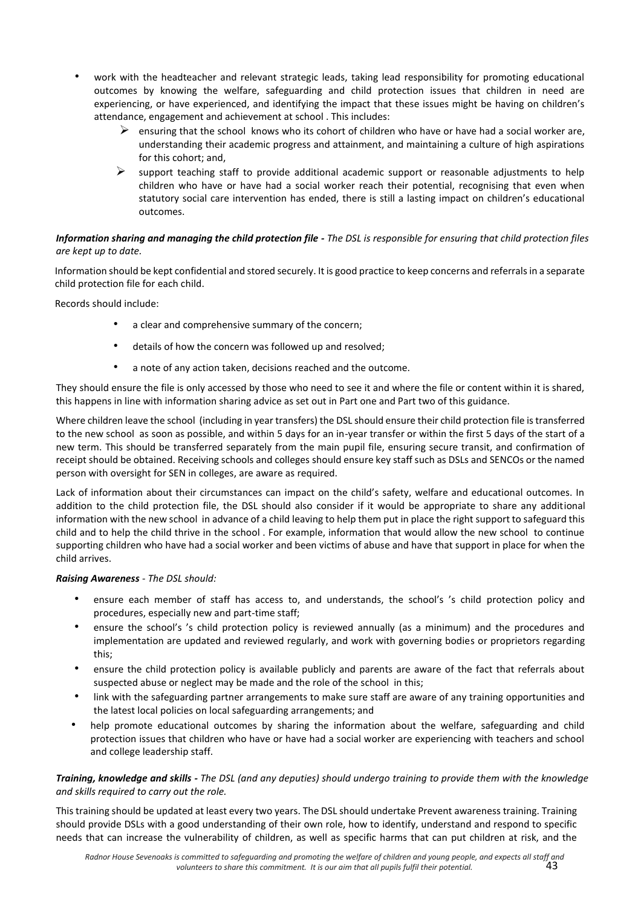- work with the headteacher and relevant strategic leads, taking lead responsibility for promoting educational outcomes by knowing the welfare, safeguarding and child protection issues that children in need are experiencing, or have experienced, and identifying the impact that these issues might be having on children's attendance, engagement and achievement at school . This includes:
	- $\triangleright$  ensuring that the school knows who its cohort of children who have or have had a social worker are, understanding their academic progress and attainment, and maintaining a culture of high aspirations for this cohort; and,
	- $\triangleright$  support teaching staff to provide additional academic support or reasonable adjustments to help children who have or have had a social worker reach their potential, recognising that even when statutory social care intervention has ended, there is still a lasting impact on children's educational outcomes.

## *Information sharing and managing the child protection file - The DSL is responsible for ensuring that child protection files are kept up to date.*

Information should be kept confidential and stored securely. It is good practice to keep concerns and referrals in a separate child protection file for each child.

Records should include:

- a clear and comprehensive summary of the concern;
- details of how the concern was followed up and resolved;
- a note of any action taken, decisions reached and the outcome.

They should ensure the file is only accessed by those who need to see it and where the file or content within it is shared, this happens in line with information sharing advice as set out in Part one and Part two of this guidance.

Where children leave the school (including in year transfers) the DSL should ensure their child protection file is transferred to the new school as soon as possible, and within 5 days for an in-year transfer or within the first 5 days of the start of a new term. This should be transferred separately from the main pupil file, ensuring secure transit, and confirmation of receipt should be obtained. Receiving schools and colleges should ensure key staff such as DSLs and SENCOs or the named person with oversight for SEN in colleges, are aware as required.

Lack of information about their circumstances can impact on the child's safety, welfare and educational outcomes. In addition to the child protection file, the DSL should also consider if it would be appropriate to share any additional information with the new school in advance of a child leaving to help them put in place the right support to safeguard this child and to help the child thrive in the school . For example, information that would allow the new school to continue supporting children who have had a social worker and been victims of abuse and have that support in place for when the child arrives.

## *Raising Awareness - The DSL should:*

- ensure each member of staff has access to, and understands, the school's 's child protection policy and procedures, especially new and part-time staff;
- ensure the school's 's child protection policy is reviewed annually (as a minimum) and the procedures and implementation are updated and reviewed regularly, and work with governing bodies or proprietors regarding this;
- ensure the child protection policy is available publicly and parents are aware of the fact that referrals about suspected abuse or neglect may be made and the role of the school in this;
- link with the safeguarding partner arrangements to make sure staff are aware of any training opportunities and the latest local policies on local safeguarding arrangements; and
- help promote educational outcomes by sharing the information about the welfare, safeguarding and child protection issues that children who have or have had a social worker are experiencing with teachers and school and college leadership staff.

## *Training, knowledge and skills - The DSL (and any deputies) should undergo training to provide them with the knowledge and skills required to carry out the role.*

This training should be updated at least every two years. The DSL should undertake Prevent awareness training. Training should provide DSLs with a good understanding of their own role, how to identify, understand and respond to specific needs that can increase the vulnerability of children, as well as specific harms that can put children at risk, and the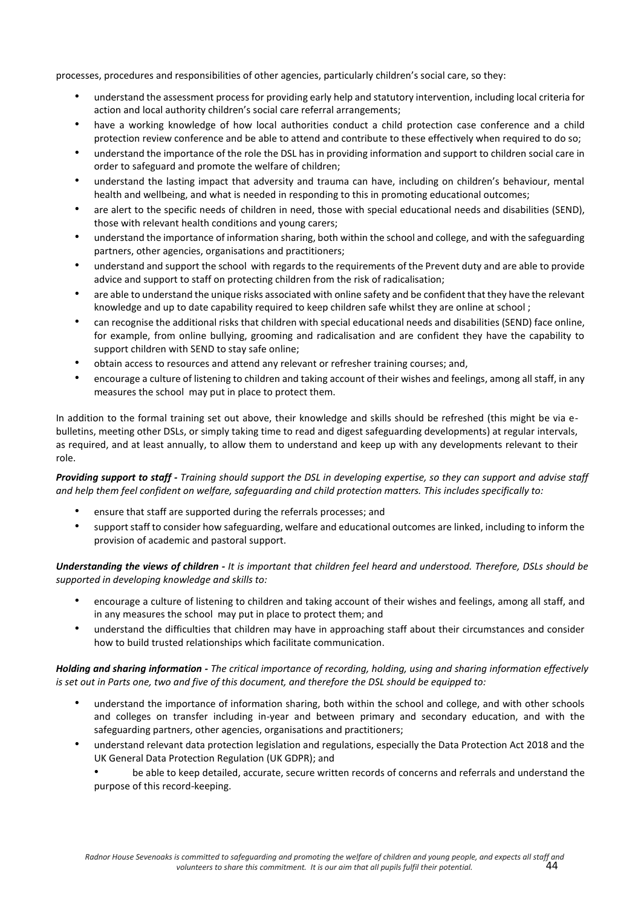processes, procedures and responsibilities of other agencies, particularly children's social care, so they:

- understand the assessment process for providing early help and statutory intervention, including local criteria for action and local authority children's social care referral arrangements;
- have a working knowledge of how local authorities conduct a child protection case conference and a child protection review conference and be able to attend and contribute to these effectively when required to do so;
- understand the importance of the role the DSL has in providing information and support to children social care in order to safeguard and promote the welfare of children;
- understand the lasting impact that adversity and trauma can have, including on children's behaviour, mental health and wellbeing, and what is needed in responding to this in promoting educational outcomes;
- are alert to the specific needs of children in need, those with special educational needs and disabilities (SEND), those with relevant health conditions and young carers;
- understand the importance of information sharing, both within the school and college, and with the safeguarding partners, other agencies, organisations and practitioners;
- understand and support the school with regards to the requirements of the Prevent duty and are able to provide advice and support to staff on protecting children from the risk of radicalisation;
- are able to understand the unique risks associated with online safety and be confident that they have the relevant knowledge and up to date capability required to keep children safe whilst they are online at school ;
- can recognise the additional risks that children with special educational needs and disabilities (SEND) face online, for example, from online bullying, grooming and radicalisation and are confident they have the capability to support children with SEND to stay safe online;
- obtain access to resources and attend any relevant or refresher training courses; and,
- encourage a culture of listening to children and taking account of their wishes and feelings, among all staff, in any measures the school may put in place to protect them.

In addition to the formal training set out above, their knowledge and skills should be refreshed (this might be via ebulletins, meeting other DSLs, or simply taking time to read and digest safeguarding developments) at regular intervals, as required, and at least annually, to allow them to understand and keep up with any developments relevant to their role.

*Providing support to staff - Training should support the DSL in developing expertise, so they can support and advise staff and help them feel confident on welfare, safeguarding and child protection matters. This includes specifically to:*

- ensure that staff are supported during the referrals processes; and
- support staff to consider how safeguarding, welfare and educational outcomes are linked, including to inform the provision of academic and pastoral support.

*Understanding the views of children - It is important that children feel heard and understood. Therefore, DSLs should be supported in developing knowledge and skills to:* 

- encourage a culture of listening to children and taking account of their wishes and feelings, among all staff, and in any measures the school may put in place to protect them; and
- understand the difficulties that children may have in approaching staff about their circumstances and consider how to build trusted relationships which facilitate communication.

*Holding and sharing information - The critical importance of recording, holding, using and sharing information effectively is set out in Parts one, two and five of this document, and therefore the DSL should be equipped to:* 

- understand the importance of information sharing, both within the school and college, and with other schools and colleges on transfer including in-year and between primary and secondary education, and with the safeguarding partners, other agencies, organisations and practitioners;
- understand relevant data protection legislation and regulations, especially the Data Protection Act 2018 and the UK General Data Protection Regulation (UK GDPR); and

• be able to keep detailed, accurate, secure written records of concerns and referrals and understand the purpose of this record-keeping.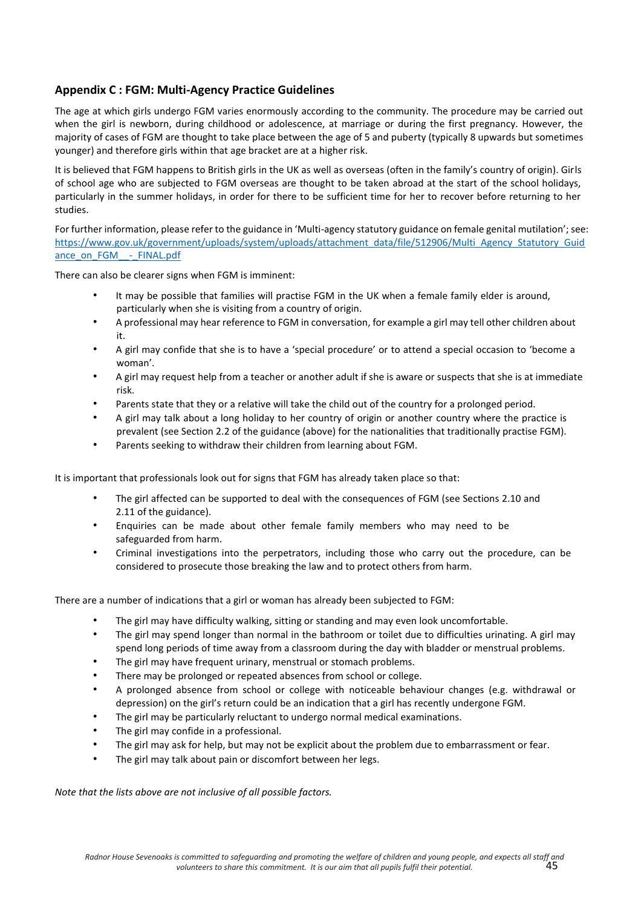# **Appendix C : FGM: Multi-Agency Practice Guidelines**

The age at which girls undergo FGM varies enormously according to the community. The procedure may be carried out when the girl is newborn, during childhood or adolescence, at marriage or during the first pregnancy. However, the majority of cases of FGM are thought to take place between the age of 5 and puberty (typically 8 upwards but sometimes younger) and therefore girls within that age bracket are at a higher risk.

It is believed that FGM happens to British girls in the UK as well as overseas (often in the family's country of origin). Girls of school age who are subjected to FGM overseas are thought to be taken abroad at the start of the school holidays, particularly in the summer holidays, in order for there to be sufficient time for her to recover before returning to her studies.

For further information, please refer to the guidance in 'Multi-agency statutory guidance on female genital mutilation'; see: [https://www.gov.uk/government/uploads/system/uploads/attachment\\_data/file/512906/Multi\\_Agency\\_Statutory\\_Guid](https://www.nicco.org.uk/) [ance\\_on\\_FGM\\_\\_-\\_FINAL.pdf](https://www.nicco.org.uk/)

There can also be clearer signs when FGM is imminent:

- It may be possible that families will practise FGM in the UK when a female family elder is around, particularly when she is visiting from a country of origin.
- A professional may hear reference to FGM in conversation, for example a girl may tell other children about it.
- A girl may confide that she is to have a 'special procedure' or to attend a special occasion to 'become a woman'.
- A girl may request help from a teacher or another adult if she is aware or suspects that she is at immediate risk.
- Parents state that they or a relative will take the child out of the country for a prolonged period.
- A girl may talk about a long holiday to her country of origin or another country where the practice is prevalent (see Section 2.2 of the guidance (above) for the nationalities that traditionally practise FGM).
- Parents seeking to withdraw their children from learning about FGM.

It is important that professionals look out for signs that FGM has already taken place so that:

- The girl affected can be supported to deal with the consequences of FGM (see Sections 2.10 and 2.11 of the guidance).
- Enquiries can be made about other female family members who may need to be safeguarded from harm.
- Criminal investigations into the perpetrators, including those who carry out the procedure, can be considered to prosecute those breaking the law and to protect others from harm.

There are a number of indications that a girl or woman has already been subjected to FGM:

- The girl may have difficulty walking, sitting or standing and may even look uncomfortable.
- The girl may spend longer than normal in the bathroom or toilet due to difficulties urinating. A girl may spend long periods of time away from a classroom during the day with bladder or menstrual problems.
- The girl may have frequent urinary, menstrual or stomach problems.
- There may be prolonged or repeated absences from school or college.
- A prolonged absence from school or college with noticeable behaviour changes (e.g. withdrawal or depression) on the girl's return could be an indication that a girl has recently undergone FGM.
- The girl may be particularly reluctant to undergo normal medical examinations.
- The girl may confide in a professional.
- The girl may ask for help, but may not be explicit about the problem due to embarrassment or fear.
- The girl may talk about pain or discomfort between her legs.

*Note that the lists above are not inclusive of all possible factors.*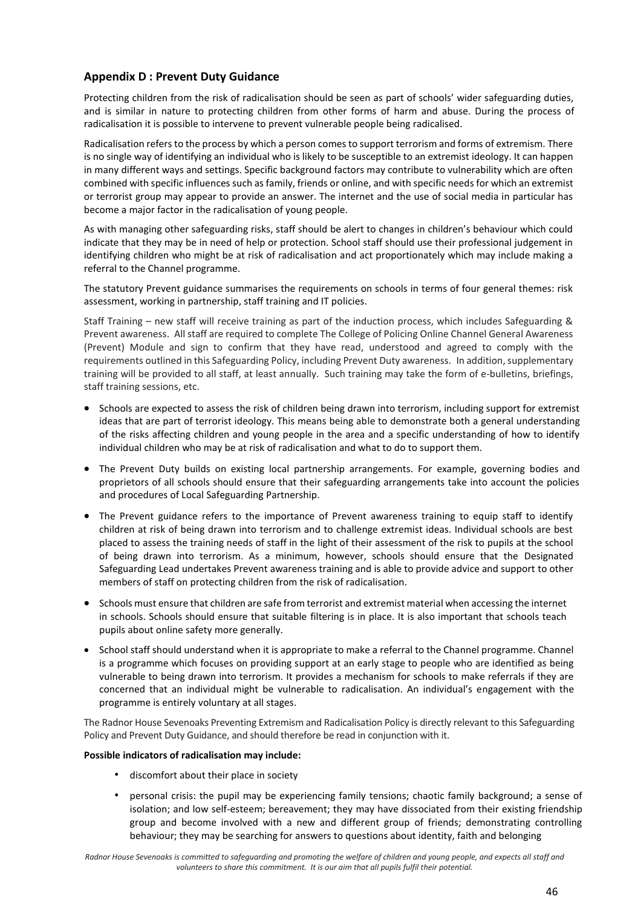# **Appendix D : Prevent Duty Guidance**

Protecting children from the risk of radicalisation should be seen as part of schools' wider safeguarding duties, and is similar in nature to protecting children from other forms of harm and abuse. During the process of radicalisation it is possible to intervene to prevent vulnerable people being radicalised.

Radicalisation refers to the process by which a person comes to support terrorism and forms of extremism. There is no single way of identifying an individual who is likely to be susceptible to an extremist ideology. It can happen in many different ways and settings. Specific background factors may contribute to vulnerability which are often combined with specific influences such as family, friends or online, and with specific needs for which an extremist or terrorist group may appear to provide an answer. The internet and the use of social media in particular has become a major factor in the radicalisation of young people.

As with managing other safeguarding risks, staff should be alert to changes in children's behaviour which could indicate that they may be in need of help or protection. School staff should use their professional judgement in identifying children who might be at risk of radicalisation and act proportionately which may include making a referral to the Channel programme.

The statutory Prevent guidance summarises the requirements on schools in terms of four general themes: risk assessment, working in partnership, staff training and IT policies.

Staff Training – new staff will receive training as part of the induction process, which includes Safeguarding & Prevent awareness. All staff are required to complete The College of Policing Online Channel General Awareness (Prevent) Module and sign to confirm that they have read, understood and agreed to comply with the requirements outlined in this Safeguarding Policy, including Prevent Duty awareness. In addition, supplementary training will be provided to all staff, at least annually. Such training may take the form of e-bulletins, briefings, staff training sessions, etc.

- Schools are expected to assess the risk of children being drawn into terrorism, including support for extremist ideas that are part of terrorist ideology. This means being able to demonstrate both a general understanding of the risks affecting children and young people in the area and a specific understanding of how to identify individual children who may be at risk of radicalisation and what to do to support them.
- The Prevent Duty builds on existing local partnership arrangements. For example, governing bodies and proprietors of all schools should ensure that their safeguarding arrangements take into account the policies and procedures of Local Safeguarding Partnership.
- The Prevent guidance refers to the importance of Prevent awareness training to equip staff to identify children at risk of being drawn into terrorism and to challenge extremist ideas. Individual schools are best placed to assess the training needs of staff in the light of their assessment of the risk to pupils at the school of being drawn into terrorism. As a minimum, however, schools should ensure that the Designated Safeguarding Lead undertakes Prevent awareness training and is able to provide advice and support to other members of staff on protecting children from the risk of radicalisation.
- Schools must ensure that children are safe from terrorist and extremist material when accessing the internet in schools. Schools should ensure that suitable filtering is in place. It is also important that schools teach pupils about online safety more generally.
- School staff should understand when it is appropriate to make a referral to the Channel programme. Channel is a programme which focuses on providing support at an early stage to people who are identified as being vulnerable to being drawn into terrorism. It provides a mechanism for schools to make referrals if they are concerned that an individual might be vulnerable to radicalisation. An individual's engagement with the programme is entirely voluntary at all stages.

The Radnor House Sevenoaks Preventing Extremism and Radicalisation Policy is directly relevant to this Safeguarding Policy and Prevent Duty Guidance, and should therefore be read in conjunction with it.

#### **Possible indicators of radicalisation may include:**

- discomfort about their place in society
- personal crisis: the pupil may be experiencing family tensions; chaotic family background; a sense of isolation; and low self-esteem; bereavement; they may have dissociated from their existing friendship group and become involved with a new and different group of friends; demonstrating controlling behaviour; they may be searching for answers to questions about identity, faith and belonging

*Radnor House Sevenoaks is committed to safeguarding and promoting the welfare of children and young people, and expects all staff and volunteers to share this commitment. It is our aim that all pupils fulfil their potential.*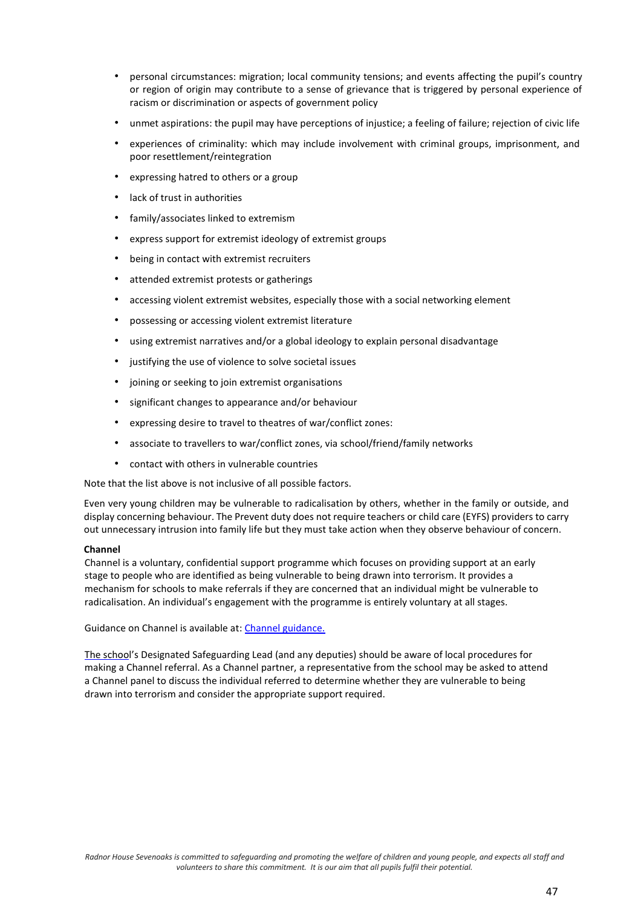- personal circumstances: migration; local community tensions; and events affecting the pupil's country or region of origin may contribute to a sense of grievance that is triggered by personal experience of racism or discrimination or aspects of government policy
- unmet aspirations: the pupil may have perceptions of injustice; a feeling of failure; rejection of civic life
- experiences of criminality: which may include involvement with criminal groups, imprisonment, and poor resettlement/reintegration
- expressing hatred to others or a group
- lack of trust in authorities
- family/associates linked to extremism
- express support for extremist ideology of extremist groups
- being in contact with extremist recruiters
- attended extremist protests or gatherings
- accessing violent extremist websites, especially those with a social networking element
- possessing or accessing violent extremist literature
- using extremist narratives and/or a global ideology to explain personal disadvantage
- justifying the use of violence to solve societal issues
- joining or seeking to join extremist organisations
- significant changes to appearance and/or behaviour
- expressing desire to travel to theatres of war/conflict zones:
- associate to travellers to war/conflict zones, via school/friend/family networks
- contact with others in vulnerable countries

Note that the list above is not inclusive of all possible factors.

Even very young children may be vulnerable to radicalisation by others, whether in the family or outside, and display concerning behaviour. The Prevent duty does not require teachers or child care (EYFS) providers to carry out unnecessary intrusion into family life but they must take action when they observe behaviour of concern.

#### **Channel**

Channel is a voluntary, confidential support programme which focuses on providing support at an early stage to people who are identified as being vulnerable to being drawn into terrorism. It provides a mechanism for schools to make referrals if they are concerned that an individual might be vulnerable to radicalisation. An individual's engagement with the programme is entirely voluntary at all stages.

Guidance on Channel is available at: [Channel guidance.](https://www.gov.uk/government/publications/prevent-duty-guidance)

The school's Designated Safeguarding Lead (and any deputies) should be aware of local procedures for making a Channel referral. As a Channel partner, a representative from the school may be asked to attend a Channel panel to discuss the individual referred to determine whether they are vulnerable to being drawn into terrorism and consider the appropriate support required.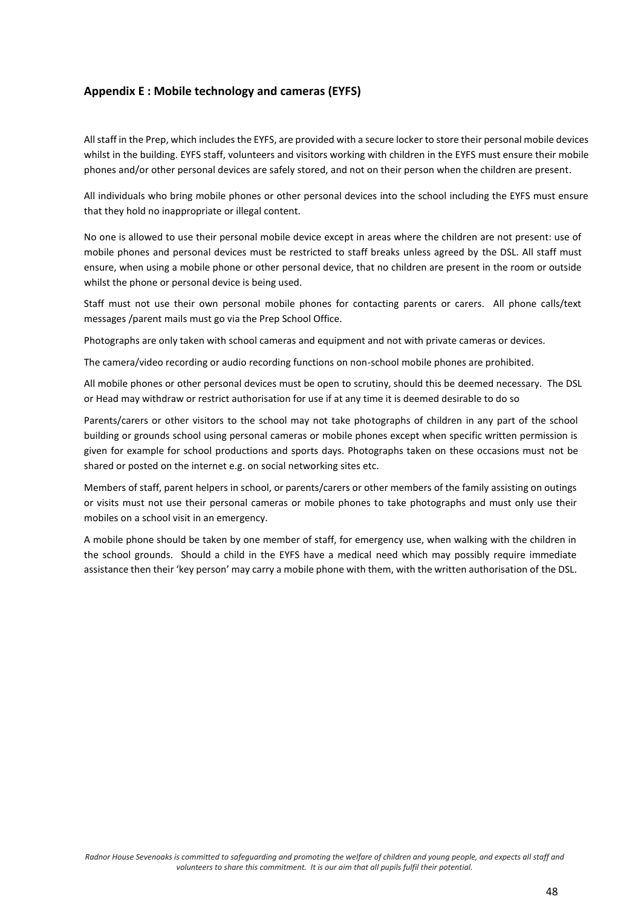# **Appendix E : Mobile technology and cameras (EYFS)**

All staff in the Prep, which includes the EYFS, are provided with a secure locker to store their personal mobile devices whilst in the building. EYFS staff, volunteers and visitors working with children in the EYFS must ensure their mobile phones and/or other personal devices are safely stored, and not on their person when the children are present.

All individuals who bring mobile phones or other personal devices into the school including the EYFS must ensure that they hold no inappropriate or illegal content.

No one is allowed to use their personal mobile device except in areas where the children are not present: use of mobile phones and personal devices must be restricted to staff breaks unless agreed by the DSL. All staff must ensure, when using a mobile phone or other personal device, that no children are present in the room or outside whilst the phone or personal device is being used.

Staff must not use their own personal mobile phones for contacting parents or carers. All phone calls/text messages /parent mails must go via the Prep School Office.

Photographs are only taken with school cameras and equipment and not with private cameras or devices.

The camera/video recording or audio recording functions on non-school mobile phones are prohibited.

All mobile phones or other personal devices must be open to scrutiny, should this be deemed necessary. The DSL or Head may withdraw or restrict authorisation for use if at any time it is deemed desirable to do so

Parents/carers or other visitors to the school may not take photographs of children in any part of the school building or grounds school using personal cameras or mobile phones except when specific written permission is given for example for school productions and sports days. Photographs taken on these occasions must not be shared or posted on the internet e.g. on social networking sites etc.

Members of staff, parent helpers in school, or parents/carers or other members of the family assisting on outings or visits must not use their personal cameras or mobile phones to take photographs and must only use their mobiles on a school visit in an emergency.

A mobile phone should be taken by one member of staff, for emergency use, when walking with the children in the school grounds. Should a child in the EYFS have a medical need which may possibly require immediate assistance then their 'key person' may carry a mobile phone with them, with the written authorisation of the DSL.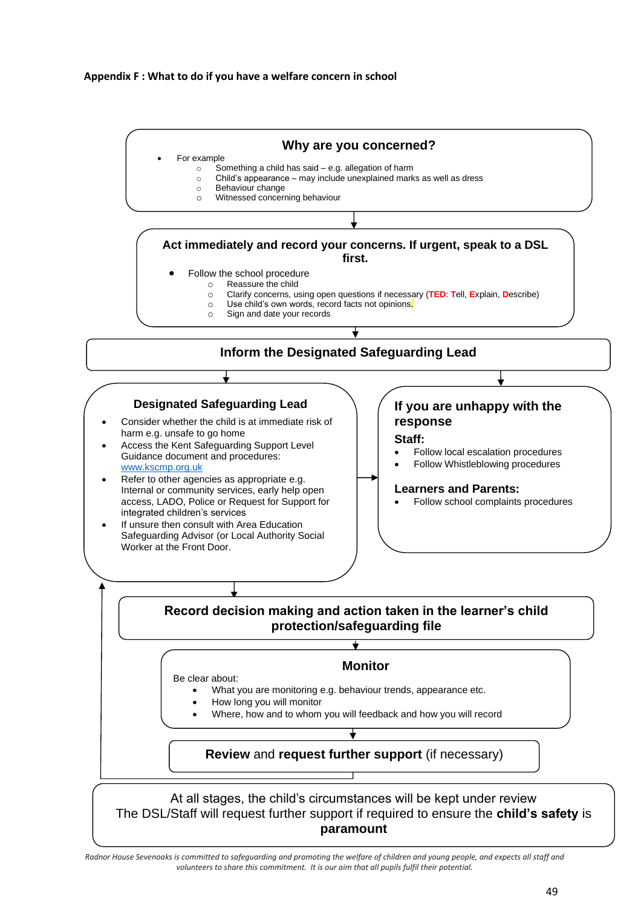## **Appendix F : What to do if you have a welfare concern in school**



*Radnor House Sevenoaks is committed to safeguarding and promoting the welfare of children and young people, and expects all staff and volunteers to share this commitment. It is our aim that all pupils fulfil their potential.*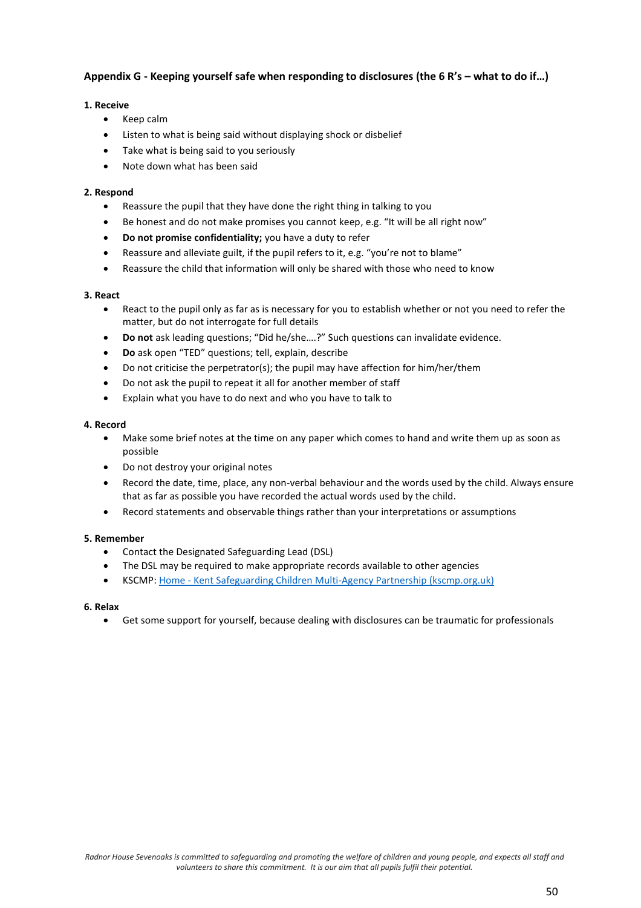# **Appendix G - Keeping yourself safe when responding to disclosures (the 6 R's – what to do if…)**

## **1. Receive**

- Keep calm
- Listen to what is being said without displaying shock or disbelief
- Take what is being said to you seriously
- Note down what has been said

## **2. Respond**

- Reassure the pupil that they have done the right thing in talking to you
- Be honest and do not make promises you cannot keep, e.g. "It will be all right now"
- **Do not promise confidentiality;** you have a duty to refer
- Reassure and alleviate guilt, if the pupil refers to it, e.g. "you're not to blame"
- Reassure the child that information will only be shared with those who need to know

#### **3. React**

- React to the pupil only as far as is necessary for you to establish whether or not you need to refer the matter, but do not interrogate for full details
- **Do not** ask leading questions; "Did he/she….?" Such questions can invalidate evidence.
- **Do** ask open "TED" questions; tell, explain, describe
- Do not criticise the perpetrator(s); the pupil may have affection for him/her/them
- Do not ask the pupil to repeat it all for another member of staff
- Explain what you have to do next and who you have to talk to

#### **4. Record**

- Make some brief notes at the time on any paper which comes to hand and write them up as soon as possible
- Do not destroy your original notes
- Record the date, time, place, any non-verbal behaviour and the words used by the child. Always ensure that as far as possible you have recorded the actual words used by the child.
- Record statements and observable things rather than your interpretations or assumptions

#### **5. Remember**

- Contact the Designated Safeguarding Lead (DSL)
- The DSL may be required to make appropriate records available to other agencies
- KSCMP: Home [Kent Safeguarding Children Multi-Agency Partnership \(kscmp.org.uk\)](https://www.kscmp.org.uk/)

#### **6. Relax**

• Get some support for yourself, because dealing with disclosures can be traumatic for professionals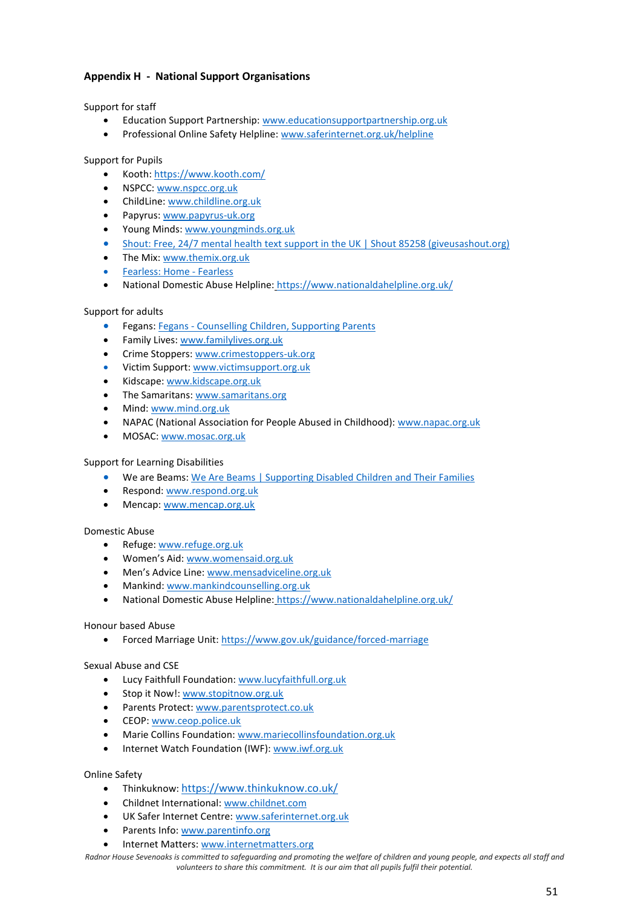# **Appendix H - National Support Organisations**

Support for staff

- Education Support Partnership[: www.educationsupportpartnership.org.uk](https://www.gov.uk/government/publications/missing-children-and-adults-strategy)
- Professional Online Safety Helpline: [www.saferinternet.org.uk/helpline](https://www.gov.uk/government/publications/missing-children-and-adults-strategy)

Support for Pupils

- Kooth[: https://www.kooth.com/](https://www.nicco.org.uk/)
- NSPCC: [www.nspcc.org.uk](https://www.pshe-association.org.uk/curriculum-and-resources/resources/rise-above-schools-teaching-resources)
- ChildLine: [www.childline.org.uk](https://www.gov.uk/government/publications/strategy-to-end-violence-against-women-and-girls-2016-to-2020)
- Papyrus[: www.papyrus-uk.org](https://www.gov.uk/government/publications/supporting-pupils-at-school-with-medical-conditions--3)
- Young Minds: [www.youngminds.org.uk](https://www.gov.uk/government/publications/supporting-pupils-at-school-with-medical-conditions--3)
- Shout[: Free, 24/7 mental health text support in the UK | Shout 85258 \(giveusashout.org\)](https://giveusashout.org/)
- The Mix[: www.themix.org.uk](https://www.gov.uk/government/publications/strategy-to-end-violence-against-women-and-girls-2016-to-2020)
- Fearless: Home [Fearless](https://www.fearless.org/en)
- National Domestic Abuse Helpline: [https://www.nationaldahelpline.org.uk/](https://www.gov.uk/government/publications/supporting-pupils-at-school-with-medical-conditions--3)

#### Support for adults

- Fegans: Fegans [Counselling Children, Supporting Parents](https://www.fegans.org.uk/)
- Family Lives[: www.familylives.org.uk](https://www.gov.uk/government/publications/protecting-children-from-radicalisation-the-prevent-duty)
- Crime Stoppers[: www.crimestoppers-uk.org](https://www.gov.uk/government/publications/safeguarding-children-in-whom-illness-is-fabricated-or-induced)
- Victim Support[: www.victimsupport.org.uk](https://www.pshe-association.org.uk/curriculum-and-resources/resources/rise-above-schools-teaching-resources)
- Kidscape: [www.kidscape.org.uk](https://www.pshe-association.org.uk/curriculum-and-resources/resources/rise-above-schools-teaching-resources)
- The Samaritans[: www.samaritans.org](https://www.gov.uk/government/collections/female-genital-mutilation)
- Mind[: www.mind.org.uk](https://www.gov.uk/government/groups/uk-council-for-child-internet-safety-ukccis)
- NAPAC (National Association for People Abused in Childhood)[: www.napac.org.uk](https://www.gov.uk/government/publications/multi-agency-statutory-guidance-on-female-genital-mutilation)
- MOSAC: [www.mosac.org.uk](https://www.gov.uk/forced-marriage)

#### Support for Learning Disabilities

- We are Beams[: We Are Beams | Supporting Disabled Children and Their Families](https://wearebeams.org.uk/)
- Respond[: www.respond.org.uk](https://www.gov.uk/government/uploads/system/uploads/attachment_data/file/596629/EYFS_STATUTORY_FRAMEWORK_2017.pdf)
- Mencap: [www.mencap.org.uk](https://www.gov.uk/government/publications/mandatory-reporting-of-female-genital-mutilation-procedural-information)

#### Domestic Abuse

- Refuge: [www.refuge.org.uk](https://www.gov.uk/forced-marriage)
- Women's Aid: [www.womensaid.org.uk](http://mentor-adepis.org/)
- Men's Advice Line: [www.mensadviceline.org.uk](http://mentor-adepis.org/)
- Mankind: [www.mankindcounselling.org.uk](https://www.gov.uk/government/collections/female-genital-mutilation)
- National Domestic Abuse Helpline: [https://www.nationaldahelpline.org.uk/](http://preventforfeandtraining.org.uk/)

#### Honour based Abuse

• Forced Marriage Unit[: https://www.gov.uk/guidance/forced-marriage](https://www.gov.uk/government/news/upskirting-know-your-rights)

### Sexual Abuse and CSE

- Lucy Faithfull Foundation[: www.lucyfaithfull.org.uk](https://www.gov.uk/government/publications/violence-against-women-and-girls-national-statement-of-expectations)
- Stop it Now![: www.stopitnow.org.uk](https://www.gov.uk/government/publications/strategy-to-end-violence-against-women-and-girls-2016-to-2020)
- Parents Protect: [www.parentsprotect.co.uk](https://www.gov.uk/government/publications/strategy-to-end-violence-against-women-and-girls-2016-to-2020)
- CEOP: [www.ceop.police.uk](https://www.gov.uk/government/publications/violence-against-women-and-girls-national-statement-of-expectations)
- Marie Collins Foundation: [www.mariecollinsfoundation.org.uk](https://www.gov.uk/government/publications/protecting-children-from-radicalisation-the-prevent-duty)
- Internet Watch Foundation (IWF): [www.iwf.org.uk](https://www.gov.uk/government/publications/children-who-run-away-or-go-missing-from-home-or-care)

#### Online Safety

- Thinkuknow: [https://www.thinkuknow.co.uk/](http://educateagainsthate.com/)
- Childnet International: [www.childnet.com](http://educateagainsthate.com/)
- UK Safer Internet Centre: [www.saferinternet.org.uk](https://www.gov.uk/guidance/homelessness-code-of-guidance-for-local-authorities)
- Parents Info: [www.parentinfo.org](https://www.gov.uk/government/groups/uk-council-for-child-internet-safety-ukccis)
- Internet Matters: [www.internetmatters.org](https://www.gov.uk/government/publications/working-together-to-safeguard-children--2)

*Radnor House Sevenoaks is committed to safeguarding and promoting the welfare of children and young people, and expects all staff and volunteers to share this commitment. It is our aim that all pupils fulfil their potential.*